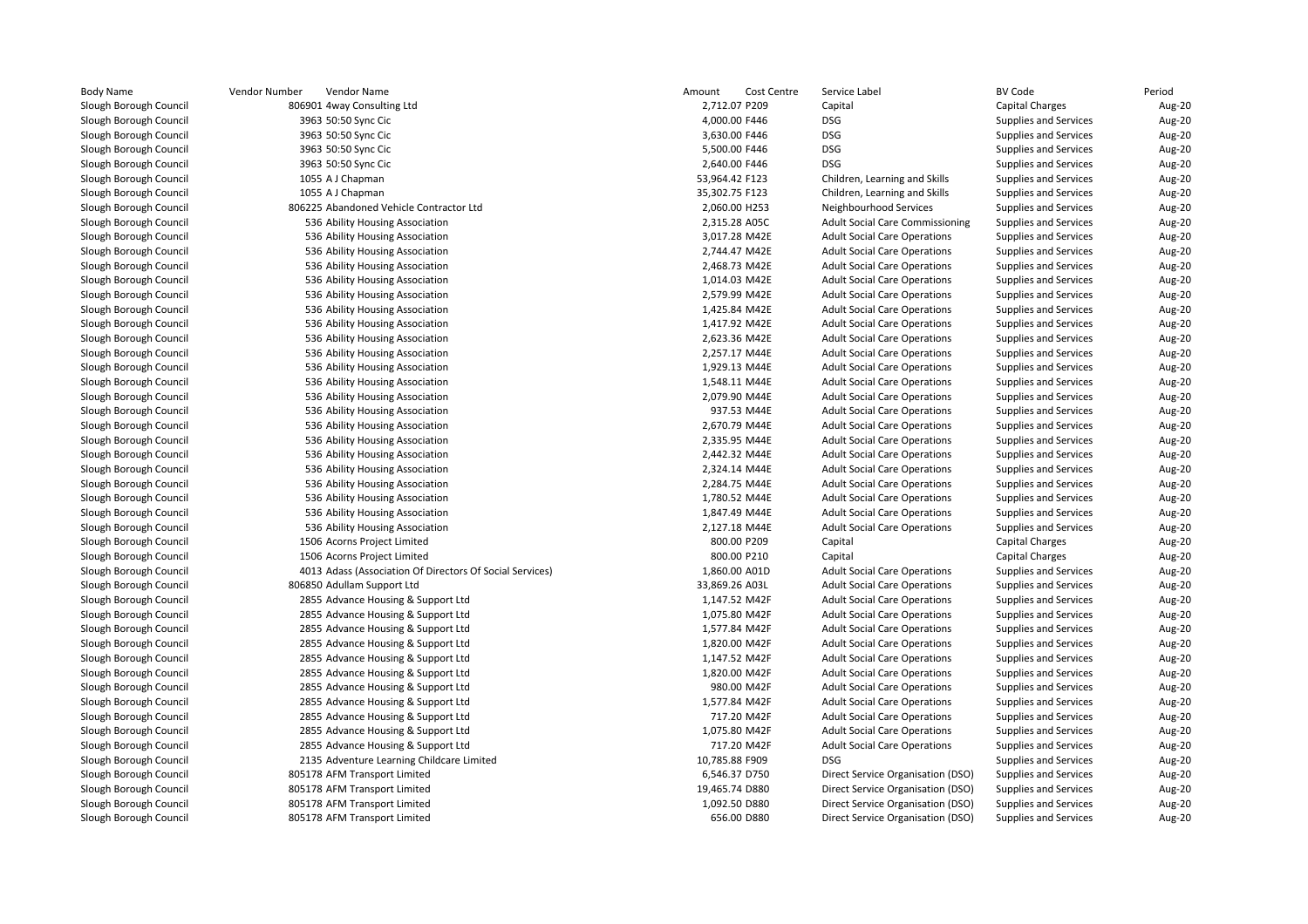| <b>Body Name</b>       | Vendor Number | Vendor Name                                              | Amount         | Cost Centre   | Service Label                          | <b>BV Code</b>               | Period |
|------------------------|---------------|----------------------------------------------------------|----------------|---------------|----------------------------------------|------------------------------|--------|
| Slough Borough Council |               | 806901 4way Consulting Ltd                               | 2,712.07 P209  |               | Capital                                | <b>Capital Charges</b>       | Aug-20 |
| Slough Borough Council |               | 3963 50:50 Sync Cic                                      | 4,000.00 F446  |               | <b>DSG</b>                             | Supplies and Services        | Aug-20 |
| Slough Borough Council |               | 3963 50:50 Sync Cic                                      | 3,630.00 F446  |               | <b>DSG</b>                             | Supplies and Services        | Aug-20 |
| Slough Borough Council |               | 3963 50:50 Sync Cic                                      | 5,500.00 F446  |               | <b>DSG</b>                             | <b>Supplies and Services</b> | Aug-20 |
| Slough Borough Council |               | 3963 50:50 Sync Cic                                      | 2,640.00 F446  |               | <b>DSG</b>                             | Supplies and Services        | Aug-20 |
| Slough Borough Council |               | 1055 A J Chapman                                         | 53,964.42 F123 |               | Children, Learning and Skills          | Supplies and Services        | Aug-20 |
| Slough Borough Council |               | 1055 A J Chapman                                         | 35,302.75 F123 |               | Children, Learning and Skills          | Supplies and Services        | Aug-20 |
| Slough Borough Council |               | 806225 Abandoned Vehicle Contractor Ltd                  | 2,060.00 H253  |               | Neighbourhood Services                 | Supplies and Services        | Aug-20 |
| Slough Borough Council |               | 536 Ability Housing Association                          | 2,315.28 A05C  |               | <b>Adult Social Care Commissioning</b> | Supplies and Services        | Aug-20 |
| Slough Borough Council |               | 536 Ability Housing Association                          |                | 3,017.28 M42E | <b>Adult Social Care Operations</b>    | Supplies and Services        | Aug-20 |
| Slough Borough Council |               | 536 Ability Housing Association                          |                | 2,744.47 M42E | <b>Adult Social Care Operations</b>    | Supplies and Services        | Aug-20 |
| Slough Borough Council |               | 536 Ability Housing Association                          |                | 2,468.73 M42E | <b>Adult Social Care Operations</b>    | Supplies and Services        | Aug-20 |
| Slough Borough Council |               | 536 Ability Housing Association                          | 1,014.03 M42E  |               | <b>Adult Social Care Operations</b>    | Supplies and Services        | Aug-20 |
| Slough Borough Council |               | 536 Ability Housing Association                          | 2,579.99 M42E  |               | <b>Adult Social Care Operations</b>    | Supplies and Services        | Aug-20 |
| Slough Borough Council |               | 536 Ability Housing Association                          | 1,425.84 M42E  |               | <b>Adult Social Care Operations</b>    | <b>Supplies and Services</b> | Aug-20 |
| Slough Borough Council |               | 536 Ability Housing Association                          | 1,417.92 M42E  |               | <b>Adult Social Care Operations</b>    | Supplies and Services        | Aug-20 |
| Slough Borough Council |               | 536 Ability Housing Association                          |                | 2,623.36 M42E | <b>Adult Social Care Operations</b>    | <b>Supplies and Services</b> | Aug-20 |
| Slough Borough Council |               | 536 Ability Housing Association                          |                | 2,257.17 M44E | <b>Adult Social Care Operations</b>    | <b>Supplies and Services</b> | Aug-20 |
| Slough Borough Council |               | 536 Ability Housing Association                          |                | 1,929.13 M44E | <b>Adult Social Care Operations</b>    | <b>Supplies and Services</b> | Aug-20 |
| Slough Borough Council |               | 536 Ability Housing Association                          | 1,548.11 M44E  |               | <b>Adult Social Care Operations</b>    | Supplies and Services        | Aug-20 |
| Slough Borough Council |               | 536 Ability Housing Association                          |                | 2,079.90 M44E | <b>Adult Social Care Operations</b>    | <b>Supplies and Services</b> | Aug-20 |
| Slough Borough Council |               | 536 Ability Housing Association                          |                | 937.53 M44E   | <b>Adult Social Care Operations</b>    | Supplies and Services        | Aug-20 |
| Slough Borough Council |               | 536 Ability Housing Association                          |                | 2,670.79 M44E | <b>Adult Social Care Operations</b>    | Supplies and Services        | Aug-20 |
| Slough Borough Council |               | 536 Ability Housing Association                          |                | 2,335.95 M44E | <b>Adult Social Care Operations</b>    | <b>Supplies and Services</b> | Aug-20 |
| Slough Borough Council |               | 536 Ability Housing Association                          |                | 2,442.32 M44E | <b>Adult Social Care Operations</b>    | Supplies and Services        | Aug-20 |
| Slough Borough Council |               | 536 Ability Housing Association                          | 2,324.14 M44E  |               | <b>Adult Social Care Operations</b>    | Supplies and Services        | Aug-20 |
| Slough Borough Council |               | 536 Ability Housing Association                          |                | 2,284.75 M44E | <b>Adult Social Care Operations</b>    | Supplies and Services        | Aug-20 |
| Slough Borough Council |               | 536 Ability Housing Association                          | 1,780.52 M44E  |               | <b>Adult Social Care Operations</b>    | Supplies and Services        | Aug-20 |
| Slough Borough Council |               | 536 Ability Housing Association                          | 1,847.49 M44E  |               | <b>Adult Social Care Operations</b>    | Supplies and Services        | Aug-20 |
| Slough Borough Council |               | 536 Ability Housing Association                          | 2,127.18 M44E  |               | <b>Adult Social Care Operations</b>    | Supplies and Services        | Aug-20 |
| Slough Borough Council |               | 1506 Acorns Project Limited                              |                | 800.00 P209   | Capital                                | <b>Capital Charges</b>       | Aug-20 |
| Slough Borough Council |               | 1506 Acorns Project Limited                              |                | 800.00 P210   | Capital                                | <b>Capital Charges</b>       | Aug-20 |
| Slough Borough Council |               | 4013 Adass (Association Of Directors Of Social Services) | 1,860.00 A01D  |               | <b>Adult Social Care Operations</b>    | <b>Supplies and Services</b> | Aug-20 |
| Slough Borough Council |               | 806850 Adullam Support Ltd                               | 33,869.26 A03L |               | <b>Adult Social Care Operations</b>    | Supplies and Services        | Aug-20 |
| Slough Borough Council |               | 2855 Advance Housing & Support Ltd                       | 1,147.52 M42F  |               | <b>Adult Social Care Operations</b>    | <b>Supplies and Services</b> | Aug-20 |
| Slough Borough Council |               | 2855 Advance Housing & Support Ltd                       | 1,075.80 M42F  |               | <b>Adult Social Care Operations</b>    | Supplies and Services        | Aug-20 |
| Slough Borough Council |               | 2855 Advance Housing & Support Ltd                       | 1,577.84 M42F  |               | <b>Adult Social Care Operations</b>    | <b>Supplies and Services</b> | Aug-20 |
| Slough Borough Council |               | 2855 Advance Housing & Support Ltd                       | 1,820.00 M42F  |               | <b>Adult Social Care Operations</b>    | Supplies and Services        | Aug-20 |
| Slough Borough Council |               | 2855 Advance Housing & Support Ltd                       | 1,147.52 M42F  |               | <b>Adult Social Care Operations</b>    | Supplies and Services        | Aug-20 |
| Slough Borough Council |               | 2855 Advance Housing & Support Ltd                       | 1,820.00 M42F  |               | <b>Adult Social Care Operations</b>    | Supplies and Services        | Aug-20 |
| Slough Borough Council |               | 2855 Advance Housing & Support Ltd                       |                | 980.00 M42F   | <b>Adult Social Care Operations</b>    | Supplies and Services        | Aug-20 |
| Slough Borough Council |               | 2855 Advance Housing & Support Ltd                       | 1,577.84 M42F  |               | <b>Adult Social Care Operations</b>    | Supplies and Services        | Aug-20 |
| Slough Borough Council |               | 2855 Advance Housing & Support Ltd                       |                | 717.20 M42F   | <b>Adult Social Care Operations</b>    | Supplies and Services        | Aug-20 |
| Slough Borough Council |               | 2855 Advance Housing & Support Ltd                       | 1,075.80 M42F  |               | <b>Adult Social Care Operations</b>    | <b>Supplies and Services</b> | Aug-20 |
| Slough Borough Council |               | 2855 Advance Housing & Support Ltd                       |                | 717.20 M42F   | <b>Adult Social Care Operations</b>    | Supplies and Services        | Aug-20 |
| Slough Borough Council |               | 2135 Adventure Learning Childcare Limited                | 10,785.88 F909 |               | <b>DSG</b>                             | <b>Supplies and Services</b> | Aug-20 |
| Slough Borough Council |               | 805178 AFM Transport Limited                             | 6,546.37 D750  |               | Direct Service Organisation (DSO)      | Supplies and Services        | Aug-20 |
| Slough Borough Council |               | 805178 AFM Transport Limited                             | 19,465.74 D880 |               | Direct Service Organisation (DSO)      | <b>Supplies and Services</b> | Aug-20 |
| Slough Borough Council |               | 805178 AFM Transport Limited                             | 1,092.50 D880  |               | Direct Service Organisation (DSO)      | Supplies and Services        | Aug-20 |
| Slough Borough Council |               | 805178 AFM Transport Limited                             |                | 656.00 D880   | Direct Service Organisation (DSO)      | Supplies and Services        | Aug-20 |
|                        |               |                                                          |                |               |                                        |                              |        |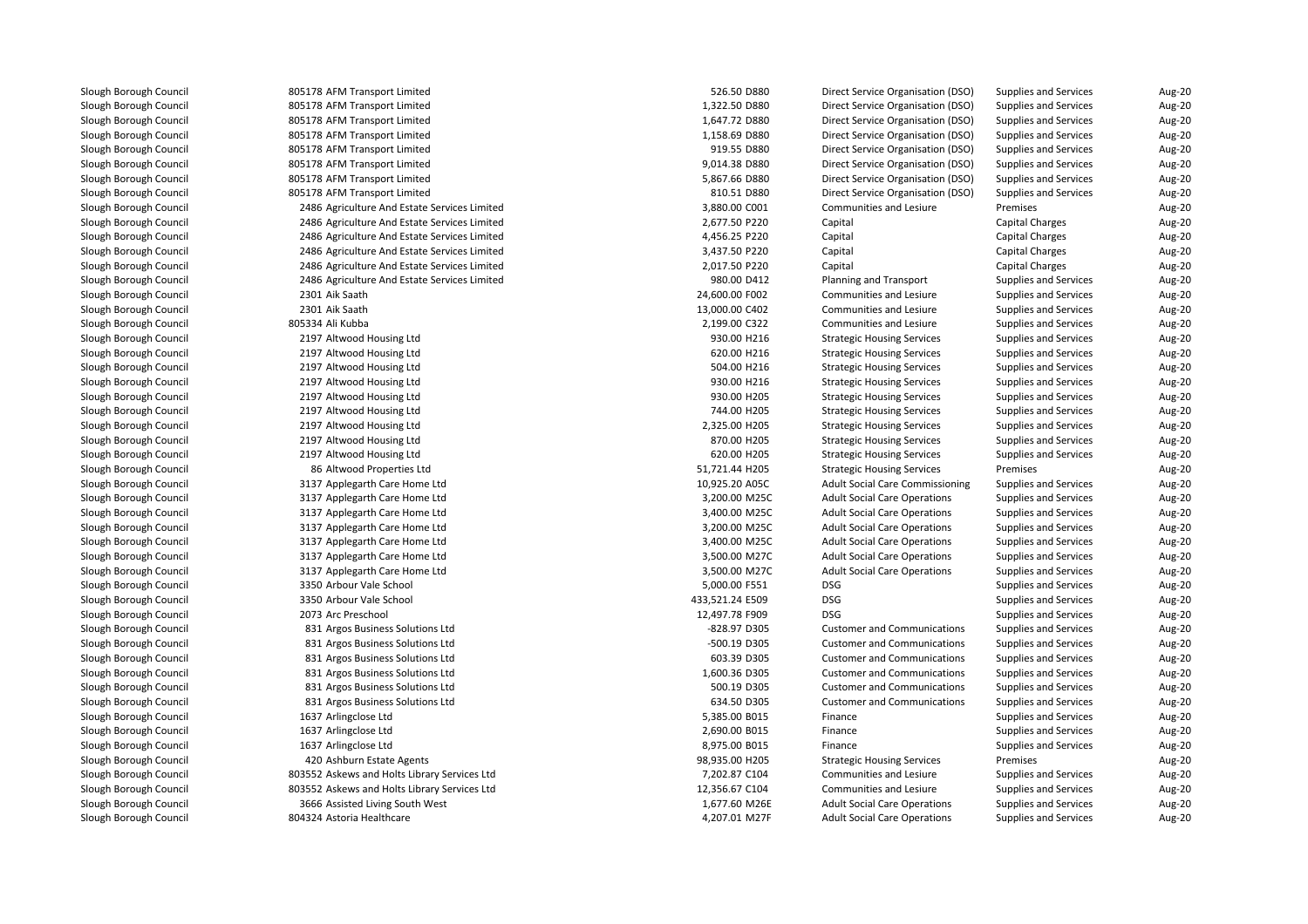| 805178 AFM Transport Limited                 | 526.50 D880     | Direct Service Organisation (DSO)      | Supplies and Services        | Aug-20 |
|----------------------------------------------|-----------------|----------------------------------------|------------------------------|--------|
| 805178 AFM Transport Limited                 | 1,322.50 D880   | Direct Service Organisation (DSO)      | Supplies and Services        | Aug-20 |
| 805178 AFM Transport Limited                 | 1,647.72 D880   | Direct Service Organisation (DSO)      | Supplies and Services        | Aug-20 |
| 805178 AFM Transport Limited                 | 1,158.69 D880   | Direct Service Organisation (DSO)      | <b>Supplies and Services</b> | Aug-20 |
| 805178 AFM Transport Limited                 | 919.55 D880     | Direct Service Organisation (DSO)      | Supplies and Services        | Aug-20 |
| 805178 AFM Transport Limited                 | 9,014.38 D880   | Direct Service Organisation (DSO)      | Supplies and Services        | Aug-20 |
| 805178 AFM Transport Limited                 | 5,867.66 D880   | Direct Service Organisation (DSO)      | Supplies and Services        | Aug-20 |
| 805178 AFM Transport Limited                 | 810.51 D880     | Direct Service Organisation (DSO)      | <b>Supplies and Services</b> | Aug-20 |
| 2486 Agriculture And Estate Services Limited | 3,880.00 C001   | <b>Communities and Lesiure</b>         | Premises                     | Aug-20 |
| 2486 Agriculture And Estate Services Limited | 2,677.50 P220   | Capital                                | <b>Capital Charges</b>       | Aug-20 |
| 2486 Agriculture And Estate Services Limited | 4,456.25 P220   | Capital                                | Capital Charges              | Aug-20 |
| 2486 Agriculture And Estate Services Limited | 3,437.50 P220   | Capital                                | <b>Capital Charges</b>       | Aug-20 |
| 2486 Agriculture And Estate Services Limited | 2,017.50 P220   | Capital                                | <b>Capital Charges</b>       | Aug-20 |
| 2486 Agriculture And Estate Services Limited | 980.00 D412     | Planning and Transport                 | Supplies and Services        | Aug-20 |
| 2301 Aik Saath                               | 24,600.00 F002  | Communities and Lesiure                | <b>Supplies and Services</b> | Aug-20 |
| 2301 Aik Saath                               | 13,000.00 C402  | <b>Communities and Lesiure</b>         | Supplies and Services        | Aug-20 |
| 805334 Ali Kubba                             | 2,199.00 C322   | Communities and Lesiure                | <b>Supplies and Services</b> | Aug-20 |
| 2197 Altwood Housing Ltd                     | 930.00 H216     | <b>Strategic Housing Services</b>      | Supplies and Services        | Aug-20 |
| 2197 Altwood Housing Ltd                     | 620.00 H216     | <b>Strategic Housing Services</b>      | <b>Supplies and Services</b> | Aug-20 |
| 2197 Altwood Housing Ltd                     | 504.00 H216     | <b>Strategic Housing Services</b>      | <b>Supplies and Services</b> | Aug-20 |
| 2197 Altwood Housing Ltd                     | 930.00 H216     | <b>Strategic Housing Services</b>      | <b>Supplies and Services</b> | Aug-20 |
| 2197 Altwood Housing Ltd                     | 930.00 H205     | <b>Strategic Housing Services</b>      | <b>Supplies and Services</b> | Aug-20 |
| 2197 Altwood Housing Ltd                     | 744.00 H205     | <b>Strategic Housing Services</b>      | <b>Supplies and Services</b> | Aug-20 |
| 2197 Altwood Housing Ltd                     | 2,325.00 H205   | <b>Strategic Housing Services</b>      | <b>Supplies and Services</b> | Aug-20 |
| 2197 Altwood Housing Ltd                     | 870.00 H205     | <b>Strategic Housing Services</b>      | <b>Supplies and Services</b> | Aug-20 |
| 2197 Altwood Housing Ltd                     | 620.00 H205     | <b>Strategic Housing Services</b>      | <b>Supplies and Services</b> | Aug-20 |
| 86 Altwood Properties Ltd                    | 51,721.44 H205  | <b>Strategic Housing Services</b>      | Premises                     | Aug-20 |
| 3137 Applegarth Care Home Ltd                | 10,925.20 A05C  | <b>Adult Social Care Commissioning</b> | <b>Supplies and Services</b> | Aug-20 |
|                                              | 3,200.00 M25C   | <b>Adult Social Care Operations</b>    | <b>Supplies and Services</b> |        |
| 3137 Applegarth Care Home Ltd                |                 |                                        |                              | Aug-20 |
| 3137 Applegarth Care Home Ltd                | 3,400.00 M25C   | <b>Adult Social Care Operations</b>    | <b>Supplies and Services</b> | Aug-20 |
| 3137 Applegarth Care Home Ltd                | 3,200.00 M25C   | <b>Adult Social Care Operations</b>    | <b>Supplies and Services</b> | Aug-20 |
| 3137 Applegarth Care Home Ltd                | 3,400.00 M25C   | <b>Adult Social Care Operations</b>    | <b>Supplies and Services</b> | Aug-20 |
| 3137 Applegarth Care Home Ltd                | 3,500.00 M27C   | <b>Adult Social Care Operations</b>    | <b>Supplies and Services</b> | Aug-20 |
| 3137 Applegarth Care Home Ltd                | 3,500.00 M27C   | <b>Adult Social Care Operations</b>    | <b>Supplies and Services</b> | Aug-20 |
| 3350 Arbour Vale School                      | 5,000.00 F551   | DSG                                    | <b>Supplies and Services</b> | Aug-20 |
| 3350 Arbour Vale School                      | 433,521.24 E509 | <b>DSG</b>                             | <b>Supplies and Services</b> | Aug-20 |
| 2073 Arc Preschool                           | 12,497.78 F909  | <b>DSG</b>                             | <b>Supplies and Services</b> | Aug-20 |
| 831 Argos Business Solutions Ltd             | -828.97 D305    | <b>Customer and Communications</b>     | <b>Supplies and Services</b> | Aug-20 |
| 831 Argos Business Solutions Ltd             | -500.19 D305    | <b>Customer and Communications</b>     | <b>Supplies and Services</b> | Aug-20 |
| 831 Argos Business Solutions Ltd             | 603.39 D305     | <b>Customer and Communications</b>     | <b>Supplies and Services</b> | Aug-20 |
| 831 Argos Business Solutions Ltd             | 1,600.36 D305   | <b>Customer and Communications</b>     | <b>Supplies and Services</b> | Aug-20 |
| 831 Argos Business Solutions Ltd             | 500.19 D305     | <b>Customer and Communications</b>     | <b>Supplies and Services</b> | Aug-20 |
| 831 Argos Business Solutions Ltd             | 634.50 D305     | <b>Customer and Communications</b>     | <b>Supplies and Services</b> | Aug-20 |
| 1637 Arlingclose Ltd                         | 5,385.00 B015   | Finance                                | <b>Supplies and Services</b> | Aug-20 |
| 1637 Arlingclose Ltd                         | 2,690.00 B015   | Finance                                | Supplies and Services        | Aug-20 |
| 1637 Arlingclose Ltd                         | 8,975.00 B015   | Finance                                | <b>Supplies and Services</b> | Aug-20 |
| 420 Ashburn Estate Agents                    | 98,935.00 H205  | <b>Strategic Housing Services</b>      | Premises                     | Aug-20 |
| 803552 Askews and Holts Library Services Ltd | 7,202.87 C104   | Communities and Lesiure                | <b>Supplies and Services</b> | Aug-20 |
| 803552 Askews and Holts Library Services Ltd | 12,356.67 C104  | Communities and Lesiure                | <b>Supplies and Services</b> | Aug-20 |
| 3666 Assisted Living South West              | 1,677.60 M26E   | <b>Adult Social Care Operations</b>    | Supplies and Services        | Aug-20 |
| 804324 Astoria Healthcare                    | 4,207.01 M27F   | <b>Adult Social Care Operations</b>    | <b>Supplies and Services</b> | Aug-20 |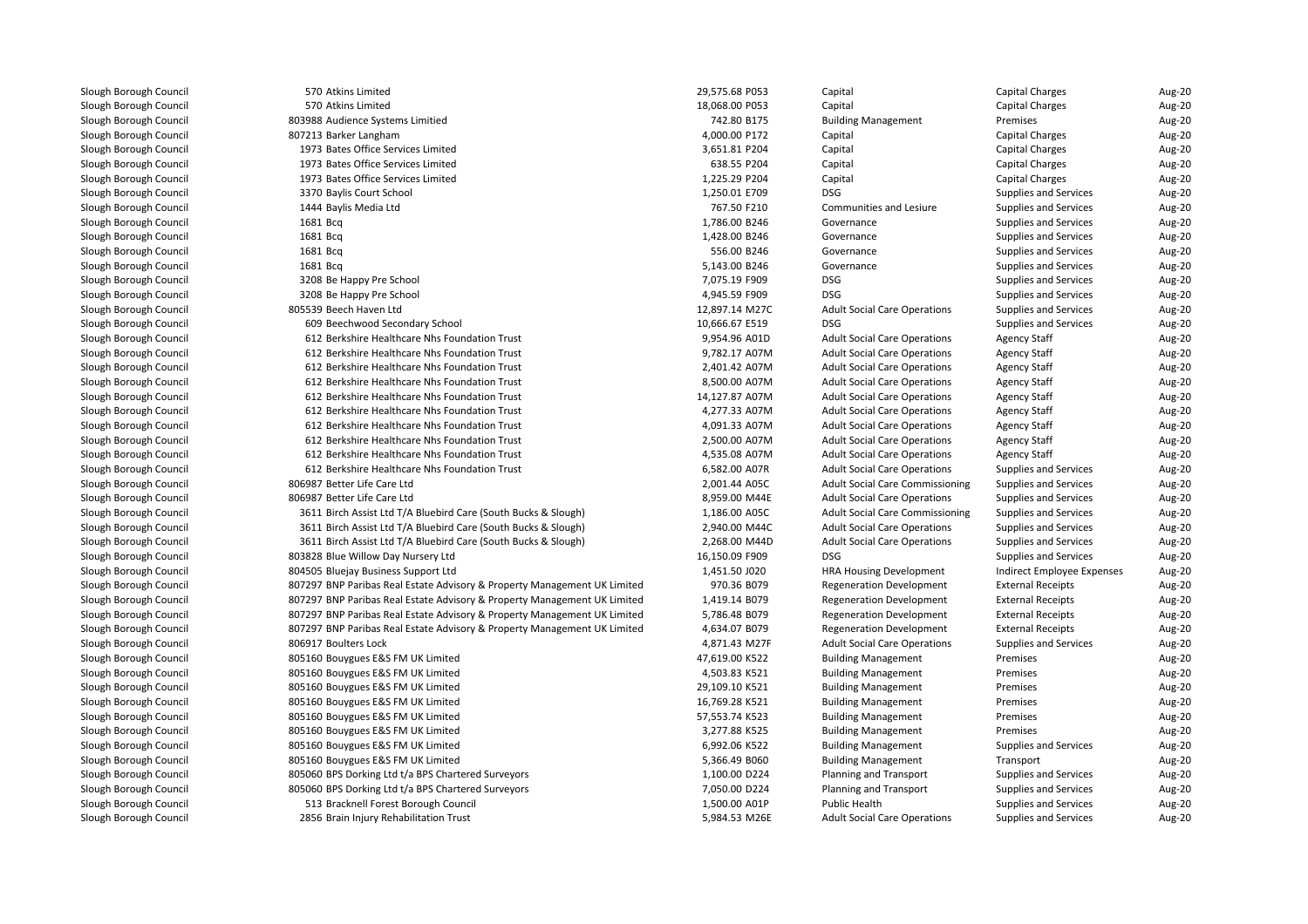570 Atkins Limited 29,575.68 P053 Capital Capital Charges Aug-20 570570 Atkins Limited d capital Charges Capital Charges Capital Charges Capital Charges Capital Charges Capital Charges Capital Charges Charges Charges Charges Charges Charges Charges Charges Charges Charges Charges Charges Charges Charges Char 803988 Audience Systems Limitiedd extending Management and the Mercuse of T42.80 B175 Building Management and Premises Premises Aug-20 807213 Barker Langham 4,000.00 P172 Capital Capital Charges Aug-20 1973 Bates Office Services Limited 3,651.81 P204 Capital Capital Charges Aug-20 1973 Bates Office Services Limited 638.55 P204 Capital Capital Charges Aug-20 1973 Bates Office Services Limitedd Capital Charges Capital Capital Capital Capital Charges Capital Charges Capital Charges Capital Charges Charge 20 3370 Baylis Court School 1,250.01 E709 DSGDSG Supplies and Services Aug-20<br>Communities and Lesiure Supplies and Services Aug-20 1444 Baylis Media Ltd 767.50 F210 Communities and Lesiure Supplies and Services Aug-20 | 1681 Bcq q and Services and Services and Services and Services and Services and Services and Services and Services and Services and Services and Services and Services and Services and Services and Services and Services and Services | 1681 Bcq q and Services and Services and Services and Services and Services and Services and Services and Services and Services and Services and Services and Services and Services and Services and Services and Services and Services | 1681 Bcq q and Supplies and Services and Supplies and Services and Supplies and Services and Services and Services and Services and Services and Services and Services and Services and Services and Services and Services and Services | 1681 Bcq 5,143.00 B246 Governance Supplies and Services Aug-20 l and the state of the School 1990 SGG entity of the School 1990 SGG entity of the SSGG entity of the SSGG entity of the SSGG entity of the SSGG entity of the SSGG entity of the SSGG entity of the SSGG entity of the SSGG e Supplies and Services Aug-20 l and the state of the School 4,945.59 F909 DSG 4,945.59 F909 DSG Supplies and Services **Aug-20**<br>Supplies and Services **Aug-20**  805539 Beech Haven Ltd 12,897.14 M27CAdult Social Care Operations Supplies and Services Aug-20<br>DSG Supplies and Services Aug-20 609 Beechwood Secondary School 10,666.67 E519 DSGSupplies and Services **Aug-20**<br>Agency Staff **Aug-20**  $\sim$  612 612 Berkshire Healthcare Nhs Foundation Trust 612 Server 8,954.96 A01D<br>B12 Berkshire Healthcare Nhs Foundation Trust 61 April 1997 82.17 A07M Adult Social Care Operations Agency Staff Aug-20<br>Adult Social Care Operations Agency Staff Aug-20  $\sim$  612 612 Berkshire Healthcare Nhs Foundation Trust 612 Communication of the State 19,782.17 A07M<br>612 Berkshire Healthcare Nhs Foundation Trust 613 Communication 2.401.42 A07M Adult Social Care Operations Agency Staff Aug-20<br>
Adult Social Care Operations Agency Staff Aug-20  $\sim$  612 Berkshire Healthcare Nhs Foundation Trust 2,401.42 A07MAdult Social Care Operations Agency Staff Aug-20<br>
Adult Social Care Operations Agency Staff Aug-20  $\sim$  612 612 Berkshire Healthcare Nhs Foundation Trust 6500.00 A07M 8,500.00 A07M 8,500.00 A07M 8,500.00 A07M Adult Social Care Operations Agency Staff Aug-20<br>
Adult Social Care Operations Agency Staff Aug-20  $\sim$  612 612 Berkshire Healthcare Nhs Foundation Trust 14,127.87 A07M<br>B12 Berkshire Healthcare Nhs Foundation Trust 14,277.33 A07M Adult Social Care Operations Agency Staff Aug-20<br>
Adult Social Care Operations Agency Staff Aug-20  $\sim$  612 612 Berkshire Healthcare Nhs Foundation Trust 612 Communication 4,277.33 A07M 612 Berkshire Healthcare Nhs Foundation Trust Adult Social Care Operations Agency Staff Aug-20<br>
Adult Social Care Operations Agency Staff Aug-20  $\sim$  612 612 Berkshire Healthcare Nhs Foundation Trust 612 Communication 1001.33 A07M 4,091.33 A07M 612 Berkshire Healthcare Nhs Foundation Trust Adult Social Care Operations Agency Staff Aug-20<br>
Adult Social Care Operations Agency Staff Aug-20  $\sim$  612 612 Berkshire Healthcare Nhs Foundation Trust 2,500.00 A07M<br>612 Berkshire Healthcare Nhs Foundation Trust 2,500 A07M Adult Social Care Operations Agency Staff Aug-20<br>
Adult Social Care Operations Agency Staff Aug-20  $\sim$  612 612 Berkshire Healthcare Nhs Foundation Trust 658 and 1999 and 4,535.08 A07M<br>612 Berkshire Healthcare Nhs Foundation Trust 6582.00 A07R Adult Social Care Operations Agency Staff Aug-20<br>
Adult Social Care Operations Supplies and Services Aug-20  $\sim$  612 612 Berkshire Healthcare Nhs Foundation Trust Adult Social Care Operations Supplies and Services Aug-20<br>
Adult Social Care Commissioning Supplies and Services Aug-20 806987 Better Life Care Ltd 2,001.44 A05CAdult Social Care Commissioning Supplies and Services Aug-20<br>Adult Social Care Operations Supplies and Services Aug-20 806987 Better Life Care Ltd8,959.00 M44E Adult Social Care Operations Supplies and Services Aug-20<br>1,186.00 A05C Adult Social Care Commissioning Supplies and Services Aug-20 3611 Birch Assist Ltd T/A Bluebird Care (South Bucks & Slough) 1,186.00 A05C Adult Social Care Commissioning Supplies and Services Aug-20 3611 Birch Assist Ltd T/A Bluebird Care (South Bucks & Slough) 2,940.00 M44C Adult Social Care Operations Supplies and Services Aug-20 3611 Birch Assist Ltd T/A Bluebird Care (South Bucks & Slough) 2,268.00 M44DAdult Social Care Operations Supplies and Services Aug-20<br>DSG Supplies and Services Aug-20 803828 Blue Willow Day Nursery Ltd16,150.09 F909 DSG<br>1.451.50 J020 HRA Housing Development Supplies and Services **Aug-20**<br>Indirect Employee Expenses **Aug-20**  804505 Bluejay Business Support Ltd1,451.50 JO20 HRA Housing Development and indirect Employee Expenses Aug-20<br>1970.36 BO79 Regeneration Development External Receipts Aug-20 807297 BNP Paribas Real Estate Advisory & Property Management UK Limited970.36 B079 Regeneration Development External Receipts Aug-20<br>1,419.14 B079 Regeneration Development External Receipts Aug-20 807297 BNP Paribas Real Estate Advisory & Property Management UK Limited1,419.14 B079 Regeneration Development External Receipts Caug-20<br>19786.48 B079 Regeneration Development External Receipts Aug-20 807297 BNP Paribas Real Estate Advisory & Property Management UK Limited5,786.48 B079 Regeneration Development External Receipts **Aug-20**<br>4,634.07 B079 Regeneration Development External Receipts Aug-20 807297 BNP Paribas Real Estate Advisory & Property Management UK Limited4,634.07 B079 Regeneration Development External Receipts Aug-20<br>4,871.43 M27F Adult Social Care Operations Supplies and Services Aug-20 806917 Boulters Lock Boulters Lock 4,871.43 M27F Adult Social Care Operations Supplies and Services Aug-20 805160 Bouygues E&S FM UK Limited 47,619.00 K522 Building Management Premises Aug-20 805160 Bouygues E&S FM UK Limitedd and the state of the 4,503.83 K521 Building Management **Premises** Premises Aug-20 805160 Bouygues E&S FM UK Limitedd and the state of the C29,109.10 K521 Building Management Remises Premises Aug-20 Aug-20 805160 Bouygues E&S FM UK Limited 16,769.28 K521 Building Management Premises Aug-20 805160 Bouygues E&S FM UK Limited 57,553.74 K523 Building Management Premises Aug-20 805160 Bouygues E&S FM UK Limitedd and the state of the state of the S277.88 K525 Building Management **Premises** Premises Aug-20 805160 Bouygues E&S FM UK Limited 6,992.06 K522 Building Management Supplies and Services Aug-20 805160 Bouygues E&S FM UK Limited 5,366.49 B060 Building Management Transport Aug-20 805060 BPS Dorking Ltd t/a BPS Chartered Surveyors 1,100.00 D224 Planning and Transport Supplies and Services Aug-20 805060 BPS Dorking Ltd t/a BPS Chartered Surveyors 7,050.00 D224 Planning and Transport Supplies and Services Aug-20 513 Bracknell Forest Borough Council 1,500.00 A01P1,500.00 A01P<br>5,984.53 M26E Adult Social Care Operations Supplies and Services **Aug-20**<br>Supplies and Services **Aug-20** 2856 Brain Injury Rehabilitation Trust 5,984.53 M26E Adult Social Care Operations Supplies and Services Aug-20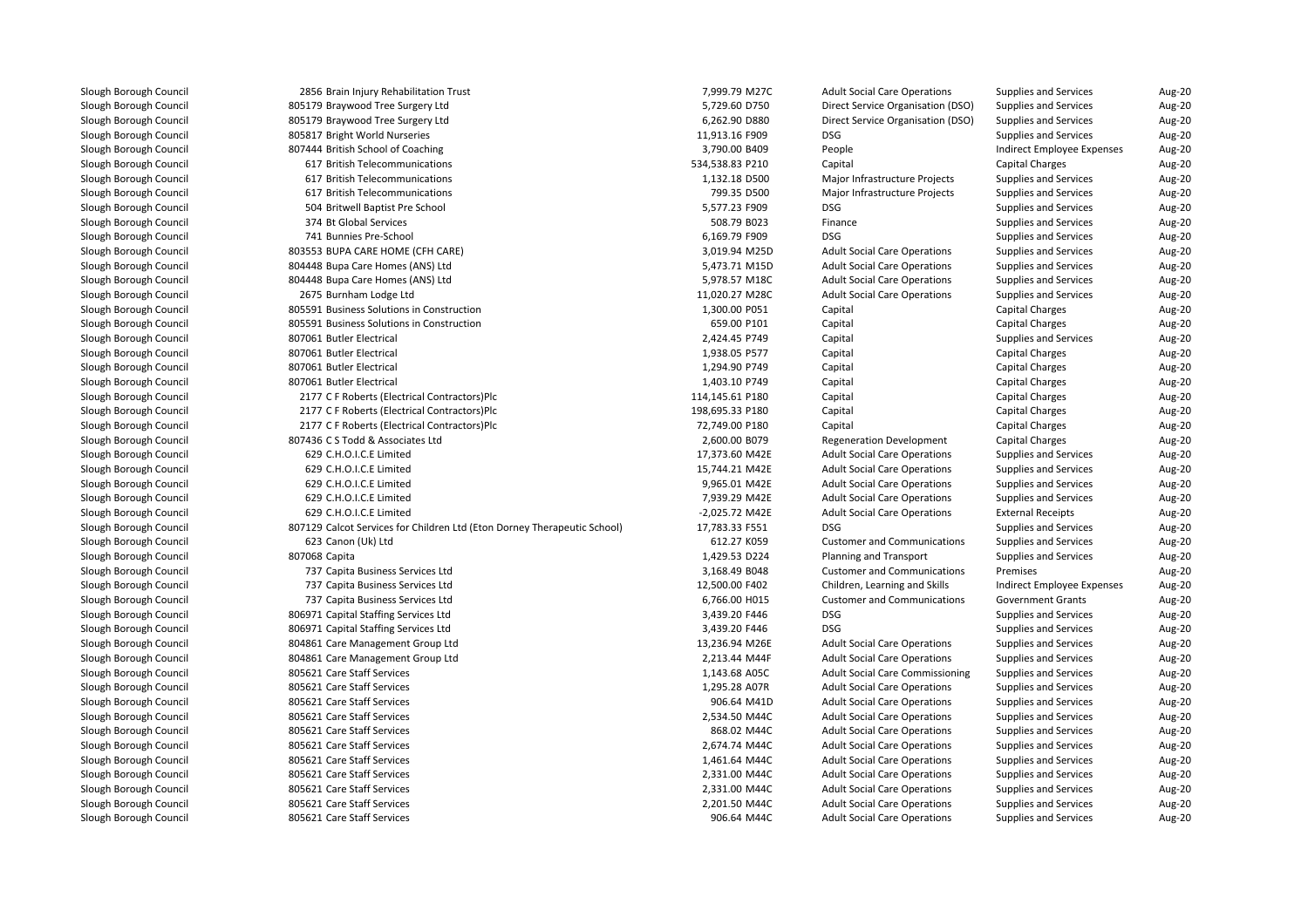| 2856 Brain Injury Rehabilitation Trust                                   | 7,999.79 M27C   | <b>Adult Social Care Operations</b>    | Supplies and Services        | Aug-20 |
|--------------------------------------------------------------------------|-----------------|----------------------------------------|------------------------------|--------|
| 805179 Braywood Tree Surgery Ltd                                         | 5,729.60 D750   | Direct Service Organisation (DSO)      | Supplies and Services        | Aug-20 |
| 805179 Braywood Tree Surgery Ltd                                         | 6,262.90 D880   | Direct Service Organisation (DSO)      | Supplies and Services        | Aug-20 |
| 805817 Bright World Nurseries                                            | 11,913.16 F909  | <b>DSG</b>                             | <b>Supplies and Services</b> | Aug-20 |
| 807444 British School of Coaching                                        | 3,790.00 B409   | People                                 | Indirect Employee Expenses   | Aug-20 |
| 617 British Telecommunications                                           | 534,538.83 P210 | Capital                                | Capital Charges              | Aug-20 |
| 617 British Telecommunications                                           | 1,132.18 D500   | Major Infrastructure Projects          | <b>Supplies and Services</b> | Aug-20 |
| 617 British Telecommunications                                           | 799.35 D500     | Major Infrastructure Projects          | <b>Supplies and Services</b> | Aug-20 |
| 504 Britwell Baptist Pre School                                          | 5,577.23 F909   | <b>DSG</b>                             | <b>Supplies and Services</b> | Aug-20 |
| 374 Bt Global Services                                                   | 508.79 B023     | Finance                                | Supplies and Services        | Aug-20 |
| 741 Bunnies Pre-School                                                   | 6,169.79 F909   | <b>DSG</b>                             | <b>Supplies and Services</b> | Aug-20 |
| 803553 BUPA CARE HOME (CFH CARE)                                         | 3,019.94 M25D   | <b>Adult Social Care Operations</b>    | <b>Supplies and Services</b> | Aug-20 |
| 804448 Bupa Care Homes (ANS) Ltd                                         | 5,473.71 M15D   | <b>Adult Social Care Operations</b>    | <b>Supplies and Services</b> | Aug-20 |
| 804448 Bupa Care Homes (ANS) Ltd                                         | 5,978.57 M18C   | <b>Adult Social Care Operations</b>    | <b>Supplies and Services</b> | Aug-20 |
| 2675 Burnham Lodge Ltd                                                   | 11,020.27 M28C  | <b>Adult Social Care Operations</b>    | <b>Supplies and Services</b> | Aug-20 |
| 805591 Business Solutions in Construction                                | 1,300.00 P051   | Capital                                | Capital Charges              | Aug-20 |
| 805591 Business Solutions in Construction                                | 659.00 P101     | Capital                                | <b>Capital Charges</b>       | Aug-20 |
| 807061 Butler Electrical                                                 | 2,424.45 P749   | Capital                                | <b>Supplies and Services</b> | Aug-20 |
| 807061 Butler Electrical                                                 | 1,938.05 P577   | Capital                                | <b>Capital Charges</b>       | Aug-20 |
| 807061 Butler Electrical                                                 | 1,294.90 P749   | Capital                                | Capital Charges              | Aug-20 |
| 807061 Butler Electrical                                                 | 1,403.10 P749   | Capital                                | <b>Capital Charges</b>       | Aug-20 |
| 2177 C F Roberts (Electrical Contractors)Plc                             | 114,145.61 P180 | Capital                                | Capital Charges              | Aug-20 |
| 2177 C F Roberts (Electrical Contractors)Plc                             | 198,695.33 P180 | Capital                                | Capital Charges              | Aug-20 |
| 2177 C F Roberts (Electrical Contractors)Plc                             | 72,749.00 P180  | Capital                                | Capital Charges              | Aug-20 |
| 807436 C S Todd & Associates Ltd                                         | 2,600.00 B079   | <b>Regeneration Development</b>        | Capital Charges              | Aug-20 |
| 629 C.H.O.I.C.E Limited                                                  | 17,373.60 M42E  | <b>Adult Social Care Operations</b>    | Supplies and Services        | Aug-20 |
| 629 C.H.O.I.C.E Limited                                                  | 15,744.21 M42E  | <b>Adult Social Care Operations</b>    | Supplies and Services        | Aug-20 |
| 629 C.H.O.I.C.E Limited                                                  | 9,965.01 M42E   | <b>Adult Social Care Operations</b>    | <b>Supplies and Services</b> | Aug-20 |
| 629 C.H.O.I.C.E Limited                                                  | 7,939.29 M42E   | <b>Adult Social Care Operations</b>    | <b>Supplies and Services</b> | Aug-20 |
| 629 C.H.O.I.C.E Limited                                                  | -2,025.72 M42E  | <b>Adult Social Care Operations</b>    | <b>External Receipts</b>     | Aug-20 |
| 807129 Calcot Services for Children Ltd (Eton Dorney Therapeutic School) | 17,783.33 F551  | <b>DSG</b>                             | <b>Supplies and Services</b> | Aug-20 |
| 623 Canon (Uk) Ltd                                                       | 612.27 K059     | <b>Customer and Communications</b>     | Supplies and Services        | Aug-20 |
| 807068 Capita                                                            | 1,429.53 D224   | Planning and Transport                 | <b>Supplies and Services</b> | Aug-20 |
| 737 Capita Business Services Ltd                                         | 3,168.49 B048   | <b>Customer and Communications</b>     | Premises                     | Aug-20 |
| 737 Capita Business Services Ltd                                         | 12,500.00 F402  | Children, Learning and Skills          | Indirect Employee Expenses   | Aug-20 |
| 737 Capita Business Services Ltd                                         | 6,766.00 H015   | <b>Customer and Communications</b>     | <b>Government Grants</b>     | Aug-20 |
| 806971 Capital Staffing Services Ltd                                     | 3,439.20 F446   | <b>DSG</b>                             | <b>Supplies and Services</b> | Aug-20 |
| 806971 Capital Staffing Services Ltd                                     | 3,439.20 F446   | <b>DSG</b>                             | <b>Supplies and Services</b> | Aug-20 |
| 804861 Care Management Group Ltd                                         | 13,236.94 M26E  | <b>Adult Social Care Operations</b>    | <b>Supplies and Services</b> | Aug-20 |
| 804861 Care Management Group Ltd                                         | 2,213.44 M44F   | <b>Adult Social Care Operations</b>    | <b>Supplies and Services</b> | Aug-20 |
| 805621 Care Staff Services                                               | 1,143.68 A05C   | <b>Adult Social Care Commissioning</b> | <b>Supplies and Services</b> | Aug-20 |
| 805621 Care Staff Services                                               | 1,295.28 A07R   | <b>Adult Social Care Operations</b>    | Supplies and Services        | Aug-20 |
| 805621 Care Staff Services                                               | 906.64 M41D     | <b>Adult Social Care Operations</b>    | Supplies and Services        | Aug-20 |
| 805621 Care Staff Services                                               | 2,534.50 M44C   | <b>Adult Social Care Operations</b>    | Supplies and Services        | Aug-20 |
| 805621 Care Staff Services                                               | 868.02 M44C     | <b>Adult Social Care Operations</b>    | Supplies and Services        | Aug-20 |
| 805621 Care Staff Services                                               | 2,674.74 M44C   | <b>Adult Social Care Operations</b>    | <b>Supplies and Services</b> | Aug-20 |
| 805621 Care Staff Services                                               | 1,461.64 M44C   | <b>Adult Social Care Operations</b>    | <b>Supplies and Services</b> | Aug-20 |
| 805621 Care Staff Services                                               | 2,331.00 M44C   | <b>Adult Social Care Operations</b>    | Supplies and Services        | Aug-20 |
| 805621 Care Staff Services                                               | 2,331.00 M44C   | <b>Adult Social Care Operations</b>    | <b>Supplies and Services</b> | Aug-20 |
| 805621 Care Staff Services                                               | 2,201.50 M44C   | <b>Adult Social Care Operations</b>    | Supplies and Services        | Aug-20 |
| 805621 Care Staff Services                                               | 906.64 M44C     | <b>Adult Social Care Operations</b>    | Supplies and Services        | Aug-20 |
|                                                                          |                 |                                        |                              |        |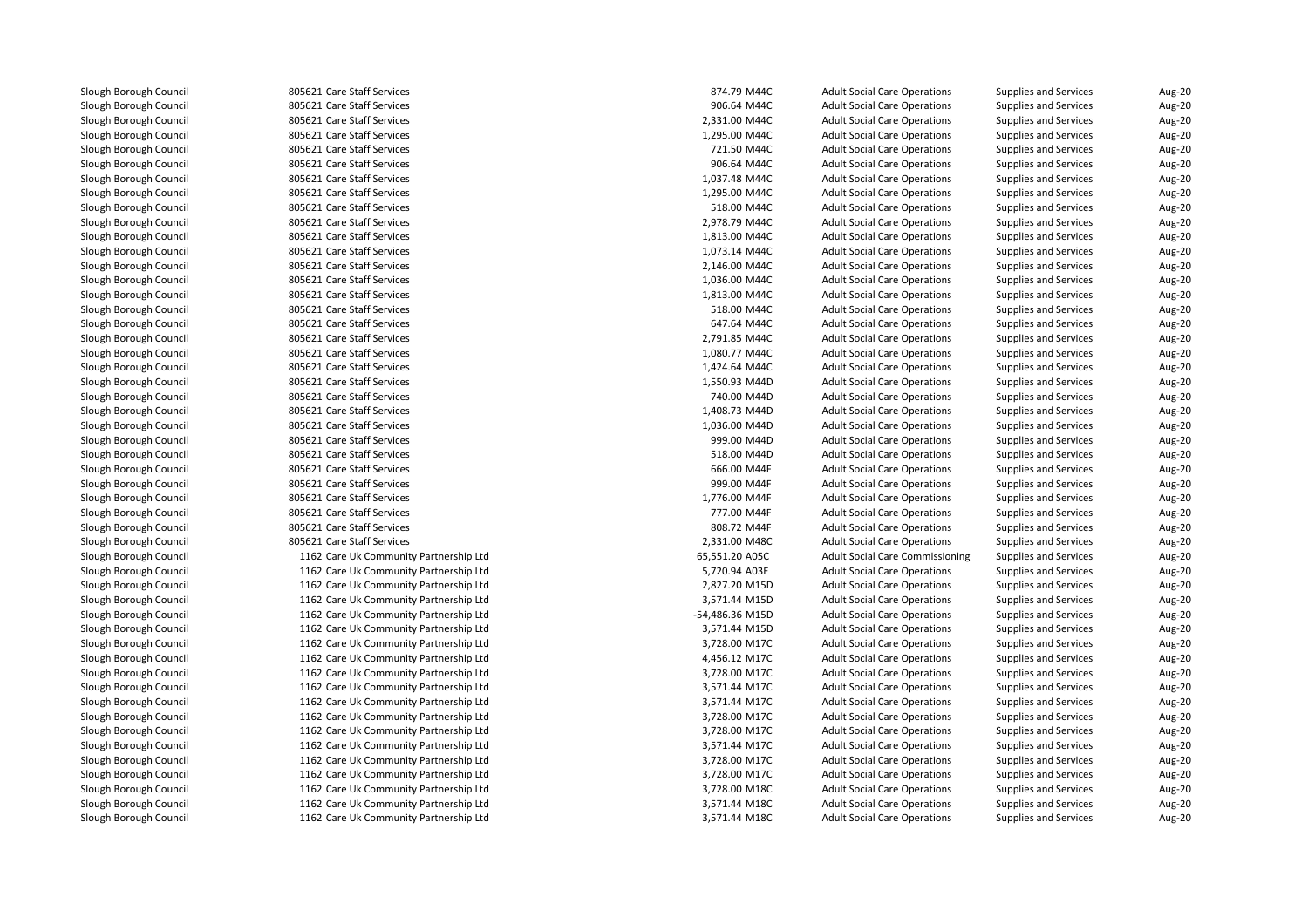805621 Care Staff Services 874.79 M44C 805621 Care Staff Services 906.64 M44C 805621 Care Staff Services 2,331.00 M44Cl 1,295.00 M44C and S05621 Care Staff Services 1,295.00 M46C and S05621 Care Staff Services 1,295.00 M44C and S 805621 Care Staff Services 721.50 M44C 805621 Care Staff Services 906.64 M44C**1** 805621 Care Staff Services 1,037.48 M44C l 1,295.00 M44C and S05621 Care Staff Services 1,295.00 M46C and S05621 Care Staff Services 1,295.00 M44C and S **1** 805621 Care Staff Services 618.00 M44C 805621 Care Staff Services 2,978.79 M44C**1** 805621 Care Staff Services 1,813.00 M44C **1** 805621 Care Staff Services 1,073.14 M44C 805621 Care Staff Services 2,146.00 M44C**1** 805621 Care Staff Services 1,036.00 M44C **1** 805621 Care Staff Services 1,813.00 M44C **1** 805621 Care Staff Services 618.00 M44C **805621 Care Staff Services** 647.64 M44C 805621 Care Staff Services 2,791.85 M44Cl 1,080.77 M44C State Staff Services 1,080.77 M44C State 1,080.77 M44C State 1,080.77 M44C l and the South Section Services 1,424.64 M44C and the South Services 1,424.64 M44C and the South Services 1,424.64 M44C and the South Services 1,424.64 M44C and the South Services 1,424.64 M44C and the South Services 1,42 l 1,550.93 M44D 805621 Care Staff Services 1,550.93 M46D 805621 Care Staff Services 805621 Care Staff Services 740.00 M44Dl 1,408.73 M44D 805621 Care Staff Services 1,408.73 M44D 805621 Care Staff Services **1** 805621 Care Staff Services 1,036.00 M44D 805621 Care Staff Services 1,036.00 M44D 805621 Care Staff Services 999.00 M44D**1** SOS621 Care Staff Services 618.00 M44D SOS621 Care Staff Services 518.00 M44D 805621 Care Staff Services 805621 Care Staff Services 805621 Care Staff Services 805621 Care Staff Services 805621 Care Staff Services 805621 Care Staff Services 2,331.00 M48C 1162 Care Uk Community Partnership Ltd 1162 Care Uk Community Partnership Ltd 1162 Care Uk Community Partnership Ltd 1162 Care Uk Community Partnership Ltd 1162 Care Uk Community Partnership Ltd 1162 Care Uk Community Partnership Ltd 1162 Care Uk Community Partnership Ltd 1162 Care Uk Community Partnership Ltd 1162 Care Uk Community Partnership Ltd 1162 Care Uk Community Partnership Ltd 1162 Care Uk Community Partnership Ltd 1162 Care Uk Community Partnership Ltd 1162 Care Uk Community Partnership Ltd 1162 Care Uk Community Partnership Ltd 1162 Care Uk Community Partnership Ltd 1162 Care Uk Community Partnership Ltd 1162 Care Uk Community Partnership Ltd 1162 Care Uk Community Partnership Ltd1162 Care Uk Community Partnership Ltd

| 1 Care Staff Services               | 874.79 M44C     | <b>Adult Social Care Operations</b>    | Supplies and Services        | Aug-20        |
|-------------------------------------|-----------------|----------------------------------------|------------------------------|---------------|
| 1 Care Staff Services               | 906.64 M44C     | <b>Adult Social Care Operations</b>    | Supplies and Services        | Aug-20        |
| 1 Care Staff Services               | 2,331.00 M44C   | <b>Adult Social Care Operations</b>    | <b>Supplies and Services</b> | Aug-20        |
| 1 Care Staff Services               | 1,295.00 M44C   | <b>Adult Social Care Operations</b>    | Supplies and Services        | Aug-20        |
| 1 Care Staff Services               | 721.50 M44C     | <b>Adult Social Care Operations</b>    | Supplies and Services        | <b>Aug-20</b> |
| 1 Care Staff Services               | 906.64 M44C     | <b>Adult Social Care Operations</b>    | Supplies and Services        | Aug-20        |
| 1 Care Staff Services               | 1,037.48 M44C   | <b>Adult Social Care Operations</b>    | <b>Supplies and Services</b> | Aug-20        |
| 1 Care Staff Services               | 1,295.00 M44C   | <b>Adult Social Care Operations</b>    | <b>Supplies and Services</b> | Aug-20        |
| 1 Care Staff Services               | 518.00 M44C     | <b>Adult Social Care Operations</b>    | Supplies and Services        | Aug-20        |
| 1 Care Staff Services               | 2,978.79 M44C   | <b>Adult Social Care Operations</b>    | Supplies and Services        | Aug-20        |
| 1 Care Staff Services               | 1,813.00 M44C   | <b>Adult Social Care Operations</b>    | <b>Supplies and Services</b> | Aug-20        |
| 1 Care Staff Services               | 1,073.14 M44C   | <b>Adult Social Care Operations</b>    | Supplies and Services        | <b>Aug-20</b> |
| 1 Care Staff Services               | 2,146.00 M44C   | <b>Adult Social Care Operations</b>    | Supplies and Services        | Aug-20        |
| 1 Care Staff Services               | 1,036.00 M44C   | <b>Adult Social Care Operations</b>    | <b>Supplies and Services</b> | Aug-20        |
| 1 Care Staff Services               | 1,813.00 M44C   | <b>Adult Social Care Operations</b>    | <b>Supplies and Services</b> | Aug-20        |
| 1 Care Staff Services               | 518.00 M44C     | <b>Adult Social Care Operations</b>    | Supplies and Services        | Aug-20        |
| 1 Care Staff Services               | 647.64 M44C     | <b>Adult Social Care Operations</b>    | Supplies and Services        | Aug-20        |
| 1 Care Staff Services               | 2,791.85 M44C   | <b>Adult Social Care Operations</b>    | Supplies and Services        | Aug-20        |
| 1 Care Staff Services               | 1,080.77 M44C   | <b>Adult Social Care Operations</b>    | Supplies and Services        | <b>Aug-20</b> |
| 1 Care Staff Services               | 1,424.64 M44C   | <b>Adult Social Care Operations</b>    | Supplies and Services        | Aug-20        |
| 1 Care Staff Services               | 1,550.93 M44D   | <b>Adult Social Care Operations</b>    | <b>Supplies and Services</b> | Aug-20        |
| 1 Care Staff Services               | 740.00 M44D     | <b>Adult Social Care Operations</b>    | <b>Supplies and Services</b> | Aug-20        |
| 1 Care Staff Services               | 1,408.73 M44D   | <b>Adult Social Care Operations</b>    | Supplies and Services        | Aug-20        |
| 1 Care Staff Services               | 1,036.00 M44D   | <b>Adult Social Care Operations</b>    | Supplies and Services        | Aug-20        |
| 1 Care Staff Services               | 999.00 M44D     | <b>Adult Social Care Operations</b>    | <b>Supplies and Services</b> | Aug-20        |
| 1 Care Staff Services               | 518.00 M44D     | <b>Adult Social Care Operations</b>    | Supplies and Services        | Aug-20        |
| 1 Care Staff Services               | 666.00 M44F     | <b>Adult Social Care Operations</b>    | Supplies and Services        | Aug-20        |
| 1 Care Staff Services               | 999.00 M44F     | <b>Adult Social Care Operations</b>    | Supplies and Services        | Aug-20        |
| 1 Care Staff Services               | 1,776.00 M44F   | <b>Adult Social Care Operations</b>    | Supplies and Services        | Aug-20        |
| 1 Care Staff Services               | 777.00 M44F     | <b>Adult Social Care Operations</b>    | Supplies and Services        | Aug-20        |
| 1 Care Staff Services               | 808.72 M44F     | <b>Adult Social Care Operations</b>    | Supplies and Services        | Aug-20        |
| 1 Care Staff Services               | 2,331.00 M48C   | <b>Adult Social Care Operations</b>    | <b>Supplies and Services</b> | Aug-20        |
| 2 Care Uk Community Partnership Ltd | 65,551.20 A05C  | <b>Adult Social Care Commissioning</b> | Supplies and Services        | <b>Aug-20</b> |
| 2 Care Uk Community Partnership Ltd | 5,720.94 A03E   | <b>Adult Social Care Operations</b>    | Supplies and Services        | Aug-20        |
| 2 Care Uk Community Partnership Ltd | 2,827.20 M15D   | <b>Adult Social Care Operations</b>    | Supplies and Services        | Aug-20        |
| 2 Care Uk Community Partnership Ltd | 3,571.44 M15D   | <b>Adult Social Care Operations</b>    | <b>Supplies and Services</b> | Aug-20        |
| 2 Care Uk Community Partnership Ltd | -54,486.36 M15D | <b>Adult Social Care Operations</b>    | Supplies and Services        | Aug-20        |
| 2 Care Uk Community Partnership Ltd | 3,571.44 M15D   | <b>Adult Social Care Operations</b>    | Supplies and Services        | Aug-20        |
| 2 Care Uk Community Partnership Ltd | 3,728.00 M17C   | <b>Adult Social Care Operations</b>    | <b>Supplies and Services</b> | <b>Aug-20</b> |
| 2 Care Uk Community Partnership Ltd | 4,456.12 M17C   | <b>Adult Social Care Operations</b>    | Supplies and Services        | <b>Aug-20</b> |
| 2 Care Uk Community Partnership Ltd | 3,728.00 M17C   | <b>Adult Social Care Operations</b>    | Supplies and Services        | Aug-20        |
| 2 Care Uk Community Partnership Ltd | 3,571.44 M17C   | <b>Adult Social Care Operations</b>    | <b>Supplies and Services</b> | Aug-20        |
| 2 Care Uk Community Partnership Ltd | 3,571.44 M17C   | <b>Adult Social Care Operations</b>    | Supplies and Services        | Aug-20        |
| 2 Care Uk Community Partnership Ltd | 3,728.00 M17C   | <b>Adult Social Care Operations</b>    | Supplies and Services        | Aug-20        |
| 2 Care Uk Community Partnership Ltd | 3,728.00 M17C   | <b>Adult Social Care Operations</b>    | Supplies and Services        | Aug-20        |
| 2 Care Uk Community Partnership Ltd | 3,571.44 M17C   | <b>Adult Social Care Operations</b>    | <b>Supplies and Services</b> | Aug-20        |
| 2 Care Uk Community Partnership Ltd | 3,728.00 M17C   | <b>Adult Social Care Operations</b>    | Supplies and Services        | <b>Aug-20</b> |
| 2 Care Uk Community Partnership Ltd | 3,728.00 M17C   | <b>Adult Social Care Operations</b>    | Supplies and Services        | Aug-20        |
| 2 Care Uk Community Partnership Ltd | 3,728.00 M18C   | <b>Adult Social Care Operations</b>    | <b>Supplies and Services</b> | Aug-20        |
| 2 Care Uk Community Partnership Ltd | 3,571.44 M18C   | <b>Adult Social Care Operations</b>    | <b>Supplies and Services</b> | Aug-20        |
| 2 Care Uk Community Partnership Ltd | 3,571.44 M18C   | <b>Adult Social Care Operations</b>    | <b>Supplies and Services</b> | Aug-20        |
|                                     |                 |                                        |                              |               |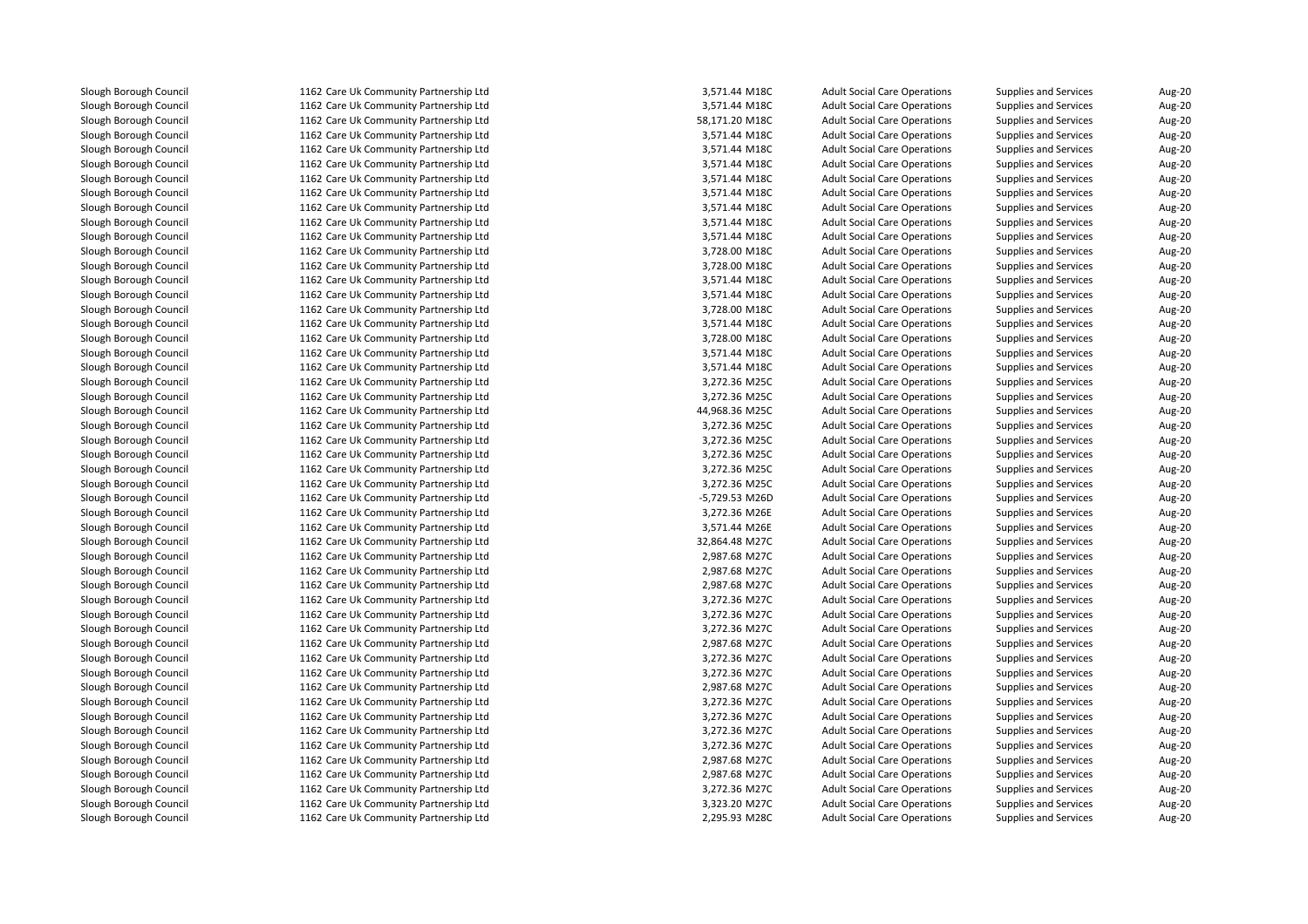1162 Care Uk Community Partnership Ltd 1162 Care Uk Community Partnership Ltd 1162 Care Uk Community Partnership Ltd 1162 Care Uk Community Partnership Ltd 1162 Care Uk Community Partnership Ltd 1162 Care Uk Community Partnership Ltd 1162 Care Uk Community Partnership Ltd 1162 Care Uk Community Partnership Ltd 1162 Care Uk Community Partnership Ltd 1162 Care Uk Community Partnership Ltd 1162 Care Uk Community Partnership Ltd 1162 Care Uk Community Partnership Ltd 1162 Care Uk Community Partnership Ltd 1162 Care Uk Community Partnership Ltd 1162 Care Uk Community Partnership Ltd 1162 Care Uk Community Partnership Ltd 1162 Care Uk Community Partnership Ltd 1162 Care Uk Community Partnership Ltd 1162 Care Uk Community Partnership Ltd 1162 Care Uk Community Partnership Ltd 1162 Care Uk Community Partnership Ltd 1162 Care Uk Community Partnership Ltd 1162 Care Uk Community Partnership Ltd 1162 Care Uk Community Partnership Ltd 1162 Care Uk Community Partnership Ltd 1162 Care Uk Community Partnership Ltd 1162 Care Uk Community Partnership Ltd 1162 Care Uk Community Partnership Ltd 1162 Care Uk Community Partnership Ltd 1162 Care Uk Community Partnership Ltd 1162 Care Uk Community Partnership Ltd 1162 Care Uk Community Partnership Ltd 1162 Care Uk Community Partnership Ltd 1162 Care Uk Community Partnership Ltd 1162 Care Uk Community Partnership Ltd 1162 Care Uk Community Partnership Ltd 1162 Care Uk Community Partnership Ltd 1162 Care Uk Community Partnership Ltd 1162 Care Uk Community Partnership Ltd 1162 Care Uk Community Partnership Ltd 1162 Care Uk Community Partnership Ltd 1162 Care Uk Community Partnership Ltd 1162 Care Uk Community Partnership Ltd 1162 Care Uk Community Partnership Ltd 1162 Care Uk Community Partnership Ltd 1162 Care Uk Community Partnership Ltd 1162 Care Uk Community Partnership Ltd 1162 Care Uk Community Partnership Ltd 1162 Care Uk Community Partnership Ltd 1162 Care Uk Community Partnership Ltd1162 Care Uk Community Partnership Ltd

| d | 3,571.44 M18C  | <b>Adult Social Care Operations</b> | <b>Supplies and Services</b> | Aug-20        |
|---|----------------|-------------------------------------|------------------------------|---------------|
| d | 3,571.44 M18C  | <b>Adult Social Care Operations</b> | <b>Supplies and Services</b> | Aug-20        |
| d | 58,171.20 M18C | <b>Adult Social Care Operations</b> | <b>Supplies and Services</b> | Aug-20        |
| d | 3,571.44 M18C  | <b>Adult Social Care Operations</b> | <b>Supplies and Services</b> | Aug-20        |
| d | 3,571.44 M18C  | <b>Adult Social Care Operations</b> | <b>Supplies and Services</b> | Aug-20        |
| d | 3,571.44 M18C  | <b>Adult Social Care Operations</b> | <b>Supplies and Services</b> | Aug-20        |
| d | 3,571.44 M18C  | <b>Adult Social Care Operations</b> | <b>Supplies and Services</b> | Aug-20        |
| d | 3,571.44 M18C  | <b>Adult Social Care Operations</b> | <b>Supplies and Services</b> | Aug-20        |
| d | 3,571.44 M18C  | <b>Adult Social Care Operations</b> | <b>Supplies and Services</b> | Aug-20        |
| d | 3,571.44 M18C  | <b>Adult Social Care Operations</b> | <b>Supplies and Services</b> | Aug-20        |
| d | 3,571.44 M18C  | <b>Adult Social Care Operations</b> | <b>Supplies and Services</b> | <b>Aug-20</b> |
| d | 3,728.00 M18C  | <b>Adult Social Care Operations</b> | <b>Supplies and Services</b> | Aug-20        |
| d | 3,728.00 M18C  | <b>Adult Social Care Operations</b> | <b>Supplies and Services</b> | Aug-20        |
| d | 3,571.44 M18C  | <b>Adult Social Care Operations</b> | <b>Supplies and Services</b> | Aug-20        |
| d | 3,571.44 M18C  | <b>Adult Social Care Operations</b> | <b>Supplies and Services</b> | Aug-20        |
| d | 3,728.00 M18C  | <b>Adult Social Care Operations</b> | Supplies and Services        | Aug-20        |
| d | 3,571.44 M18C  | <b>Adult Social Care Operations</b> | <b>Supplies and Services</b> | Aug-20        |
| d | 3,728.00 M18C  | <b>Adult Social Care Operations</b> | <b>Supplies and Services</b> | Aug-20        |
| d | 3,571.44 M18C  | <b>Adult Social Care Operations</b> | <b>Supplies and Services</b> | Aug-20        |
| d | 3,571.44 M18C  | <b>Adult Social Care Operations</b> | <b>Supplies and Services</b> | Aug-20        |
| d | 3,272.36 M25C  | <b>Adult Social Care Operations</b> | <b>Supplies and Services</b> | Aug-20        |
| d | 3,272.36 M25C  | <b>Adult Social Care Operations</b> | <b>Supplies and Services</b> | <b>Aug-20</b> |
| d | 44,968.36 M25C | <b>Adult Social Care Operations</b> | <b>Supplies and Services</b> | Aug-20        |
| d | 3,272.36 M25C  | <b>Adult Social Care Operations</b> | <b>Supplies and Services</b> | Aug-20        |
| d | 3,272.36 M25C  | <b>Adult Social Care Operations</b> | Supplies and Services        | Aug-20        |
| d | 3,272.36 M25C  | <b>Adult Social Care Operations</b> | <b>Supplies and Services</b> | Aug-20        |
| d | 3,272.36 M25C  | <b>Adult Social Care Operations</b> | <b>Supplies and Services</b> | Aug-20        |
| d | 3,272.36 M25C  | <b>Adult Social Care Operations</b> | <b>Supplies and Services</b> | Aug-20        |
| d | -5,729.53 M26D | <b>Adult Social Care Operations</b> | <b>Supplies and Services</b> | Aug-20        |
| d | 3,272.36 M26E  | <b>Adult Social Care Operations</b> | <b>Supplies and Services</b> | Aug-20        |
| d | 3,571.44 M26E  | <b>Adult Social Care Operations</b> | <b>Supplies and Services</b> | Aug-20        |
| d | 32,864.48 M27C | <b>Adult Social Care Operations</b> | <b>Supplies and Services</b> | Aug-20        |
| d | 2,987.68 M27C  | <b>Adult Social Care Operations</b> | <b>Supplies and Services</b> | <b>Aug-20</b> |
| d | 2,987.68 M27C  | <b>Adult Social Care Operations</b> | <b>Supplies and Services</b> | Aug-20        |
| d | 2,987.68 M27C  | <b>Adult Social Care Operations</b> | <b>Supplies and Services</b> | Aug-20        |
| d | 3,272.36 M27C  | <b>Adult Social Care Operations</b> | <b>Supplies and Services</b> | <b>Aug-20</b> |
| d | 3,272.36 M27C  | <b>Adult Social Care Operations</b> | Supplies and Services        | Aug-20        |
| d | 3,272.36 M27C  | <b>Adult Social Care Operations</b> | <b>Supplies and Services</b> | Aug-20        |
| d | 2,987.68 M27C  | <b>Adult Social Care Operations</b> | <b>Supplies and Services</b> | <b>Aug-20</b> |
| d | 3,272.36 M27C  | <b>Adult Social Care Operations</b> | Supplies and Services        | Aug-20        |
| d | 3,272.36 M27C  | <b>Adult Social Care Operations</b> | <b>Supplies and Services</b> | <b>Aug-20</b> |
| d | 2,987.68 M27C  | <b>Adult Social Care Operations</b> | <b>Supplies and Services</b> | <b>Aug-20</b> |
| d | 3,272.36 M27C  | <b>Adult Social Care Operations</b> | <b>Supplies and Services</b> | Aug-20        |
| d | 3,272.36 M27C  | <b>Adult Social Care Operations</b> | <b>Supplies and Services</b> | Aug-20        |
| d | 3,272.36 M27C  | <b>Adult Social Care Operations</b> | <b>Supplies and Services</b> | <b>Aug-20</b> |
| d | 3,272.36 M27C  | <b>Adult Social Care Operations</b> | <b>Supplies and Services</b> | Aug-20        |
| d | 2,987.68 M27C  | <b>Adult Social Care Operations</b> | <b>Supplies and Services</b> | Aug-20        |
| d | 2,987.68 M27C  | <b>Adult Social Care Operations</b> | <b>Supplies and Services</b> | <b>Aug-20</b> |
| d | 3,272.36 M27C  | <b>Adult Social Care Operations</b> | <b>Supplies and Services</b> | Aug-20        |
| d | 3,323.20 M27C  | <b>Adult Social Care Operations</b> | <b>Supplies and Services</b> | Aug-20        |
| d | 2,295.93 M28C  | <b>Adult Social Care Operations</b> | Supplies and Services        | Aug-20        |
|   |                |                                     |                              |               |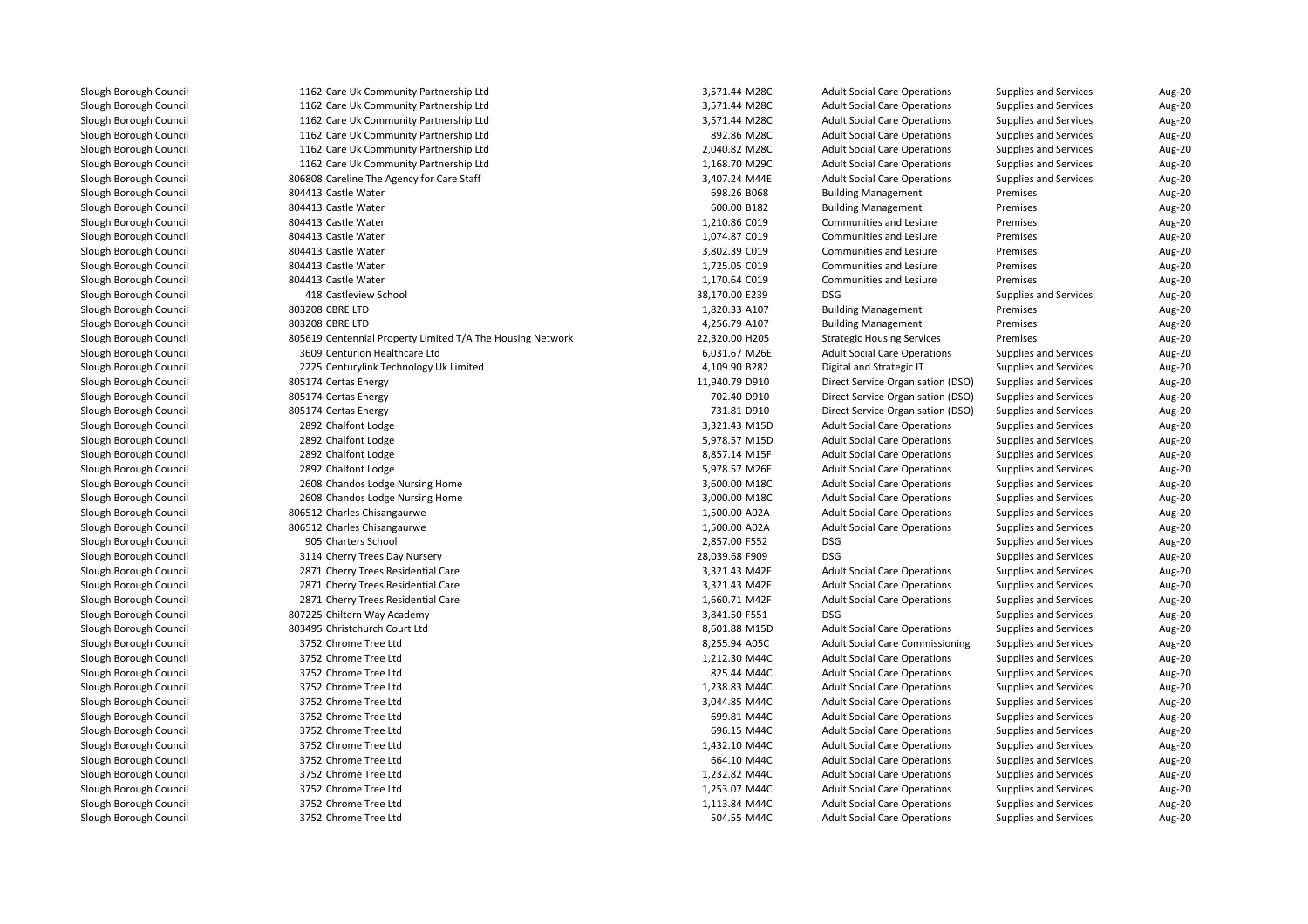| 1162 Care Uk Community Partnership Ltd                     | 3,571.44 M28C  | <b>Adult Social Care Operations</b>    | <b>Supplies and Services</b> | Aug-20 |
|------------------------------------------------------------|----------------|----------------------------------------|------------------------------|--------|
| 1162 Care Uk Community Partnership Ltd                     | 3,571.44 M28C  | <b>Adult Social Care Operations</b>    | <b>Supplies and Services</b> | Aug-20 |
| 1162 Care Uk Community Partnership Ltd                     | 3,571.44 M28C  | <b>Adult Social Care Operations</b>    | <b>Supplies and Services</b> | Aug-20 |
| 1162 Care Uk Community Partnership Ltd                     | 892.86 M28C    | <b>Adult Social Care Operations</b>    | <b>Supplies and Services</b> | Aug-20 |
| 1162 Care Uk Community Partnership Ltd                     | 2,040.82 M28C  | <b>Adult Social Care Operations</b>    | <b>Supplies and Services</b> | Aug-20 |
| 1162 Care Uk Community Partnership Ltd                     | 1,168.70 M29C  | <b>Adult Social Care Operations</b>    | <b>Supplies and Services</b> | Aug-20 |
| 806808 Careline The Agency for Care Staff                  | 3,407.24 M44E  | <b>Adult Social Care Operations</b>    | <b>Supplies and Services</b> | Aug-20 |
| 804413 Castle Water                                        | 698.26 B068    | <b>Building Management</b>             | Premises                     | Aug-20 |
| 804413 Castle Water                                        | 600.00 B182    | <b>Building Management</b>             | Premises                     | Aug-20 |
| 804413 Castle Water                                        | 1,210.86 C019  | Communities and Lesiure                | Premises                     | Aug-20 |
| 804413 Castle Water                                        | 1,074.87 C019  | <b>Communities and Lesiure</b>         | Premises                     | Aug-20 |
| 804413 Castle Water                                        | 3,802.39 C019  | Communities and Lesiure                | Premises                     | Aug-20 |
| 804413 Castle Water                                        | 1,725.05 C019  | Communities and Lesiure                | Premises                     | Aug-20 |
| 804413 Castle Water                                        | 1,170.64 C019  | Communities and Lesiure                | Premises                     | Aug-20 |
| 418 Castleview School                                      | 38,170.00 E239 | <b>DSG</b>                             | Supplies and Services        | Aug-20 |
| 803208 CBRE LTD                                            | 1,820.33 A107  | <b>Building Management</b>             | Premises                     | Aug-20 |
| 803208 CBRE LTD                                            | 4,256.79 A107  | <b>Building Management</b>             | Premises                     | Aug-20 |
| 805619 Centennial Property Limited T/A The Housing Network | 22,320.00 H205 | <b>Strategic Housing Services</b>      | Premises                     | Aug-20 |
| 3609 Centurion Healthcare Ltd                              | 6,031.67 M26E  | <b>Adult Social Care Operations</b>    | <b>Supplies and Services</b> | Aug-20 |
| 2225 Centurylink Technology Uk Limited                     | 4,109.90 B282  | Digital and Strategic IT               | <b>Supplies and Services</b> | Aug-20 |
| 805174 Certas Energy                                       | 11,940.79 D910 | Direct Service Organisation (DSO)      | Supplies and Services        | Aug-20 |
| 805174 Certas Energy                                       | 702.40 D910    | Direct Service Organisation (DSO)      | Supplies and Services        | Aug-20 |
| 805174 Certas Energy                                       | 731.81 D910    | Direct Service Organisation (DSO)      | Supplies and Services        | Aug-20 |
| 2892 Chalfont Lodge                                        | 3,321.43 M15D  | <b>Adult Social Care Operations</b>    | <b>Supplies and Services</b> | Aug-20 |
| 2892 Chalfont Lodge                                        | 5,978.57 M15D  | <b>Adult Social Care Operations</b>    | <b>Supplies and Services</b> | Aug-20 |
| 2892 Chalfont Lodge                                        | 8,857.14 M15F  | <b>Adult Social Care Operations</b>    | <b>Supplies and Services</b> | Aug-20 |
| 2892 Chalfont Lodge                                        | 5,978.57 M26E  | <b>Adult Social Care Operations</b>    | <b>Supplies and Services</b> | Aug-20 |
| 2608 Chandos Lodge Nursing Home                            | 3,600.00 M18C  | <b>Adult Social Care Operations</b>    | <b>Supplies and Services</b> | Aug-20 |
| 2608 Chandos Lodge Nursing Home                            | 3,000.00 M18C  | <b>Adult Social Care Operations</b>    | <b>Supplies and Services</b> | Aug-20 |
| 806512 Charles Chisangaurwe                                | 1,500.00 A02A  | <b>Adult Social Care Operations</b>    | Supplies and Services        | Aug-20 |
| 806512 Charles Chisangaurwe                                | 1,500.00 A02A  | <b>Adult Social Care Operations</b>    | <b>Supplies and Services</b> | Aug-20 |
| 905 Charters School                                        | 2,857.00 F552  | <b>DSG</b>                             | <b>Supplies and Services</b> | Aug-20 |
| 3114 Cherry Trees Day Nursery                              | 28,039.68 F909 | <b>DSG</b>                             | <b>Supplies and Services</b> | Aug-20 |
| 2871 Cherry Trees Residential Care                         | 3,321.43 M42F  | <b>Adult Social Care Operations</b>    | <b>Supplies and Services</b> | Aug-20 |
| 2871 Cherry Trees Residential Care                         | 3,321.43 M42F  | <b>Adult Social Care Operations</b>    | <b>Supplies and Services</b> | Aug-20 |
| 2871 Cherry Trees Residential Care                         | 1,660.71 M42F  | <b>Adult Social Care Operations</b>    | <b>Supplies and Services</b> | Aug-20 |
| 807225 Chiltern Way Academy                                | 3,841.50 F551  | <b>DSG</b>                             | <b>Supplies and Services</b> | Aug-20 |
| 803495 Christchurch Court Ltd                              | 8,601.88 M15D  | <b>Adult Social Care Operations</b>    | <b>Supplies and Services</b> | Aug-20 |
| 3752 Chrome Tree Ltd                                       | 8,255.94 A05C  | <b>Adult Social Care Commissioning</b> | Supplies and Services        | Aug-20 |
| 3752 Chrome Tree Ltd                                       | 1,212.30 M44C  | <b>Adult Social Care Operations</b>    | <b>Supplies and Services</b> | Aug-20 |
| 3752 Chrome Tree Ltd                                       | 825.44 M44C    | <b>Adult Social Care Operations</b>    | Supplies and Services        | Aug-20 |
| 3752 Chrome Tree Ltd                                       | 1,238.83 M44C  | <b>Adult Social Care Operations</b>    | <b>Supplies and Services</b> | Aug-20 |
| 3752 Chrome Tree Ltd                                       | 3,044.85 M44C  | <b>Adult Social Care Operations</b>    | Supplies and Services        | Aug-20 |
| 3752 Chrome Tree Ltd                                       | 699.81 M44C    | <b>Adult Social Care Operations</b>    | <b>Supplies and Services</b> | Aug-20 |
| 3752 Chrome Tree Ltd                                       | 696.15 M44C    | <b>Adult Social Care Operations</b>    | <b>Supplies and Services</b> | Aug-20 |
| 3752 Chrome Tree Ltd                                       | 1,432.10 M44C  | <b>Adult Social Care Operations</b>    | <b>Supplies and Services</b> | Aug-20 |
| 3752 Chrome Tree Ltd                                       | 664.10 M44C    | <b>Adult Social Care Operations</b>    | <b>Supplies and Services</b> | Aug-20 |
| 3752 Chrome Tree Ltd                                       | 1,232.82 M44C  | <b>Adult Social Care Operations</b>    | <b>Supplies and Services</b> | Aug-20 |
| 3752 Chrome Tree Ltd                                       | 1,253.07 M44C  | <b>Adult Social Care Operations</b>    | <b>Supplies and Services</b> | Aug-20 |
| 3752 Chrome Tree Ltd                                       | 1,113.84 M44C  | <b>Adult Social Care Operations</b>    | <b>Supplies and Services</b> | Aug-20 |
| 3752 Chrome Tree Ltd                                       | 504.55 M44C    | <b>Adult Social Care Operations</b>    | <b>Supplies and Services</b> | Aug-20 |
|                                                            |                |                                        |                              |        |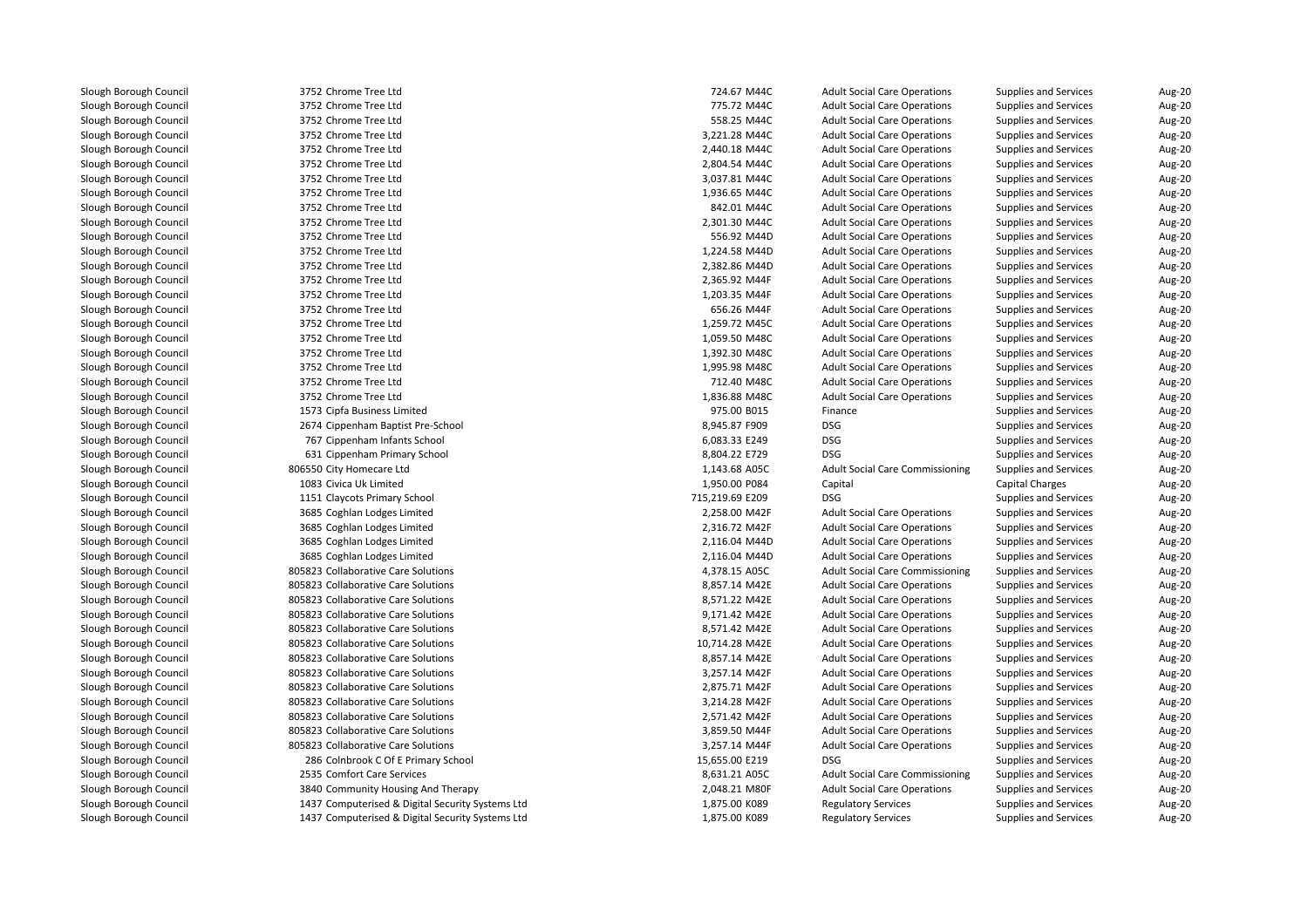| 3752 Chrome Tree Ltd                             | 724.67 M44C     | <b>Adult Social Care Operations</b>    | Supplies and Services        | Aug-20 |
|--------------------------------------------------|-----------------|----------------------------------------|------------------------------|--------|
| 3752 Chrome Tree Ltd                             | 775.72 M44C     | <b>Adult Social Care Operations</b>    | <b>Supplies and Services</b> | Aug-20 |
| 3752 Chrome Tree Ltd                             | 558.25 M44C     | <b>Adult Social Care Operations</b>    | <b>Supplies and Services</b> | Aug-20 |
| 3752 Chrome Tree Ltd                             | 3,221.28 M44C   | <b>Adult Social Care Operations</b>    | <b>Supplies and Services</b> | Aug-20 |
| 3752 Chrome Tree Ltd                             | 2,440.18 M44C   | <b>Adult Social Care Operations</b>    | <b>Supplies and Services</b> | Aug-20 |
| 3752 Chrome Tree Ltd                             | 2,804.54 M44C   | <b>Adult Social Care Operations</b>    | <b>Supplies and Services</b> | Aug-20 |
| 3752 Chrome Tree Ltd                             | 3,037.81 M44C   | <b>Adult Social Care Operations</b>    | <b>Supplies and Services</b> | Aug-20 |
| 3752 Chrome Tree Ltd                             | 1,936.65 M44C   | <b>Adult Social Care Operations</b>    | <b>Supplies and Services</b> | Aug-20 |
| 3752 Chrome Tree Ltd                             | 842.01 M44C     | <b>Adult Social Care Operations</b>    | <b>Supplies and Services</b> | Aug-20 |
| 3752 Chrome Tree Ltd                             | 2,301.30 M44C   | <b>Adult Social Care Operations</b>    | <b>Supplies and Services</b> | Aug-20 |
| 3752 Chrome Tree Ltd                             | 556.92 M44D     | <b>Adult Social Care Operations</b>    | <b>Supplies and Services</b> | Aug-20 |
| 3752 Chrome Tree Ltd                             | 1,224.58 M44D   | <b>Adult Social Care Operations</b>    | <b>Supplies and Services</b> | Aug-20 |
| 3752 Chrome Tree Ltd                             | 2,382.86 M44D   | <b>Adult Social Care Operations</b>    | <b>Supplies and Services</b> | Aug-20 |
| 3752 Chrome Tree Ltd                             | 2,365.92 M44F   | <b>Adult Social Care Operations</b>    | <b>Supplies and Services</b> | Aug-20 |
| 3752 Chrome Tree Ltd                             | 1,203.35 M44F   | <b>Adult Social Care Operations</b>    | <b>Supplies and Services</b> | Aug-20 |
| 3752 Chrome Tree Ltd                             | 656.26 M44F     | <b>Adult Social Care Operations</b>    | <b>Supplies and Services</b> | Aug-20 |
| 3752 Chrome Tree Ltd                             | 1,259.72 M45C   | <b>Adult Social Care Operations</b>    | <b>Supplies and Services</b> | Aug-20 |
| 3752 Chrome Tree Ltd                             | 1,059.50 M48C   | <b>Adult Social Care Operations</b>    | Supplies and Services        | Aug-20 |
| 3752 Chrome Tree Ltd                             | 1,392.30 M48C   | <b>Adult Social Care Operations</b>    | <b>Supplies and Services</b> | Aug-20 |
| 3752 Chrome Tree Ltd                             | 1,995.98 M48C   | <b>Adult Social Care Operations</b>    | <b>Supplies and Services</b> | Aug-20 |
| 3752 Chrome Tree Ltd                             | 712.40 M48C     | <b>Adult Social Care Operations</b>    | <b>Supplies and Services</b> | Aug-20 |
| 3752 Chrome Tree Ltd                             | 1,836.88 M48C   | <b>Adult Social Care Operations</b>    | <b>Supplies and Services</b> | Aug-20 |
| 1573 Cipfa Business Limited                      | 975.00 B015     | Finance                                | <b>Supplies and Services</b> | Aug-20 |
| 2674 Cippenham Baptist Pre-School                | 8,945.87 F909   | DSG                                    | <b>Supplies and Services</b> | Aug-20 |
| 767 Cippenham Infants School                     | 6,083.33 E249   | <b>DSG</b>                             | Supplies and Services        | Aug-20 |
| 631 Cippenham Primary School                     | 8,804.22 E729   | <b>DSG</b>                             | <b>Supplies and Services</b> | Aug-20 |
| 806550 City Homecare Ltd                         | 1,143.68 A05C   | <b>Adult Social Care Commissioning</b> | <b>Supplies and Services</b> | Aug-20 |
| 1083 Civica Uk Limited                           | 1,950.00 P084   | Capital                                | Capital Charges              | Aug-20 |
| 1151 Claycots Primary School                     | 715,219.69 E209 | <b>DSG</b>                             | <b>Supplies and Services</b> | Aug-20 |
| 3685 Coghlan Lodges Limited                      | 2,258.00 M42F   | <b>Adult Social Care Operations</b>    | <b>Supplies and Services</b> | Aug-20 |
| 3685 Coghlan Lodges Limited                      | 2,316.72 M42F   | <b>Adult Social Care Operations</b>    | Supplies and Services        | Aug-20 |
| 3685 Coghlan Lodges Limited                      | 2,116.04 M44D   | <b>Adult Social Care Operations</b>    | <b>Supplies and Services</b> | Aug-20 |
| 3685 Coghlan Lodges Limited                      | 2,116.04 M44D   | <b>Adult Social Care Operations</b>    | <b>Supplies and Services</b> | Aug-20 |
| 805823 Collaborative Care Solutions              | 4,378.15 A05C   | <b>Adult Social Care Commissioning</b> | <b>Supplies and Services</b> | Aug-20 |
| 805823 Collaborative Care Solutions              | 8,857.14 M42E   | <b>Adult Social Care Operations</b>    | <b>Supplies and Services</b> | Aug-20 |
| 805823 Collaborative Care Solutions              | 8,571.22 M42E   | <b>Adult Social Care Operations</b>    | <b>Supplies and Services</b> | Aug-20 |
| 805823 Collaborative Care Solutions              | 9,171.42 M42E   | <b>Adult Social Care Operations</b>    | <b>Supplies and Services</b> | Aug-20 |
| 805823 Collaborative Care Solutions              | 8,571.42 M42E   | <b>Adult Social Care Operations</b>    | Supplies and Services        | Aug-20 |
| 805823 Collaborative Care Solutions              | 10,714.28 M42E  | <b>Adult Social Care Operations</b>    | <b>Supplies and Services</b> | Aug-20 |
| 805823 Collaborative Care Solutions              | 8,857.14 M42E   | <b>Adult Social Care Operations</b>    | <b>Supplies and Services</b> | Aug-20 |
| 805823 Collaborative Care Solutions              | 3,257.14 M42F   | <b>Adult Social Care Operations</b>    | <b>Supplies and Services</b> | Aug-20 |
| 805823 Collaborative Care Solutions              | 2,875.71 M42F   | <b>Adult Social Care Operations</b>    | <b>Supplies and Services</b> | Aug-20 |
| 805823 Collaborative Care Solutions              | 3,214.28 M42F   | <b>Adult Social Care Operations</b>    | <b>Supplies and Services</b> | Aug-20 |
| 805823 Collaborative Care Solutions              | 2,571.42 M42F   | <b>Adult Social Care Operations</b>    | <b>Supplies and Services</b> | Aug-20 |
| 805823 Collaborative Care Solutions              | 3,859.50 M44F   | <b>Adult Social Care Operations</b>    | Supplies and Services        | Aug-20 |
| 805823 Collaborative Care Solutions              | 3,257.14 M44F   | <b>Adult Social Care Operations</b>    | <b>Supplies and Services</b> | Aug-20 |
| 286 Colnbrook C Of E Primary School              | 15,655.00 E219  | <b>DSG</b>                             | <b>Supplies and Services</b> | Aug-20 |
| 2535 Comfort Care Services                       | 8,631.21 A05C   | <b>Adult Social Care Commissioning</b> | <b>Supplies and Services</b> | Aug-20 |
| 3840 Community Housing And Therapy               | 2,048.21 M80F   | <b>Adult Social Care Operations</b>    | <b>Supplies and Services</b> | Aug-20 |
| 1437 Computerised & Digital Security Systems Ltd | 1,875.00 K089   | <b>Regulatory Services</b>             | Supplies and Services        | Aug-20 |
| 1437 Computerised & Digital Security Systems Ltd | 1,875.00 K089   | <b>Regulatory Services</b>             | <b>Supplies and Services</b> | Aug-20 |
|                                                  |                 |                                        |                              |        |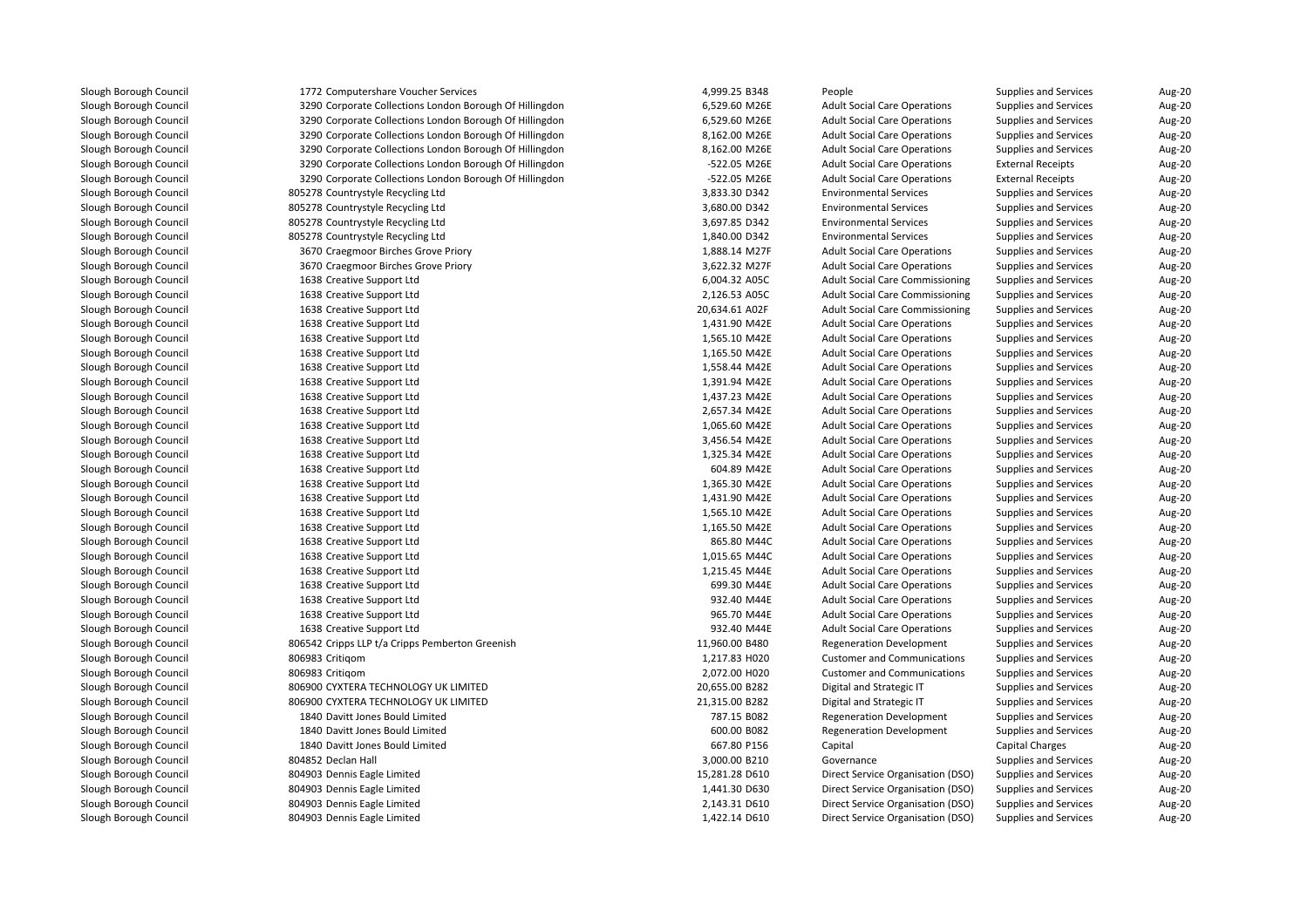| 1772 Computershare Voucher Services                     | 4,999.25 B348  | People                                 | <b>Supplies and Services</b> | Aug-20 |
|---------------------------------------------------------|----------------|----------------------------------------|------------------------------|--------|
| 3290 Corporate Collections London Borough Of Hillingdon | 6,529.60 M26E  | <b>Adult Social Care Operations</b>    | <b>Supplies and Services</b> | Aug-20 |
| 3290 Corporate Collections London Borough Of Hillingdon | 6,529.60 M26E  | <b>Adult Social Care Operations</b>    | <b>Supplies and Services</b> | Aug-20 |
| 3290 Corporate Collections London Borough Of Hillingdon | 8,162.00 M26E  | <b>Adult Social Care Operations</b>    | <b>Supplies and Services</b> | Aug-20 |
| 3290 Corporate Collections London Borough Of Hillingdon | 8,162.00 M26E  | <b>Adult Social Care Operations</b>    | <b>Supplies and Services</b> | Aug-20 |
| 3290 Corporate Collections London Borough Of Hillingdon | -522.05 M26E   | <b>Adult Social Care Operations</b>    | <b>External Receipts</b>     | Aug-20 |
| 3290 Corporate Collections London Borough Of Hillingdon | -522.05 M26E   | <b>Adult Social Care Operations</b>    | <b>External Receipts</b>     | Aug-20 |
| 805278 Countrystyle Recycling Ltd                       | 3,833.30 D342  | <b>Environmental Services</b>          | <b>Supplies and Services</b> | Aug-20 |
| 805278 Countrystyle Recycling Ltd                       | 3,680.00 D342  | <b>Environmental Services</b>          | Supplies and Services        | Aug-20 |
| 805278 Countrystyle Recycling Ltd                       | 3,697.85 D342  | <b>Environmental Services</b>          | <b>Supplies and Services</b> | Aug-20 |
| 805278 Countrystyle Recycling Ltd                       | 1,840.00 D342  | <b>Environmental Services</b>          | Supplies and Services        | Aug-20 |
| 3670 Craegmoor Birches Grove Priory                     | 1,888.14 M27F  | <b>Adult Social Care Operations</b>    | <b>Supplies and Services</b> | Aug-20 |
| 3670 Craegmoor Birches Grove Priory                     | 3,622.32 M27F  | <b>Adult Social Care Operations</b>    | <b>Supplies and Services</b> | Aug-20 |
| 1638 Creative Support Ltd                               | 6,004.32 A05C  | <b>Adult Social Care Commissioning</b> | <b>Supplies and Services</b> | Aug-20 |
| 1638 Creative Support Ltd                               | 2,126.53 A05C  | <b>Adult Social Care Commissioning</b> | <b>Supplies and Services</b> | Aug-20 |
| 1638 Creative Support Ltd                               | 20,634.61 A02F | <b>Adult Social Care Commissioning</b> | <b>Supplies and Services</b> | Aug-20 |
| 1638 Creative Support Ltd                               | 1,431.90 M42E  | <b>Adult Social Care Operations</b>    | <b>Supplies and Services</b> | Aug-20 |
| 1638 Creative Support Ltd                               | 1,565.10 M42E  | <b>Adult Social Care Operations</b>    | <b>Supplies and Services</b> | Aug-20 |
| 1638 Creative Support Ltd                               | 1,165.50 M42E  | <b>Adult Social Care Operations</b>    | <b>Supplies and Services</b> | Aug-20 |
| 1638 Creative Support Ltd                               | 1,558.44 M42E  | <b>Adult Social Care Operations</b>    | <b>Supplies and Services</b> | Aug-20 |
| 1638 Creative Support Ltd                               | 1,391.94 M42E  | <b>Adult Social Care Operations</b>    | <b>Supplies and Services</b> | Aug-20 |
| 1638 Creative Support Ltd                               | 1,437.23 M42E  | <b>Adult Social Care Operations</b>    | <b>Supplies and Services</b> | Aug-20 |
| 1638 Creative Support Ltd                               | 2,657.34 M42E  | <b>Adult Social Care Operations</b>    | <b>Supplies and Services</b> | Aug-20 |
| 1638 Creative Support Ltd                               | 1,065.60 M42E  | <b>Adult Social Care Operations</b>    | Supplies and Services        | Aug-20 |
| 1638 Creative Support Ltd                               | 3,456.54 M42E  | <b>Adult Social Care Operations</b>    | Supplies and Services        | Aug-20 |
| 1638 Creative Support Ltd                               | 1,325.34 M42E  | <b>Adult Social Care Operations</b>    | <b>Supplies and Services</b> | Aug-20 |
| 1638 Creative Support Ltd                               | 604.89 M42E    | <b>Adult Social Care Operations</b>    | <b>Supplies and Services</b> | Aug-20 |
| 1638 Creative Support Ltd                               | 1,365.30 M42E  | <b>Adult Social Care Operations</b>    | <b>Supplies and Services</b> | Aug-20 |
| 1638 Creative Support Ltd                               | 1,431.90 M42E  | <b>Adult Social Care Operations</b>    | <b>Supplies and Services</b> | Aug-20 |
| 1638 Creative Support Ltd                               | 1,565.10 M42E  | <b>Adult Social Care Operations</b>    | <b>Supplies and Services</b> | Aug-20 |
| 1638 Creative Support Ltd                               | 1,165.50 M42E  | <b>Adult Social Care Operations</b>    | <b>Supplies and Services</b> | Aug-20 |
| 1638 Creative Support Ltd                               | 865.80 M44C    | <b>Adult Social Care Operations</b>    | <b>Supplies and Services</b> | Aug-20 |
| 1638 Creative Support Ltd                               | 1,015.65 M44C  | <b>Adult Social Care Operations</b>    | <b>Supplies and Services</b> | Aug-20 |
| 1638 Creative Support Ltd                               | 1,215.45 M44E  | <b>Adult Social Care Operations</b>    | <b>Supplies and Services</b> | Aug-20 |
| 1638 Creative Support Ltd                               | 699.30 M44E    | <b>Adult Social Care Operations</b>    | <b>Supplies and Services</b> | Aug-20 |
| 1638 Creative Support Ltd                               | 932.40 M44E    | <b>Adult Social Care Operations</b>    | <b>Supplies and Services</b> | Aug-20 |
| 1638 Creative Support Ltd                               | 965.70 M44E    | <b>Adult Social Care Operations</b>    | Supplies and Services        | Aug-20 |
| 1638 Creative Support Ltd                               | 932.40 M44E    | <b>Adult Social Care Operations</b>    | <b>Supplies and Services</b> | Aug-20 |
| 806542 Cripps LLP t/a Cripps Pemberton Greenish         | 11,960.00 B480 | <b>Regeneration Development</b>        | <b>Supplies and Services</b> | Aug-20 |
| 806983 Critigom                                         | 1,217.83 H020  | <b>Customer and Communications</b>     | <b>Supplies and Services</b> | Aug-20 |
| 806983 Critigom                                         | 2,072.00 H020  | <b>Customer and Communications</b>     | <b>Supplies and Services</b> | Aug-20 |
| 806900 CYXTERA TECHNOLOGY UK LIMITED                    | 20,655.00 B282 | Digital and Strategic IT               | <b>Supplies and Services</b> | Aug-20 |
| 806900 CYXTERA TECHNOLOGY UK LIMITED                    | 21,315.00 B282 | Digital and Strategic IT               | Supplies and Services        | Aug-20 |
| 1840 Davitt Jones Bould Limited                         | 787.15 B082    | <b>Regeneration Development</b>        | <b>Supplies and Services</b> | Aug-20 |
| 1840 Davitt Jones Bould Limited                         | 600.00 B082    | <b>Regeneration Development</b>        | Supplies and Services        | Aug-20 |
| 1840 Davitt Jones Bould Limited                         | 667.80 P156    | Capital                                | Capital Charges              | Aug-20 |
| 804852 Declan Hall                                      | 3,000.00 B210  | Governance                             | <b>Supplies and Services</b> | Aug-20 |
| 804903 Dennis Eagle Limited                             | 15,281.28 D610 | Direct Service Organisation (DSO)      | Supplies and Services        | Aug-20 |
| 804903 Dennis Eagle Limited                             | 1,441.30 D630  | Direct Service Organisation (DSO)      | Supplies and Services        | Aug-20 |
| 804903 Dennis Eagle Limited                             | 2,143.31 D610  | Direct Service Organisation (DSO)      | <b>Supplies and Services</b> | Aug-20 |
| 804903 Dennis Eagle Limited                             | 1,422.14 D610  | Direct Service Organisation (DSO)      | Supplies and Services        | Aug-20 |
|                                                         |                |                                        |                              |        |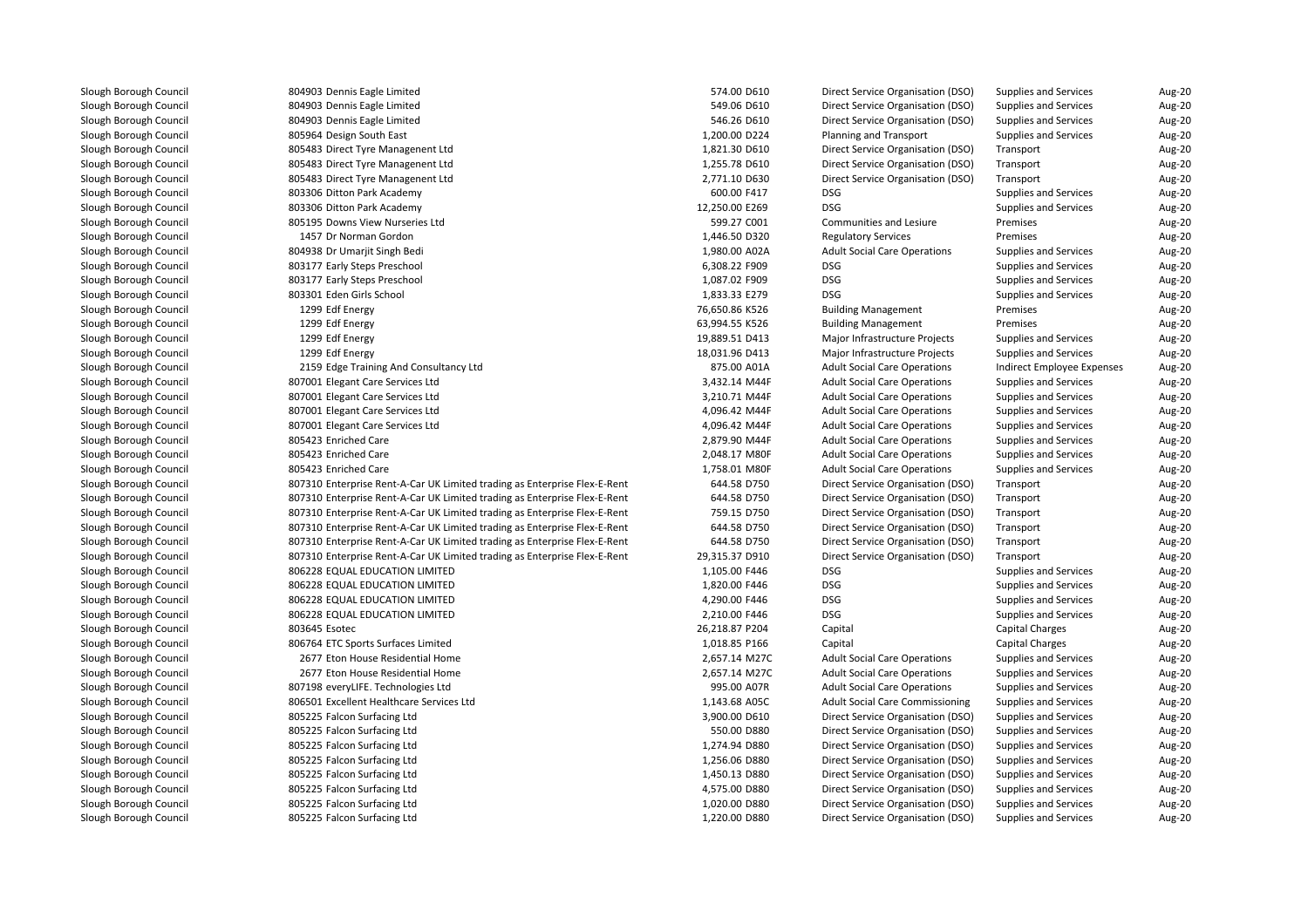| 804903 Dennis Eagle Limited                                               | 574.00 D610                  | Direct Service Organisation (DSO)      | Supplies and Services        | Aug-20        |
|---------------------------------------------------------------------------|------------------------------|----------------------------------------|------------------------------|---------------|
| 804903 Dennis Eagle Limited                                               | 549.06 D610                  | Direct Service Organisation (DSO)      | Supplies and Services        | Aug-20        |
| 804903 Dennis Eagle Limited                                               | 546.26 D610                  | Direct Service Organisation (DSO)      | Supplies and Services        | Aug-20        |
| 805964 Design South East                                                  | 1,200.00 D224                | Planning and Transport                 | <b>Supplies and Services</b> | Aug-20        |
| 805483 Direct Tyre Managenent Ltd                                         | 1,821.30 D610                | Direct Service Organisation (DSO)      | Transport                    | Aug-20        |
| 805483 Direct Tyre Managenent Ltd                                         | 1,255.78 D610                | Direct Service Organisation (DSO)      | Transport                    | Aug-20        |
| 805483 Direct Tyre Managenent Ltd                                         | 2,771.10 D630                | Direct Service Organisation (DSO)      | Transport                    | Aug-20        |
| 803306 Ditton Park Academy                                                | 600.00 F417                  | <b>DSG</b>                             | <b>Supplies and Services</b> | Aug-20        |
| 803306 Ditton Park Academy                                                | 12,250.00 E269               | <b>DSG</b>                             | <b>Supplies and Services</b> | Aug-20        |
| 805195 Downs View Nurseries Ltd                                           | 599.27 C001                  | Communities and Lesiure                | Premises                     | Aug-20        |
| 1457 Dr Norman Gordon                                                     | 1,446.50 D320                | <b>Regulatory Services</b>             | Premises                     | Aug-20        |
| 804938 Dr Umarjit Singh Bedi                                              | 1,980.00 A02A                | <b>Adult Social Care Operations</b>    | <b>Supplies and Services</b> | Aug-20        |
| 803177 Early Steps Preschool                                              | 6,308.22 F909                | DSG                                    | Supplies and Services        | Aug-20        |
| 803177 Early Steps Preschool                                              | 1,087.02 F909                | <b>DSG</b>                             | <b>Supplies and Services</b> | Aug-20        |
| 803301 Eden Girls School                                                  | 1,833.33 E279                | <b>DSG</b>                             | <b>Supplies and Services</b> | Aug-20        |
| 1299 Edf Energy                                                           | 76,650.86 K526               | <b>Building Management</b>             | Premises                     | Aug-20        |
| 1299 Edf Energy                                                           | 63,994.55 K526               | <b>Building Management</b>             | Premises                     | Aug-20        |
| 1299 Edf Energy                                                           | 19,889.51 D413               | Major Infrastructure Projects          | <b>Supplies and Services</b> | Aug-20        |
| 1299 Edf Energy                                                           | 18,031.96 D413               | Major Infrastructure Projects          | <b>Supplies and Services</b> | Aug-20        |
| 2159 Edge Training And Consultancy Ltd                                    | 875.00 A01A                  | <b>Adult Social Care Operations</b>    | Indirect Employee Expenses   | Aug-20        |
| 807001 Elegant Care Services Ltd                                          | 3,432.14 M44F                | <b>Adult Social Care Operations</b>    | <b>Supplies and Services</b> | Aug-20        |
| 807001 Elegant Care Services Ltd                                          | 3,210.71 M44F                | <b>Adult Social Care Operations</b>    | <b>Supplies and Services</b> | <b>Aug-20</b> |
| 807001 Elegant Care Services Ltd                                          | 4,096.42 M44F                | <b>Adult Social Care Operations</b>    | Supplies and Services        | Aug-20        |
| 807001 Elegant Care Services Ltd                                          | 4,096.42 M44F                | <b>Adult Social Care Operations</b>    | Supplies and Services        | Aug-20        |
| 805423 Enriched Care                                                      | 2,879.90 M44F                | <b>Adult Social Care Operations</b>    | <b>Supplies and Services</b> | Aug-20        |
| 805423 Enriched Care                                                      | 2,048.17 M80F                | <b>Adult Social Care Operations</b>    | <b>Supplies and Services</b> | Aug-20        |
| 805423 Enriched Care                                                      | 1,758.01 M80F                | <b>Adult Social Care Operations</b>    | Supplies and Services        | Aug-20        |
| 807310 Enterprise Rent-A-Car UK Limited trading as Enterprise Flex-E-Rent | 644.58 D750                  | Direct Service Organisation (DSO)      | Transport                    | Aug-20        |
| 807310 Enterprise Rent-A-Car UK Limited trading as Enterprise Flex-E-Rent | 644.58 D750                  | Direct Service Organisation (DSO)      | Transport                    | Aug-20        |
| 807310 Enterprise Rent-A-Car UK Limited trading as Enterprise Flex-E-Rent | 759.15 D750                  | Direct Service Organisation (DSO)      | Transport                    | Aug-20        |
| 807310 Enterprise Rent-A-Car UK Limited trading as Enterprise Flex-E-Rent | 644.58 D750                  | Direct Service Organisation (DSO)      | Transport                    | Aug-20        |
| 807310 Enterprise Rent-A-Car UK Limited trading as Enterprise Flex-E-Rent | 644.58 D750                  | Direct Service Organisation (DSO)      | Transport                    | Aug-20        |
| 807310 Enterprise Rent-A-Car UK Limited trading as Enterprise Flex-E-Rent | 29,315.37 D910               | Direct Service Organisation (DSO)      | Transport                    | Aug-20        |
| 806228 EQUAL EDUCATION LIMITED                                            | 1,105.00 F446                | <b>DSG</b>                             | <b>Supplies and Services</b> | Aug-20        |
| 806228 EQUAL EDUCATION LIMITED                                            | 1,820.00 F446                | DSG                                    | <b>Supplies and Services</b> | Aug-20        |
| 806228 EQUAL EDUCATION LIMITED                                            | 4,290.00 F446                | DSG                                    | <b>Supplies and Services</b> | Aug-20        |
| 806228 EQUAL EDUCATION LIMITED                                            | 2,210.00 F446                | <b>DSG</b>                             | <b>Supplies and Services</b> | Aug-20        |
| 803645 Esotec                                                             | 26,218.87 P204               | Capital                                | <b>Capital Charges</b>       | <b>Aug-20</b> |
| 806764 ETC Sports Surfaces Limited                                        | 1,018.85 P166                | Capital                                | <b>Capital Charges</b>       | Aug-20        |
| 2677 Eton House Residential Home                                          | 2,657.14 M27C                | <b>Adult Social Care Operations</b>    | <b>Supplies and Services</b> | Aug-20        |
| 2677 Eton House Residential Home                                          | 2,657.14 M27C                | <b>Adult Social Care Operations</b>    | <b>Supplies and Services</b> | Aug-20        |
| 807198 everyLIFE. Technologies Ltd                                        | 995.00 A07R                  | <b>Adult Social Care Operations</b>    | Supplies and Services        | Aug-20        |
| 806501 Excellent Healthcare Services Ltd                                  | 1,143.68 A05C                | <b>Adult Social Care Commissioning</b> | <b>Supplies and Services</b> |               |
|                                                                           |                              |                                        |                              | Aug-20        |
| 805225 Falcon Surfacing Ltd                                               | 3,900.00 D610<br>550.00 D880 | Direct Service Organisation (DSO)      | <b>Supplies and Services</b> | Aug-20        |
| 805225 Falcon Surfacing Ltd                                               |                              | Direct Service Organisation (DSO)      | <b>Supplies and Services</b> | Aug-20        |
| 805225 Falcon Surfacing Ltd                                               | 1,274.94 D880                | Direct Service Organisation (DSO)      | <b>Supplies and Services</b> | <b>Aug-20</b> |
| 805225 Falcon Surfacing Ltd                                               | 1,256.06 D880                | Direct Service Organisation (DSO)      | <b>Supplies and Services</b> | Aug-20        |
| 805225 Falcon Surfacing Ltd                                               | 1,450.13 D880                | Direct Service Organisation (DSO)      | <b>Supplies and Services</b> | Aug-20        |
| 805225 Falcon Surfacing Ltd                                               | 4,575.00 D880                | Direct Service Organisation (DSO)      | <b>Supplies and Services</b> | Aug-20        |
| 805225 Falcon Surfacing Ltd                                               | 1,020.00 D880                | Direct Service Organisation (DSO)      | <b>Supplies and Services</b> | Aug-20        |
| 805225 Falcon Surfacing Ltd                                               | 1.220.00 D880                | Direct Service Organisation (DSO)      | Supplies and Services        | <b>Aug-20</b> |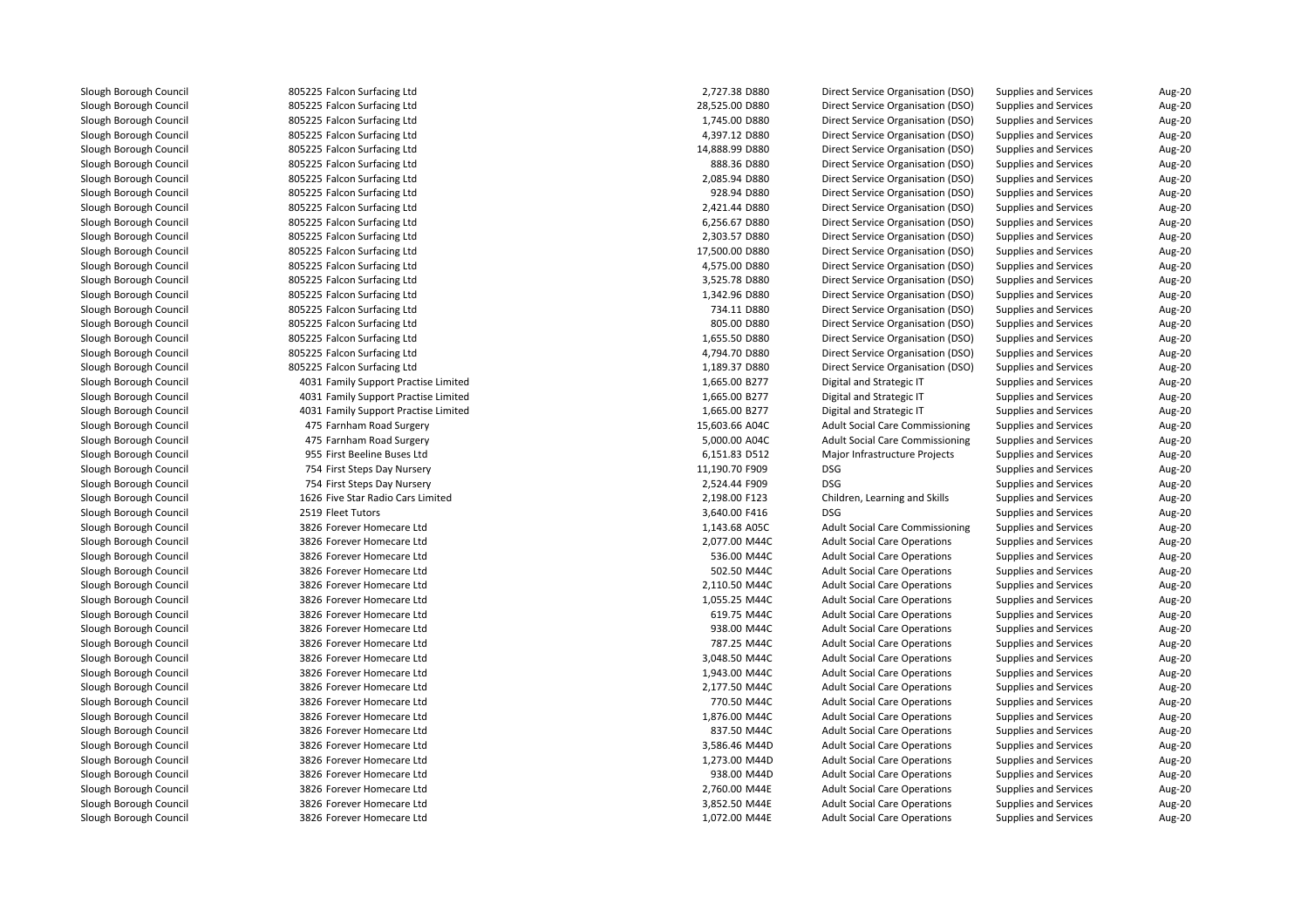805225 Falcon Surfacing Ltd 805225 Falcon Surfacing Ltd 805225 Falcon Surfacing Ltd 805225 Falcon Surfacing Ltd 805225 Falcon Surfacing Ltd 805225 Falcon Surfacing Ltd 805225 Falcon Surfacing Ltd 805225 Falcon Surfacing Ltd 805225 Falcon Surfacing Ltd 805225 Falcon Surfacing Ltd 805225 Falcon Surfacing Ltd 805225 Falcon Surfacing Ltd 805225 Falcon Surfacing Ltd 805225 Falcon Surfacing Ltd 805225 Falcon Surfacing Ltd 805225 Falcon Surfacing Ltd 805225 Falcon Surfacing Ltd 805225 Falcon Surfacing Ltd 805225 Falcon Surfacing Ltd 805225 Falcon Surfacing Ltd 4031 Family Support Practise Limited 4031 Family Support Practise Limited 4031 Family Support Practise Limited 475 Farnham Road Surgery 15,603.66 A04C 475 Farnham Road Surgery 5,000.00 A04C 955 First Beeline Buses Ltd 754 First Steps Day Nursery 11,190.70 F909 DSG 754 First Steps Day Nursery 2,524.44 F909 DSG 1626 Five Star Radio Cars Limited2519 Fleet Tutors 9 Fleet Tutors **DSG** DSG **DSG 2006** CONSERVERS **3,640.00 F416** DSG 3826 Forever Homecare Ltd 3826 Forever Homecare Ltd 3826 Forever Homecare Ltd 3826 Forever Homecare Ltd 3826 Forever Homecare Ltd 3826 Forever Homecare Ltd 3826 Forever Homecare Ltd 3826 Forever Homecare Ltd 3826 Forever Homecare Ltd 3826 Forever Homecare Ltd 3826 Forever Homecare Ltd 3826 Forever Homecare Ltd 3826 Forever Homecare Ltd 3826 Forever Homecare Ltd 3826 Forever Homecare Ltd 3826 Forever Homecare Ltd 3826 Forever Homecare Ltd 3826 Forever Homecare Ltd 3826 Forever Homecare Ltd 3826 Forever Homecare Ltd3826 Forever Homecare Ltd

| d             | 2,727.38 D880  | Direct Service Organisation (DSO)      | Supplies and Services        | Aug-20        |
|---------------|----------------|----------------------------------------|------------------------------|---------------|
| d             | 28,525.00 D880 | Direct Service Organisation (DSO)      | Supplies and Services        | Aug-20        |
| d             | 1,745.00 D880  | Direct Service Organisation (DSO)      | Supplies and Services        | Aug-20        |
| d             | 4,397.12 D880  | Direct Service Organisation (DSO)      | <b>Supplies and Services</b> | Aug-20        |
| d             | 14,888.99 D880 | Direct Service Organisation (DSO)      | <b>Supplies and Services</b> | Aug-20        |
| d             | 888.36 D880    | Direct Service Organisation (DSO)      | <b>Supplies and Services</b> | Aug-20        |
| d             | 2,085.94 D880  | Direct Service Organisation (DSO)      | <b>Supplies and Services</b> | <b>Aug-20</b> |
| d             | 928.94 D880    | Direct Service Organisation (DSO)      | <b>Supplies and Services</b> | Aug-20        |
| d             | 2,421.44 D880  | Direct Service Organisation (DSO)      | <b>Supplies and Services</b> | Aug-20        |
| d             | 6,256.67 D880  | Direct Service Organisation (DSO)      | <b>Supplies and Services</b> | Aug-20        |
| d             | 2,303.57 D880  | Direct Service Organisation (DSO)      | <b>Supplies and Services</b> | Aug-20        |
| d             | 17,500.00 D880 | Direct Service Organisation (DSO)      | Supplies and Services        | Aug-20        |
| d             | 4,575.00 D880  | Direct Service Organisation (DSO)      | <b>Supplies and Services</b> | Aug-20        |
| d             | 3,525.78 D880  | Direct Service Organisation (DSO)      | <b>Supplies and Services</b> | Aug-20        |
| d             | 1,342.96 D880  | Direct Service Organisation (DSO)      | <b>Supplies and Services</b> | Aug-20        |
| d             | 734.11 D880    | Direct Service Organisation (DSO)      | <b>Supplies and Services</b> | Aug-20        |
| d             | 805.00 D880    | Direct Service Organisation (DSO)      | <b>Supplies and Services</b> | Aug-20        |
|               |                |                                        |                              |               |
| d             | 1,655.50 D880  | Direct Service Organisation (DSO)      | <b>Supplies and Services</b> | Aug-20        |
| d             | 4,794.70 D880  | Direct Service Organisation (DSO)      | <b>Supplies and Services</b> | Aug-20        |
| d             | 1,189.37 D880  | Direct Service Organisation (DSO)      | Supplies and Services        | Aug-20        |
| ctise Limited | 1,665.00 B277  | Digital and Strategic IT               | <b>Supplies and Services</b> | Aug-20        |
| ctise Limited | 1,665.00 B277  | Digital and Strategic IT               | <b>Supplies and Services</b> | Aug-20        |
| ctise Limited | 1,665.00 B277  | Digital and Strategic IT               | <b>Supplies and Services</b> | Aug-20        |
| gery          | 15,603.66 A04C | <b>Adult Social Care Commissioning</b> | <b>Supplies and Services</b> | Aug-20        |
| gery          | 5,000.00 A04C  | <b>Adult Social Care Commissioning</b> | <b>Supplies and Services</b> | Aug-20        |
| Ltd           | 6,151.83 D512  | Major Infrastructure Projects          | <b>Supplies and Services</b> | Aug-20        |
| sery          | 11,190.70 F909 | <b>DSG</b>                             | Supplies and Services        | Aug-20        |
| sery          | 2,524.44 F909  | <b>DSG</b>                             | <b>Supplies and Services</b> | Aug-20        |
| s Limited     | 2,198.00 F123  | Children, Learning and Skills          | <b>Supplies and Services</b> | Aug-20        |
|               | 3,640.00 F416  | <b>DSG</b>                             | <b>Supplies and Services</b> | Aug-20        |
| Ltd           | 1,143.68 A05C  | <b>Adult Social Care Commissioning</b> | <b>Supplies and Services</b> | Aug-20        |
| Ltd           | 2,077.00 M44C  | <b>Adult Social Care Operations</b>    | <b>Supplies and Services</b> | Aug-20        |
| Ltd           | 536.00 M44C    | <b>Adult Social Care Operations</b>    | Supplies and Services        | Aug-20        |
| Ltd           | 502.50 M44C    | <b>Adult Social Care Operations</b>    | <b>Supplies and Services</b> | Aug-20        |
| Ltd           | 2,110.50 M44C  | <b>Adult Social Care Operations</b>    | Supplies and Services        | Aug-20        |
| Ltd           | 1,055.25 M44C  | <b>Adult Social Care Operations</b>    | <b>Supplies and Services</b> | Aug-20        |
| Ltd           | 619.75 M44C    | <b>Adult Social Care Operations</b>    | Supplies and Services        | Aug-20        |
| Ltd           | 938.00 M44C    | <b>Adult Social Care Operations</b>    | <b>Supplies and Services</b> | Aug-20        |
| Ltd           | 787.25 M44C    | <b>Adult Social Care Operations</b>    | <b>Supplies and Services</b> | <b>Aug-20</b> |
| Ltd           | 3,048.50 M44C  | <b>Adult Social Care Operations</b>    | <b>Supplies and Services</b> | Aug-20        |
| Ltd           | 1,943.00 M44C  | <b>Adult Social Care Operations</b>    | <b>Supplies and Services</b> | Aug-20        |
| Ltd           | 2,177.50 M44C  | <b>Adult Social Care Operations</b>    | <b>Supplies and Services</b> | Aug-20        |
| Ltd           | 770.50 M44C    | <b>Adult Social Care Operations</b>    | <b>Supplies and Services</b> | Aug-20        |
| Ltd           | 1,876.00 M44C  | <b>Adult Social Care Operations</b>    | Supplies and Services        | Aug-20        |
| Ltd           | 837.50 M44C    | <b>Adult Social Care Operations</b>    | <b>Supplies and Services</b> | Aug-20        |
| Ltd           | 3,586.46 M44D  | <b>Adult Social Care Operations</b>    | <b>Supplies and Services</b> | Aug-20        |
| Ltd           | 1,273.00 M44D  | <b>Adult Social Care Operations</b>    | <b>Supplies and Services</b> | Aug-20        |
| Ltd           | 938.00 M44D    | <b>Adult Social Care Operations</b>    | <b>Supplies and Services</b> | Aug-20        |
| Ltd           | 2,760.00 M44E  | <b>Adult Social Care Operations</b>    | <b>Supplies and Services</b> | Aug-20        |
| Ltd           | 3,852.50 M44E  | <b>Adult Social Care Operations</b>    | <b>Supplies and Services</b> | Aug-20        |
| Ltd           | 1,072.00 M44E  | <b>Adult Social Care Operations</b>    | <b>Supplies and Services</b> | Aug-20        |
|               |                |                                        |                              |               |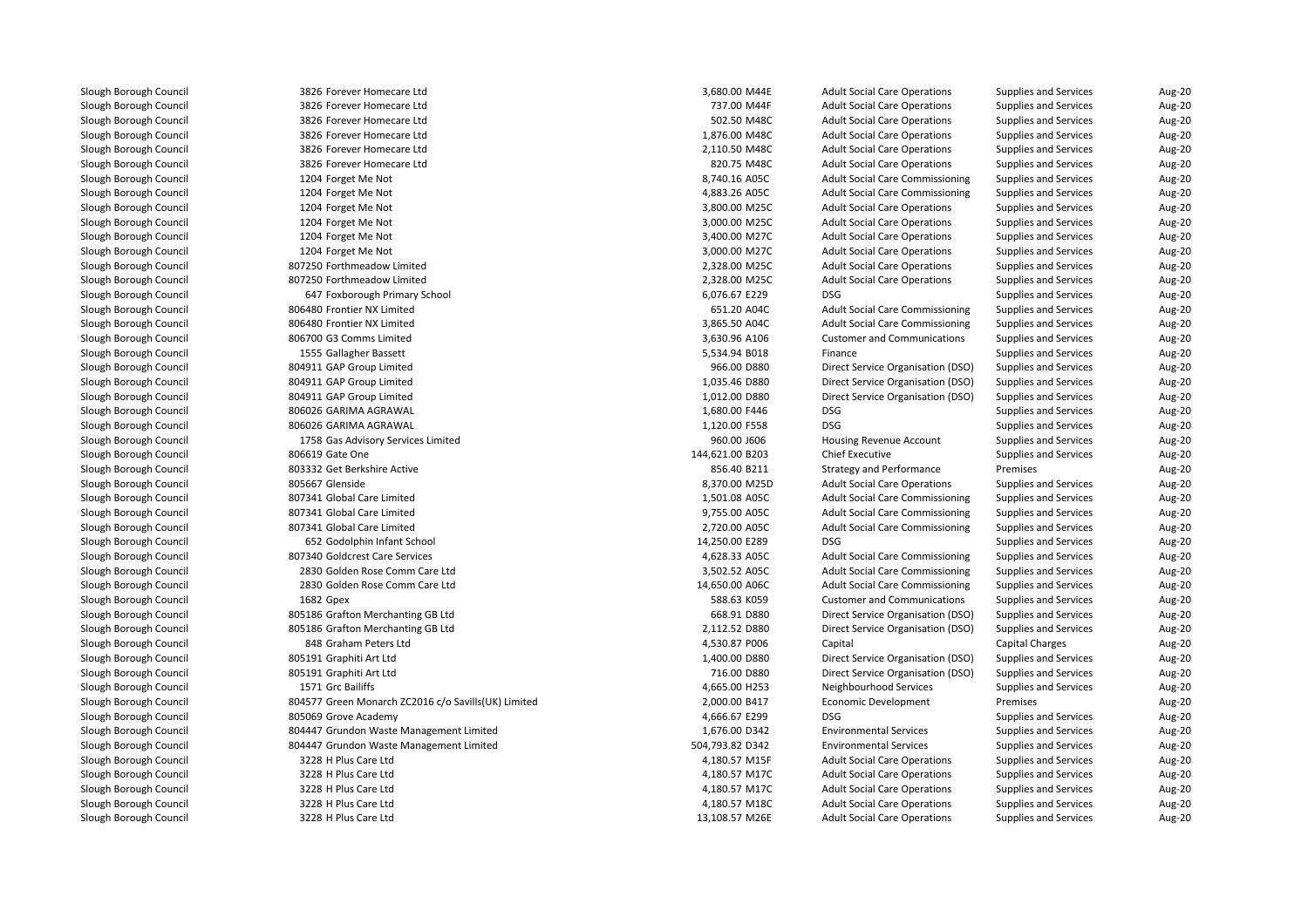3826 Forever Homecare Ltd 3826 Forever Homecare Ltd 3826 Forever Homecare Ltdd 502.50 M48C 3826 Forever Homecare Ltdd 1,876.00 M48C 3826 Forever Homecare Ltdd 2,110.50 M48C 3826 Forever Homecare Ltdd 820.75 M48C 1204 Forget Me Not 8,740.16 A05C 8,740.16 A05C 1204 Forget Me Not **4,883.26 A05C** 4,883.26 A05C 1204 Forget Me Not 3,800.00 M25C 3,800.00 M25C 3,800.00 M25C 3,800.00 M25C 3,800.00 M25C 3,800.00 M25C 3,800.00 M25C 1204 Forget Me Not 3,000.00 M25C 3,000.00 M25C 3,000.00 M25C 3,000.00 M25C 3,000.00 M25C 3,000.00 M25C 3,000.00 M25C 1204 Forget Me Not 3,400.00 M27C 3,400.00 M27C 3,400.00 M27C 1204 Forget Me Not 3,000.00 M27C 3,000.00 M27C 3,000.00 M27C 807250 Forthmeadow Limited 2,328.00 M25C 807250 Forthmeadow Limited 2,328.00 M25C 647 Foxborough Primary School 6,076.67 E229 DSG 806480 Frontier NX Limitedd 651.20 A04C 806480 Frontier NX Limitedd 3,865.50 A04C 806700 G3 Comms Limited1555 Gallagher Bassett 804911 GAP Group Limited 804911 GAP Group Limited 804911 GAP Group Limitedl 1,680.00 F446 B06026 GARIMA AGRAWAL 1,680.00 F446 BSG 2010 BSG 2010 BSG 2010 BSG 2010 BSG 2010 BSG 2010 BSG 20 l 1,120.00 F558 B06026 GARIMA AGRAWAL 1,120.00 F558 BSG 26 BSG 26 BSG 26 BSG 26 BSG 26 BSG 26 BSG 26 BSG 26 BSG 1758 Gas Advisory Services Limited806619 Gate One 803332 Get Berkshire Active 805667 Glenside 7 Glenside 8,370.00 M25D 807341 Global Care Limited 1,501.08 A05C 807341 Global Care Limited 9,755.00 A05C 807341 Global Care Limited 2,720.00 A05C 652GS2 Godolphin Infant School 14,250.000 E289 DSG 2006 PM Association 14,250.00 E289 DSG 2012 PM Association 14,<br>340.001 E289 DSG 2012 DSG 2012 PM Association 2012 PM Association 2013 PM Association 2013 PM Association 201 807340 Goldcrest Care Services 4,628.33 A05C 2830 Golden Rose Comm Care Ltd 2830 Golden Rose Comm Care Ltd1682 Gpex 805186 Grafton Merchanting GB Ltd 805186 Grafton Merchanting GB Ltd 848 Graham Peters Ltd 805191 Graphiti Art Ltd 805191 Graphiti Art Ltd1571 Grc Bailiffs 804577 Green Monarch ZC2016 c/o Savills(UK) Limitedl 1992 BOSOG9 Grove Academy 1993 and the series of the series of the series of the series of the series of the series of the series of the series of the series of the series of the series of the series of the series of the 804447 Grundon Waste Management Limited 804447 Grundon Waste Management Limited 3228 H Plus Care Ltd 3228 H Plus Care Ltdd 4,180.57 M17C 3228 H Plus Care Ltdd 4,180.57 M17C 3228 H Plus Care Ltdd 4,180.57 M18C

| 6 Forever Homecare Ltd                         | 3,680.00 M44E   | <b>Adult Social Care Operations</b>    | Supplies and Services        | Aug-20        |
|------------------------------------------------|-----------------|----------------------------------------|------------------------------|---------------|
| 6 Forever Homecare Ltd                         | 737.00 M44F     | <b>Adult Social Care Operations</b>    | <b>Supplies and Services</b> | Aug-20        |
| 6 Forever Homecare Ltd                         | 502.50 M48C     | <b>Adult Social Care Operations</b>    | <b>Supplies and Services</b> | Aug-20        |
| 6 Forever Homecare Ltd                         | 1,876.00 M48C   | <b>Adult Social Care Operations</b>    | <b>Supplies and Services</b> | Aug-20        |
| 6 Forever Homecare Ltd                         | 2,110.50 M48C   | <b>Adult Social Care Operations</b>    | <b>Supplies and Services</b> | Aug-20        |
| 6 Forever Homecare Ltd                         | 820.75 M48C     | <b>Adult Social Care Operations</b>    | <b>Supplies and Services</b> | Aug-20        |
| 4 Forget Me Not                                | 8,740.16 A05C   | <b>Adult Social Care Commissioning</b> | <b>Supplies and Services</b> | Aug-20        |
| 4 Forget Me Not                                | 4,883.26 A05C   | <b>Adult Social Care Commissioning</b> | <b>Supplies and Services</b> | Aug-20        |
| 4 Forget Me Not                                | 3,800.00 M25C   | <b>Adult Social Care Operations</b>    | <b>Supplies and Services</b> | <b>Aug-20</b> |
| 4 Forget Me Not                                | 3,000.00 M25C   | <b>Adult Social Care Operations</b>    | <b>Supplies and Services</b> | Aug-20        |
| 4 Forget Me Not                                | 3,400.00 M27C   | <b>Adult Social Care Operations</b>    | <b>Supplies and Services</b> | Aug-20        |
| 4 Forget Me Not                                | 3,000.00 M27C   | <b>Adult Social Care Operations</b>    | <b>Supplies and Services</b> | <b>Aug-20</b> |
| 0 Forthmeadow Limited                          | 2,328.00 M25C   | <b>Adult Social Care Operations</b>    | <b>Supplies and Services</b> | Aug-20        |
| 0 Forthmeadow Limited                          | 2,328.00 M25C   | <b>Adult Social Care Operations</b>    | <b>Supplies and Services</b> | Aug-20        |
| 7 Foxborough Primary School                    | 6,076.67 E229   | <b>DSG</b>                             | <b>Supplies and Services</b> | Aug-20        |
| 0 Frontier NX Limited                          | 651.20 A04C     | <b>Adult Social Care Commissioning</b> | <b>Supplies and Services</b> | Aug-20        |
| 0 Frontier NX Limited                          | 3,865.50 A04C   | <b>Adult Social Care Commissioning</b> | <b>Supplies and Services</b> | Aug-20        |
| 0 G3 Comms Limited                             | 3,630.96 A106   | <b>Customer and Communications</b>     | <b>Supplies and Services</b> | Aug-20        |
| 5 Gallagher Bassett                            | 5,534.94 B018   | Finance                                | <b>Supplies and Services</b> | Aug-20        |
| 1 GAP Group Limited                            | 966.00 D880     | Direct Service Organisation (DSO)      | <b>Supplies and Services</b> | Aug-20        |
| 1 GAP Group Limited                            | 1,035.46 D880   | Direct Service Organisation (DSO)      | <b>Supplies and Services</b> | Aug-20        |
| 1 GAP Group Limited                            | 1,012.00 D880   | Direct Service Organisation (DSO)      | <b>Supplies and Services</b> | Aug-20        |
| 6 GARIMA AGRAWAL                               | 1,680.00 F446   | DSG                                    | Supplies and Services        | <b>Aug-20</b> |
| 6 GARIMA AGRAWAL                               | 1,120.00 F558   | <b>DSG</b>                             | <b>Supplies and Services</b> | Aug-20        |
| 8 Gas Advisory Services Limited                | 960.00 J606     | Housing Revenue Account                | <b>Supplies and Services</b> | Aug-20        |
| 9 Gate One                                     | 144,621.00 B203 | <b>Chief Executive</b>                 | <b>Supplies and Services</b> | Aug-20        |
| 2 Get Berkshire Active                         | 856.40 B211     | <b>Strategy and Performance</b>        | Premises                     | Aug-20        |
| 7 Glenside                                     | 8,370.00 M25D   | <b>Adult Social Care Operations</b>    | Supplies and Services        | <b>Aug-20</b> |
| 1 Global Care Limited                          | 1,501.08 A05C   | <b>Adult Social Care Commissioning</b> | <b>Supplies and Services</b> | Aug-20        |
| 1 Global Care Limited                          | 9,755.00 A05C   | <b>Adult Social Care Commissioning</b> | <b>Supplies and Services</b> | Aug-20        |
| 1 Global Care Limited                          | 2,720.00 A05C   | <b>Adult Social Care Commissioning</b> | <b>Supplies and Services</b> | Aug-20        |
| 2 Godolphin Infant School                      | 14,250.00 E289  | <b>DSG</b>                             | <b>Supplies and Services</b> | Aug-20        |
| 0 Goldcrest Care Services                      | 4,628.33 A05C   | <b>Adult Social Care Commissioning</b> | <b>Supplies and Services</b> | Aug-20        |
| 0 Golden Rose Comm Care Ltd                    | 3,502.52 A05C   | <b>Adult Social Care Commissioning</b> | <b>Supplies and Services</b> | Aug-20        |
| 0 Golden Rose Comm Care Ltd                    | 14,650.00 A06C  | <b>Adult Social Care Commissioning</b> | <b>Supplies and Services</b> | <b>Aug-20</b> |
| 2 Gpex                                         | 588.63 K059     | <b>Customer and Communications</b>     | <b>Supplies and Services</b> | Aug-20        |
| 6 Grafton Merchanting GB Ltd                   | 668.91 D880     | Direct Service Organisation (DSO)      | <b>Supplies and Services</b> | Aug-20        |
| 6 Grafton Merchanting GB Ltd                   | 2,112.52 D880   | Direct Service Organisation (DSO)      | <b>Supplies and Services</b> | <b>Aug-20</b> |
| 8 Graham Peters Ltd                            | 4,530.87 P006   | Capital                                | <b>Capital Charges</b>       | Aug-20        |
| 1 Graphiti Art Ltd                             | 1,400.00 D880   | Direct Service Organisation (DSO)      | <b>Supplies and Services</b> | Aug-20        |
| 1 Graphiti Art Ltd                             | 716.00 D880     | Direct Service Organisation (DSO)      | <b>Supplies and Services</b> | <b>Aug-20</b> |
| 1 Grc Bailiffs                                 | 4,665.00 H253   | Neighbourhood Services                 | <b>Supplies and Services</b> | Aug-20        |
| 7 Green Monarch ZC2016 c/o Savills(UK) Limited | 2,000.00 B417   | <b>Economic Development</b>            | Premises                     | Aug-20        |
| 9 Grove Academy                                | 4,666.67 E299   | <b>DSG</b>                             | <b>Supplies and Services</b> | Aug-20        |
| 7 Grundon Waste Management Limited             | 1,676.00 D342   | <b>Environmental Services</b>          | Supplies and Services        | Aug-20        |
| 7 Grundon Waste Management Limited             | 504,793.82 D342 | <b>Environmental Services</b>          | <b>Supplies and Services</b> | <b>Aug-20</b> |
| 8 H Plus Care Ltd                              | 4,180.57 M15F   | <b>Adult Social Care Operations</b>    | <b>Supplies and Services</b> | <b>Aug-20</b> |
| 8 H Plus Care Ltd                              | 4,180.57 M17C   | <b>Adult Social Care Operations</b>    | <b>Supplies and Services</b> | <b>Aug-20</b> |
| 8 H Plus Care Ltd                              | 4,180.57 M17C   | <b>Adult Social Care Operations</b>    | <b>Supplies and Services</b> | Aug-20        |
| 8 H Plus Care Ltd                              | 4,180.57 M18C   | <b>Adult Social Care Operations</b>    | <b>Supplies and Services</b> | Aug-20        |
| 8 H Plus Care Ltd                              | 13,108.57 M26E  | <b>Adult Social Care Operations</b>    | <b>Supplies and Services</b> | Aug-20        |
|                                                |                 |                                        |                              |               |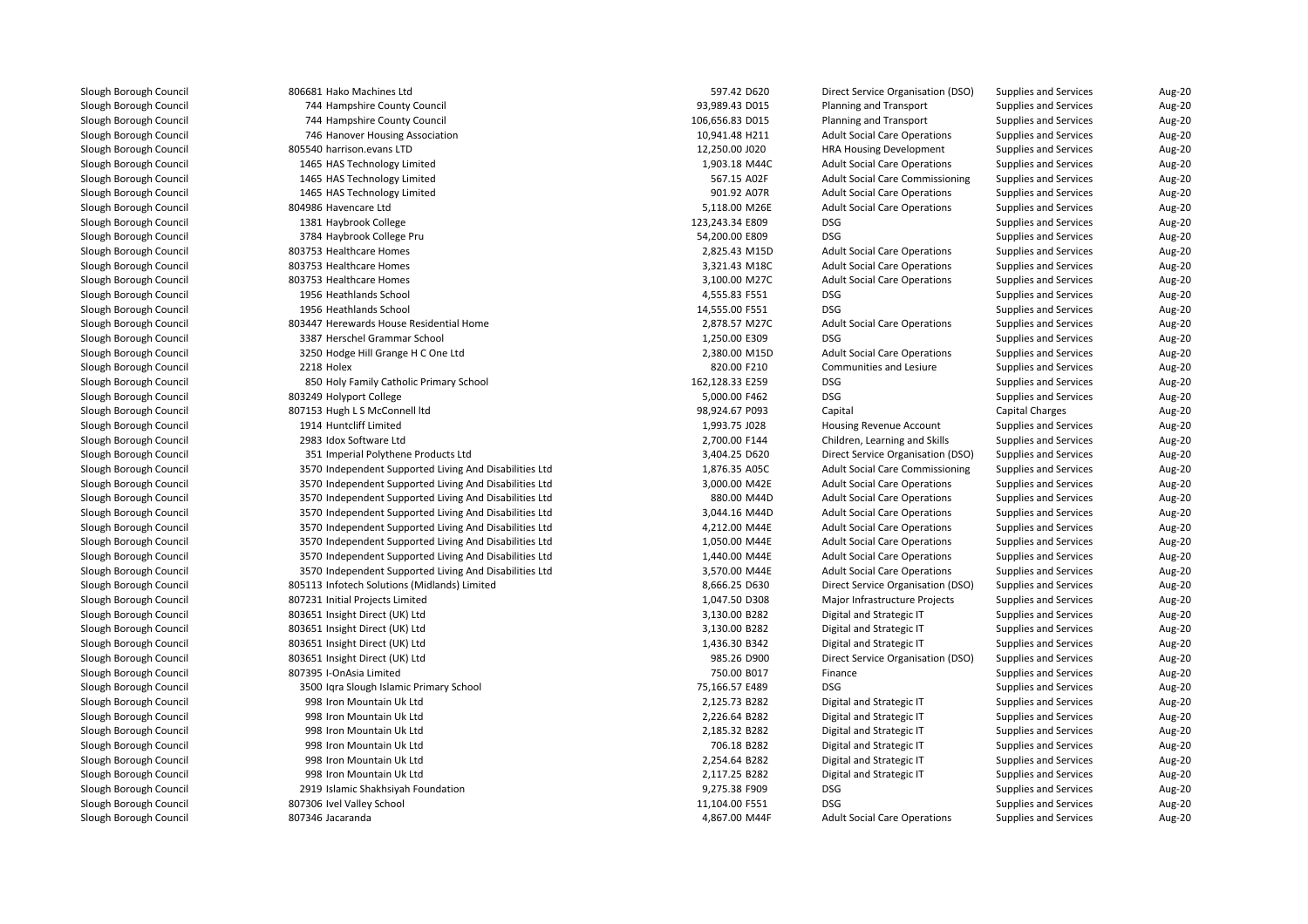| 806681 Hako Machines Ltd                               | 597.42 D620     | Direct Service Organisation (DSO)      | Supplies and Services        | Aug-20 |
|--------------------------------------------------------|-----------------|----------------------------------------|------------------------------|--------|
| 744 Hampshire County Council                           | 93,989.43 D015  | Planning and Transport                 | <b>Supplies and Services</b> | Aug-20 |
| 744 Hampshire County Council                           | 106,656.83 D015 | Planning and Transport                 | <b>Supplies and Services</b> | Aug-20 |
| 746 Hanover Housing Association                        | 10,941.48 H211  | <b>Adult Social Care Operations</b>    | <b>Supplies and Services</b> | Aug-20 |
| 805540 harrison.evans LTD                              | 12,250.00 J020  | <b>HRA Housing Development</b>         | <b>Supplies and Services</b> | Aug-20 |
| 1465 HAS Technology Limited                            | 1,903.18 M44C   | <b>Adult Social Care Operations</b>    | <b>Supplies and Services</b> | Aug-20 |
| 1465 HAS Technology Limited                            | 567.15 A02F     | <b>Adult Social Care Commissioning</b> | <b>Supplies and Services</b> | Aug-20 |
| 1465 HAS Technology Limited                            | 901.92 A07R     | <b>Adult Social Care Operations</b>    | <b>Supplies and Services</b> | Aug-20 |
| 804986 Havencare Ltd                                   | 5,118.00 M26E   | <b>Adult Social Care Operations</b>    | Supplies and Services        | Aug-20 |
| 1381 Haybrook College                                  | 123,243.34 E809 | <b>DSG</b>                             | <b>Supplies and Services</b> | Aug-20 |
| 3784 Haybrook College Pru                              | 54,200.00 E809  | <b>DSG</b>                             | <b>Supplies and Services</b> | Aug-20 |
| 803753 Healthcare Homes                                | 2,825.43 M15D   | <b>Adult Social Care Operations</b>    | Supplies and Services        | Aug-20 |
| 803753 Healthcare Homes                                | 3,321.43 M18C   | <b>Adult Social Care Operations</b>    | <b>Supplies and Services</b> | Aug-20 |
| 803753 Healthcare Homes                                | 3,100.00 M27C   | <b>Adult Social Care Operations</b>    | <b>Supplies and Services</b> | Aug-20 |
| 1956 Heathlands School                                 | 4,555.83 F551   | <b>DSG</b>                             | <b>Supplies and Services</b> | Aug-20 |
| 1956 Heathlands School                                 | 14,555.00 F551  | <b>DSG</b>                             | Supplies and Services        | Aug-20 |
| 803447 Herewards House Residential Home                | 2,878.57 M27C   | <b>Adult Social Care Operations</b>    | <b>Supplies and Services</b> | Aug-20 |
| 3387 Herschel Grammar School                           | 1,250.00 E309   | <b>DSG</b>                             | <b>Supplies and Services</b> | Aug-20 |
| 3250 Hodge Hill Grange H C One Ltd                     | 2,380.00 M15D   | <b>Adult Social Care Operations</b>    | <b>Supplies and Services</b> | Aug-20 |
| 2218 Holex                                             | 820.00 F210     | <b>Communities and Lesiure</b>         | <b>Supplies and Services</b> | Aug-20 |
| 850 Holy Family Catholic Primary School                | 162,128.33 E259 | <b>DSG</b>                             | <b>Supplies and Services</b> | Aug-20 |
| 803249 Holyport College                                | 5,000.00 F462   | DSG                                    | <b>Supplies and Services</b> | Aug-20 |
| 807153 Hugh L S McConnell ltd                          | 98,924.67 P093  | Capital                                | <b>Capital Charges</b>       | Aug-20 |
| 1914 Huntcliff Limited                                 | 1,993.75 J028   | Housing Revenue Account                | <b>Supplies and Services</b> | Aug-20 |
| 2983 Idox Software Ltd                                 | 2,700.00 F144   | Children, Learning and Skills          | <b>Supplies and Services</b> | Aug-20 |
| 351 Imperial Polythene Products Ltd                    | 3,404.25 D620   | Direct Service Organisation (DSO)      | <b>Supplies and Services</b> | Aug-20 |
| 3570 Independent Supported Living And Disabilities Ltd | 1,876.35 A05C   | <b>Adult Social Care Commissioning</b> | <b>Supplies and Services</b> | Aug-20 |
| 3570 Independent Supported Living And Disabilities Ltd | 3,000.00 M42E   | <b>Adult Social Care Operations</b>    | <b>Supplies and Services</b> | Aug-20 |
| 3570 Independent Supported Living And Disabilities Ltd | 880.00 M44D     | <b>Adult Social Care Operations</b>    | Supplies and Services        | Aug-20 |
| 3570 Independent Supported Living And Disabilities Ltd | 3,044.16 M44D   | <b>Adult Social Care Operations</b>    | <b>Supplies and Services</b> | Aug-20 |
| 3570 Independent Supported Living And Disabilities Ltd | 4,212.00 M44E   | <b>Adult Social Care Operations</b>    | Supplies and Services        | Aug-20 |
| 3570 Independent Supported Living And Disabilities Ltd | 1,050.00 M44E   | <b>Adult Social Care Operations</b>    | <b>Supplies and Services</b> | Aug-20 |
| 3570 Independent Supported Living And Disabilities Ltd | 1,440.00 M44E   | <b>Adult Social Care Operations</b>    | Supplies and Services        | Aug-20 |
| 3570 Independent Supported Living And Disabilities Ltd | 3,570.00 M44E   | <b>Adult Social Care Operations</b>    | <b>Supplies and Services</b> | Aug-20 |
| 805113 Infotech Solutions (Midlands) Limited           | 8,666.25 D630   | Direct Service Organisation (DSO)      | Supplies and Services        | Aug-20 |
| 807231 Initial Projects Limited                        | 1,047.50 D308   | Major Infrastructure Projects          | <b>Supplies and Services</b> | Aug-20 |
| 803651 Insight Direct (UK) Ltd                         | 3,130.00 B282   | Digital and Strategic IT               | <b>Supplies and Services</b> | Aug-20 |
| 803651 Insight Direct (UK) Ltd                         | 3,130.00 B282   | Digital and Strategic IT               | <b>Supplies and Services</b> | Aug-20 |
| 803651 Insight Direct (UK) Ltd                         | 1,436.30 B342   | Digital and Strategic IT               | Supplies and Services        | Aug-20 |
| 803651 Insight Direct (UK) Ltd                         | 985.26 D900     | Direct Service Organisation (DSO)      | Supplies and Services        | Aug-20 |
| 807395 I-OnAsia Limited                                | 750.00 B017     | Finance                                | <b>Supplies and Services</b> | Aug-20 |
|                                                        | 75,166.57 E489  | <b>DSG</b>                             | <b>Supplies and Services</b> | Aug-20 |
| 3500 Iqra Slough Islamic Primary School                | 2,125.73 B282   |                                        |                              |        |
| 998 Iron Mountain Uk Ltd<br>998 Iron Mountain Uk Ltd   | 2,226.64 B282   | Digital and Strategic IT               | <b>Supplies and Services</b> | Aug-20 |
|                                                        |                 | Digital and Strategic IT               | Supplies and Services        | Aug-20 |
| 998 Iron Mountain Uk Ltd                               | 2,185.32 B282   | Digital and Strategic IT               | <b>Supplies and Services</b> | Aug-20 |
| 998 Iron Mountain Uk Ltd                               | 706.18 B282     | Digital and Strategic IT               | Supplies and Services        | Aug-20 |
| 998 Iron Mountain Uk Ltd                               | 2,254.64 B282   | Digital and Strategic IT               | Supplies and Services        | Aug-20 |
| 998 Iron Mountain Uk Ltd                               | 2,117.25 B282   | Digital and Strategic IT               | <b>Supplies and Services</b> | Aug-20 |
| 2919 Islamic Shakhsiyah Foundation                     | 9,275.38 F909   | <b>DSG</b>                             | <b>Supplies and Services</b> | Aug-20 |
| 807306 Ivel Valley School                              | 11,104.00 F551  | <b>DSG</b>                             | Supplies and Services        | Aug-20 |
| 807346 Jacaranda                                       | 4,867.00 M44F   | <b>Adult Social Care Operations</b>    | <b>Supplies and Services</b> | Aug-20 |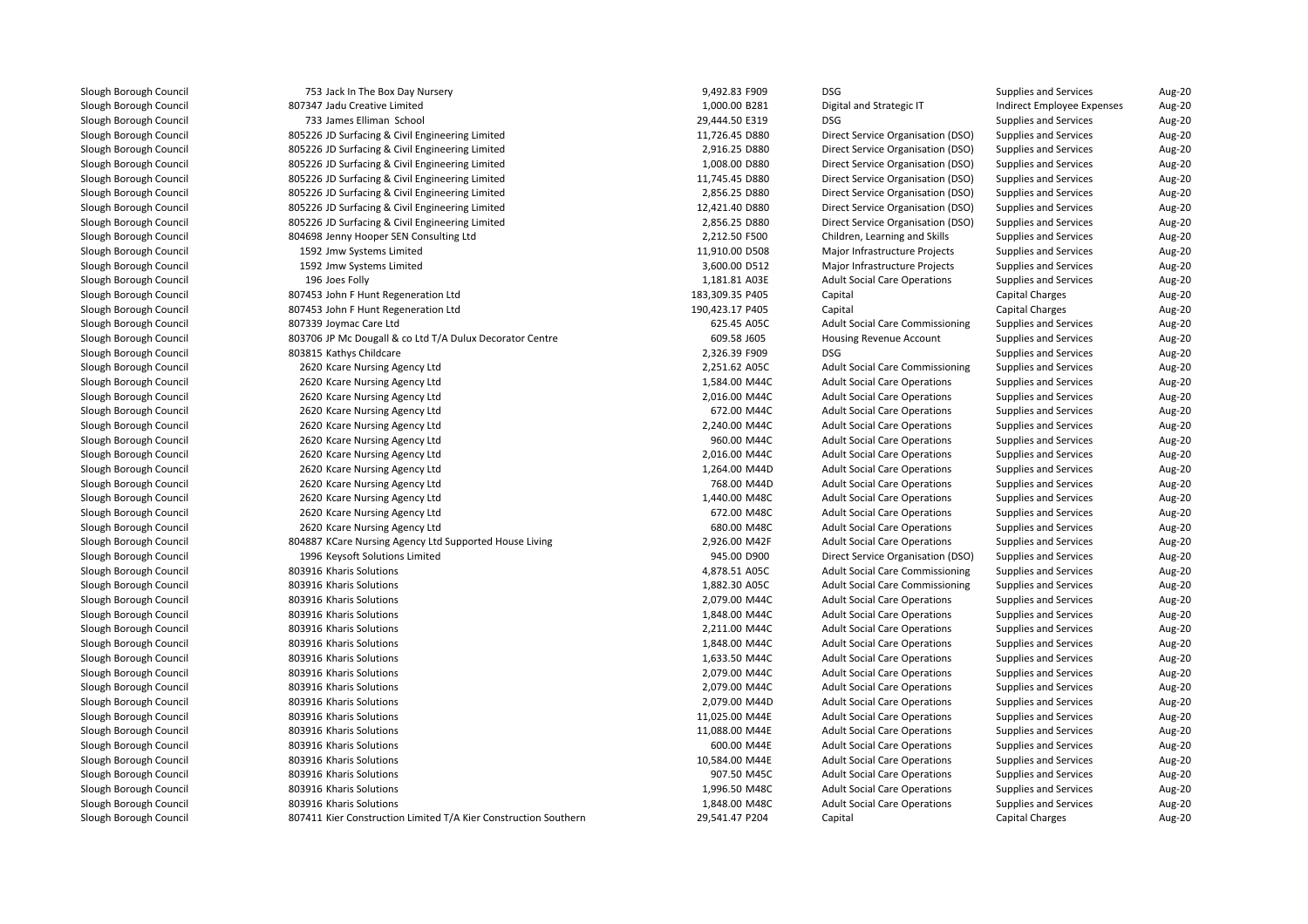| 753 Jack In The Box Day Nursery                                 | 9,492.83 F909                  | DSG                                                                         | <b>Supplies and Services</b>                                 | Aug-20           |
|-----------------------------------------------------------------|--------------------------------|-----------------------------------------------------------------------------|--------------------------------------------------------------|------------------|
| 807347 Jadu Creative Limited                                    | 1,000.00 B281                  | Digital and Strategic IT                                                    | Indirect Employee Expenses                                   | Aug-20           |
| 733 James Elliman School                                        | 29,444.50 E319                 | <b>DSG</b>                                                                  | <b>Supplies and Services</b>                                 | Aug-20           |
| 805226 JD Surfacing & Civil Engineering Limited                 | 11,726.45 D880                 | Direct Service Organisation (DSO)                                           | <b>Supplies and Services</b>                                 | Aug-20           |
| 805226 JD Surfacing & Civil Engineering Limited                 | 2,916.25 D880                  | Direct Service Organisation (DSO)                                           | Supplies and Services                                        | Aug-20           |
| 805226 JD Surfacing & Civil Engineering Limited                 | 1,008.00 D880                  | Direct Service Organisation (DSO)                                           | Supplies and Services                                        | Aug-20           |
| 805226 JD Surfacing & Civil Engineering Limited                 | 11,745.45 D880                 | Direct Service Organisation (DSO)                                           | Supplies and Services                                        | Aug-20           |
| 805226 JD Surfacing & Civil Engineering Limited                 | 2,856.25 D880                  | Direct Service Organisation (DSO)                                           | Supplies and Services                                        | Aug-20           |
| 805226 JD Surfacing & Civil Engineering Limited                 | 12,421.40 D880                 | Direct Service Organisation (DSO)                                           | <b>Supplies and Services</b>                                 | Aug-20           |
| 805226 JD Surfacing & Civil Engineering Limited                 | 2,856.25 D880                  | Direct Service Organisation (DSO)                                           | Supplies and Services                                        | Aug-20           |
| 804698 Jenny Hooper SEN Consulting Ltd                          | 2,212.50 F500                  | Children, Learning and Skills                                               | <b>Supplies and Services</b>                                 | Aug-20           |
| 1592 Jmw Systems Limited                                        | 11,910.00 D508                 | Major Infrastructure Projects                                               | Supplies and Services                                        | Aug-20           |
| 1592 Jmw Systems Limited                                        | 3,600.00 D512                  | Major Infrastructure Projects                                               | <b>Supplies and Services</b>                                 | Aug-20           |
| 196 Joes Folly                                                  | 1,181.81 A03E                  | <b>Adult Social Care Operations</b>                                         | <b>Supplies and Services</b>                                 | Aug-20           |
| 807453 John F Hunt Regeneration Ltd                             | 183,309.35 P405                | Capital                                                                     | Capital Charges                                              | Aug-20           |
| 807453 John F Hunt Regeneration Ltd                             | 190,423.17 P405                | Capital                                                                     | <b>Capital Charges</b>                                       | Aug-20           |
| 807339 Joymac Care Ltd                                          | 625.45 A05C                    | <b>Adult Social Care Commissioning</b>                                      | <b>Supplies and Services</b>                                 | Aug-20           |
| 803706 JP Mc Dougall & co Ltd T/A Dulux Decorator Centre        | 609.58 J605                    | Housing Revenue Account                                                     | <b>Supplies and Services</b>                                 | Aug-20           |
| 803815 Kathys Childcare                                         | 2,326.39 F909                  | <b>DSG</b>                                                                  | <b>Supplies and Services</b>                                 | Aug-20           |
| 2620 Kcare Nursing Agency Ltd                                   | 2,251.62 A05C                  | <b>Adult Social Care Commissioning</b>                                      | <b>Supplies and Services</b>                                 | Aug-20           |
| 2620 Kcare Nursing Agency Ltd                                   | 1,584.00 M44C                  | <b>Adult Social Care Operations</b>                                         | <b>Supplies and Services</b>                                 | Aug-20           |
| 2620 Kcare Nursing Agency Ltd                                   | 2,016.00 M44C                  | <b>Adult Social Care Operations</b>                                         | <b>Supplies and Services</b>                                 | Aug-20           |
| 2620 Kcare Nursing Agency Ltd                                   | 672.00 M44C                    | <b>Adult Social Care Operations</b>                                         | <b>Supplies and Services</b>                                 | Aug-20           |
| 2620 Kcare Nursing Agency Ltd                                   | 2,240.00 M44C                  | <b>Adult Social Care Operations</b>                                         | <b>Supplies and Services</b>                                 | Aug-20           |
| 2620 Kcare Nursing Agency Ltd                                   | 960.00 M44C                    | <b>Adult Social Care Operations</b>                                         | <b>Supplies and Services</b>                                 | Aug-20           |
| 2620 Kcare Nursing Agency Ltd                                   | 2,016.00 M44C                  | <b>Adult Social Care Operations</b>                                         | <b>Supplies and Services</b>                                 | Aug-20           |
| 2620 Kcare Nursing Agency Ltd                                   | 1,264.00 M44D                  | <b>Adult Social Care Operations</b>                                         | <b>Supplies and Services</b>                                 | Aug-20           |
| 2620 Kcare Nursing Agency Ltd                                   | 768.00 M44D                    | <b>Adult Social Care Operations</b>                                         | <b>Supplies and Services</b>                                 | Aug-20           |
| 2620 Kcare Nursing Agency Ltd                                   | 1,440.00 M48C                  | <b>Adult Social Care Operations</b>                                         | Supplies and Services                                        | Aug-20           |
| 2620 Kcare Nursing Agency Ltd                                   | 672.00 M48C                    | <b>Adult Social Care Operations</b>                                         | <b>Supplies and Services</b>                                 | Aug-20           |
| 2620 Kcare Nursing Agency Ltd                                   | 680.00 M48C                    | <b>Adult Social Care Operations</b>                                         | <b>Supplies and Services</b>                                 | Aug-20           |
| 804887 KCare Nursing Agency Ltd Supported House Living          | 2,926.00 M42F                  | <b>Adult Social Care Operations</b>                                         | <b>Supplies and Services</b>                                 | Aug-20           |
| 1996 Keysoft Solutions Limited                                  | 945.00 D900                    |                                                                             | Supplies and Services                                        |                  |
| 803916 Kharis Solutions                                         | 4,878.51 A05C                  | Direct Service Organisation (DSO)<br><b>Adult Social Care Commissioning</b> | <b>Supplies and Services</b>                                 | Aug-20<br>Aug-20 |
| 803916 Kharis Solutions                                         | 1,882.30 A05C                  | <b>Adult Social Care Commissioning</b>                                      |                                                              | Aug-20           |
| 803916 Kharis Solutions                                         |                                |                                                                             | <b>Supplies and Services</b>                                 | Aug-20           |
| 803916 Kharis Solutions                                         | 2,079.00 M44C<br>1,848.00 M44C | <b>Adult Social Care Operations</b><br><b>Adult Social Care Operations</b>  | <b>Supplies and Services</b><br><b>Supplies and Services</b> | Aug-20           |
| 803916 Kharis Solutions                                         |                                |                                                                             |                                                              | Aug-20           |
| 803916 Kharis Solutions                                         | 2,211.00 M44C                  | <b>Adult Social Care Operations</b><br><b>Adult Social Care Operations</b>  | <b>Supplies and Services</b>                                 | Aug-20           |
|                                                                 | 1,848.00 M44C                  |                                                                             | <b>Supplies and Services</b>                                 |                  |
| 803916 Kharis Solutions                                         | 1,633.50 M44C                  | <b>Adult Social Care Operations</b>                                         | <b>Supplies and Services</b>                                 | Aug-20           |
| 803916 Kharis Solutions                                         | 2,079.00 M44C                  | <b>Adult Social Care Operations</b>                                         | <b>Supplies and Services</b>                                 | Aug-20           |
| 803916 Kharis Solutions                                         | 2,079.00 M44C                  | <b>Adult Social Care Operations</b>                                         | <b>Supplies and Services</b>                                 | Aug-20           |
| 803916 Kharis Solutions                                         | 2,079.00 M44D                  | <b>Adult Social Care Operations</b>                                         | <b>Supplies and Services</b>                                 | Aug-20           |
| 803916 Kharis Solutions                                         | 11,025.00 M44E                 | <b>Adult Social Care Operations</b>                                         | <b>Supplies and Services</b>                                 | Aug-20           |
| 803916 Kharis Solutions                                         | 11,088.00 M44E                 | <b>Adult Social Care Operations</b>                                         | <b>Supplies and Services</b>                                 | Aug-20           |
| 803916 Kharis Solutions                                         | 600.00 M44E                    | <b>Adult Social Care Operations</b>                                         | <b>Supplies and Services</b>                                 | Aug-20           |
| 803916 Kharis Solutions                                         | 10,584.00 M44E                 | <b>Adult Social Care Operations</b>                                         | <b>Supplies and Services</b>                                 | Aug-20           |
| 803916 Kharis Solutions                                         | 907.50 M45C                    | <b>Adult Social Care Operations</b>                                         | Supplies and Services                                        | Aug-20           |
| 803916 Kharis Solutions                                         | 1,996.50 M48C                  | <b>Adult Social Care Operations</b>                                         | <b>Supplies and Services</b>                                 | Aug-20           |
| 803916 Kharis Solutions                                         | 1,848.00 M48C                  | <b>Adult Social Care Operations</b>                                         | <b>Supplies and Services</b>                                 | Aug-20           |
| 807411 Kier Construction Limited T/A Kier Construction Southern | 29,541.47 P204                 | Capital                                                                     | <b>Capital Charges</b>                                       | Aug-20           |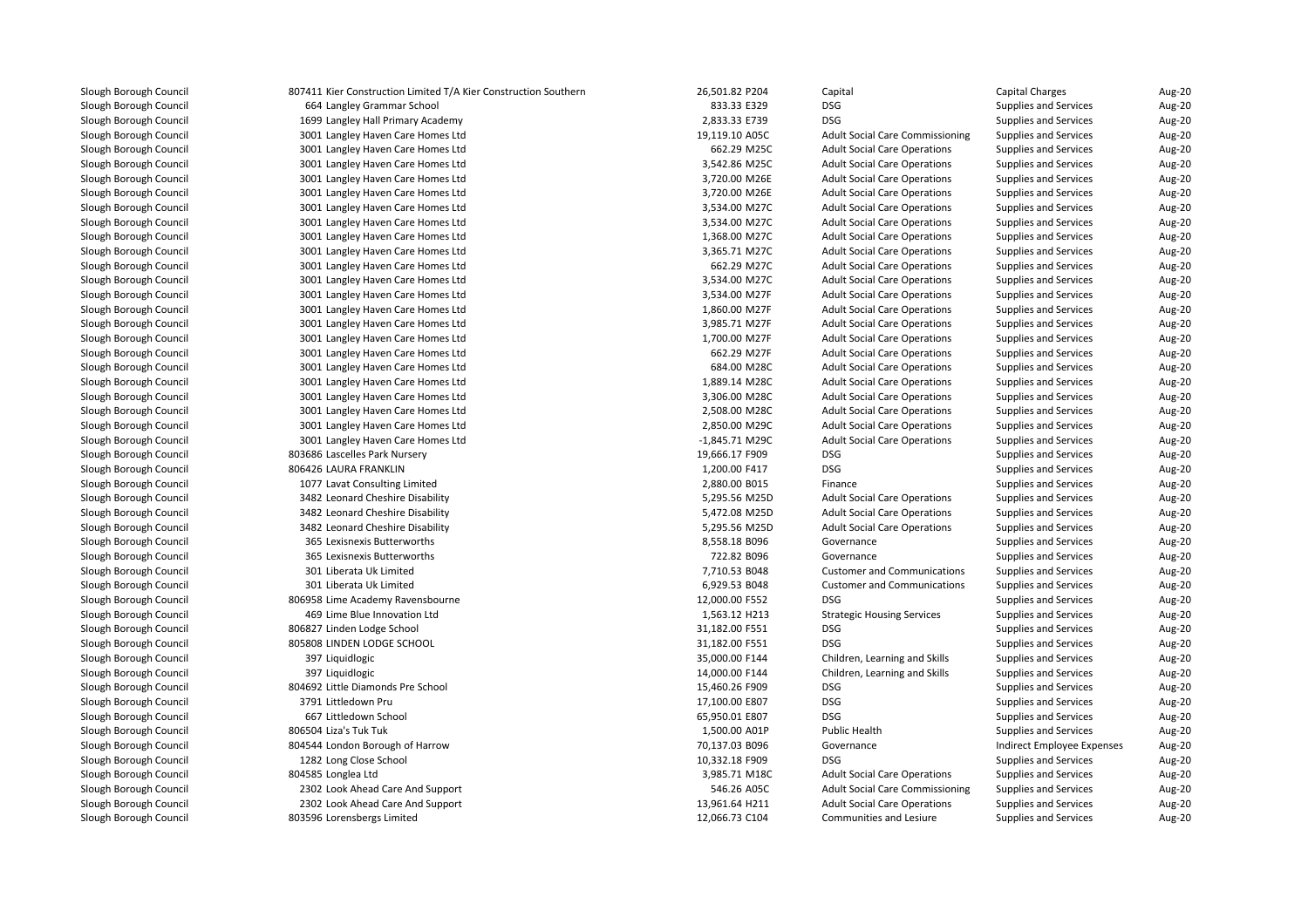| 807411 Kier Construction Limited T/A Kier Construction Southern | 26,501.82 P204 | Capital                                | <b>Capital Charges</b>       | Aug-20 |
|-----------------------------------------------------------------|----------------|----------------------------------------|------------------------------|--------|
| 664 Langley Grammar School                                      | 833.33 E329    | <b>DSG</b>                             | <b>Supplies and Services</b> | Aug-20 |
| 1699 Langley Hall Primary Academy                               | 2,833.33 E739  | <b>DSG</b>                             | <b>Supplies and Services</b> | Aug-20 |
| 3001 Langley Haven Care Homes Ltd                               | 19,119.10 A05C | <b>Adult Social Care Commissioning</b> | <b>Supplies and Services</b> | Aug-20 |
| 3001 Langley Haven Care Homes Ltd                               | 662.29 M25C    | <b>Adult Social Care Operations</b>    | <b>Supplies and Services</b> | Aug-20 |
| 3001 Langley Haven Care Homes Ltd                               | 3,542.86 M25C  | <b>Adult Social Care Operations</b>    | <b>Supplies and Services</b> | Aug-20 |
| 3001 Langley Haven Care Homes Ltd                               | 3,720.00 M26E  | <b>Adult Social Care Operations</b>    | <b>Supplies and Services</b> | Aug-20 |
| 3001 Langley Haven Care Homes Ltd                               | 3,720.00 M26E  | <b>Adult Social Care Operations</b>    | <b>Supplies and Services</b> | Aug-20 |
| 3001 Langley Haven Care Homes Ltd                               | 3,534.00 M27C  | <b>Adult Social Care Operations</b>    | <b>Supplies and Services</b> | Aug-20 |
| 3001 Langley Haven Care Homes Ltd                               | 3,534.00 M27C  | <b>Adult Social Care Operations</b>    | <b>Supplies and Services</b> | Aug-20 |
| 3001 Langley Haven Care Homes Ltd                               | 1,368.00 M27C  | <b>Adult Social Care Operations</b>    | <b>Supplies and Services</b> | Aug-20 |
| 3001 Langley Haven Care Homes Ltd                               | 3,365.71 M27C  | <b>Adult Social Care Operations</b>    | Supplies and Services        | Aug-20 |
| 3001 Langley Haven Care Homes Ltd                               | 662.29 M27C    | <b>Adult Social Care Operations</b>    | <b>Supplies and Services</b> | Aug-20 |
| 3001 Langley Haven Care Homes Ltd                               | 3,534.00 M27C  | <b>Adult Social Care Operations</b>    | <b>Supplies and Services</b> | Aug-20 |
| 3001 Langley Haven Care Homes Ltd                               | 3,534.00 M27F  | <b>Adult Social Care Operations</b>    | <b>Supplies and Services</b> | Aug-20 |
| 3001 Langley Haven Care Homes Ltd                               | 1,860.00 M27F  | <b>Adult Social Care Operations</b>    | <b>Supplies and Services</b> | Aug-20 |
| 3001 Langley Haven Care Homes Ltd                               | 3,985.71 M27F  | <b>Adult Social Care Operations</b>    | <b>Supplies and Services</b> | Aug-20 |
| 3001 Langley Haven Care Homes Ltd                               | 1,700.00 M27F  | <b>Adult Social Care Operations</b>    | Supplies and Services        | Aug-20 |
| 3001 Langley Haven Care Homes Ltd                               | 662.29 M27F    | <b>Adult Social Care Operations</b>    | <b>Supplies and Services</b> | Aug-20 |
| 3001 Langley Haven Care Homes Ltd                               | 684.00 M28C    | <b>Adult Social Care Operations</b>    | <b>Supplies and Services</b> | Aug-20 |
| 3001 Langley Haven Care Homes Ltd                               | 1,889.14 M28C  | <b>Adult Social Care Operations</b>    | <b>Supplies and Services</b> | Aug-20 |
| 3001 Langley Haven Care Homes Ltd                               | 3,306.00 M28C  | <b>Adult Social Care Operations</b>    | <b>Supplies and Services</b> | Aug-20 |
| 3001 Langley Haven Care Homes Ltd                               | 2,508.00 M28C  | <b>Adult Social Care Operations</b>    | <b>Supplies and Services</b> | Aug-20 |
| 3001 Langley Haven Care Homes Ltd                               | 2,850.00 M29C  | <b>Adult Social Care Operations</b>    | <b>Supplies and Services</b> | Aug-20 |
| 3001 Langley Haven Care Homes Ltd                               | -1,845.71 M29C | <b>Adult Social Care Operations</b>    | <b>Supplies and Services</b> | Aug-20 |
| 803686 Lascelles Park Nursery                                   | 19,666.17 F909 | <b>DSG</b>                             | <b>Supplies and Services</b> | Aug-20 |
| 806426 LAURA FRANKLIN                                           | 1,200.00 F417  | <b>DSG</b>                             | Supplies and Services        | Aug-20 |
| 1077 Lavat Consulting Limited                                   | 2,880.00 B015  | Finance                                | <b>Supplies and Services</b> | Aug-20 |
| 3482 Leonard Cheshire Disability                                | 5,295.56 M25D  | <b>Adult Social Care Operations</b>    | <b>Supplies and Services</b> | Aug-20 |
| 3482 Leonard Cheshire Disability                                | 5,472.08 M25D  | <b>Adult Social Care Operations</b>    | <b>Supplies and Services</b> | Aug-20 |
| 3482 Leonard Cheshire Disability                                | 5,295.56 M25D  | <b>Adult Social Care Operations</b>    | <b>Supplies and Services</b> | Aug-20 |
| 365 Lexisnexis Butterworths                                     | 8,558.18 B096  | Governance                             | Supplies and Services        | Aug-20 |
| 365 Lexisnexis Butterworths                                     | 722.82 B096    | Governance                             | <b>Supplies and Services</b> | Aug-20 |
| 301 Liberata Uk Limited                                         | 7,710.53 B048  | <b>Customer and Communications</b>     | <b>Supplies and Services</b> | Aug-20 |
| 301 Liberata Uk Limited                                         | 6,929.53 B048  | <b>Customer and Communications</b>     | <b>Supplies and Services</b> | Aug-20 |
| 806958 Lime Academy Ravensbourne                                | 12,000.00 F552 | <b>DSG</b>                             | <b>Supplies and Services</b> | Aug-20 |
| 469 Lime Blue Innovation Ltd                                    | 1,563.12 H213  | <b>Strategic Housing Services</b>      | <b>Supplies and Services</b> | Aug-20 |
| 806827 Linden Lodge School                                      | 31,182.00 F551 | <b>DSG</b>                             | <b>Supplies and Services</b> | Aug-20 |
| 805808 LINDEN LODGE SCHOOL                                      | 31,182.00 F551 | <b>DSG</b>                             | <b>Supplies and Services</b> | Aug-20 |
| 397 Liquidlogic                                                 | 35,000.00 F144 | Children, Learning and Skills          | <b>Supplies and Services</b> | Aug-20 |
| 397 Liquidlogic                                                 | 14,000.00 F144 | Children, Learning and Skills          | <b>Supplies and Services</b> | Aug-20 |
| 804692 Little Diamonds Pre School                               | 15,460.26 F909 | <b>DSG</b>                             | <b>Supplies and Services</b> | Aug-20 |
| 3791 Littledown Pru                                             | 17,100.00 E807 | <b>DSG</b>                             | <b>Supplies and Services</b> | Aug-20 |
| 667 Littledown School                                           | 65,950.01 E807 | <b>DSG</b>                             | Supplies and Services        | Aug-20 |
| 806504 Liza's Tuk Tuk                                           | 1,500.00 A01P  | <b>Public Health</b>                   | Supplies and Services        | Aug-20 |
| 804544 London Borough of Harrow                                 | 70,137.03 B096 | Governance                             | Indirect Employee Expenses   | Aug-20 |
| 1282 Long Close School                                          | 10,332.18 F909 | <b>DSG</b>                             | <b>Supplies and Services</b> | Aug-20 |
| 804585 Longlea Ltd                                              | 3,985.71 M18C  | <b>Adult Social Care Operations</b>    | Supplies and Services        | Aug-20 |
| 2302 Look Ahead Care And Support                                | 546.26 A05C    | <b>Adult Social Care Commissioning</b> | <b>Supplies and Services</b> | Aug-20 |
| 2302 Look Ahead Care And Support                                | 13,961.64 H211 | <b>Adult Social Care Operations</b>    | <b>Supplies and Services</b> | Aug-20 |
| 803596 Lorensbergs Limited                                      | 12,066.73 C104 | Communities and Lesiure                | Supplies and Services        | Aug-20 |
|                                                                 |                |                                        |                              |        |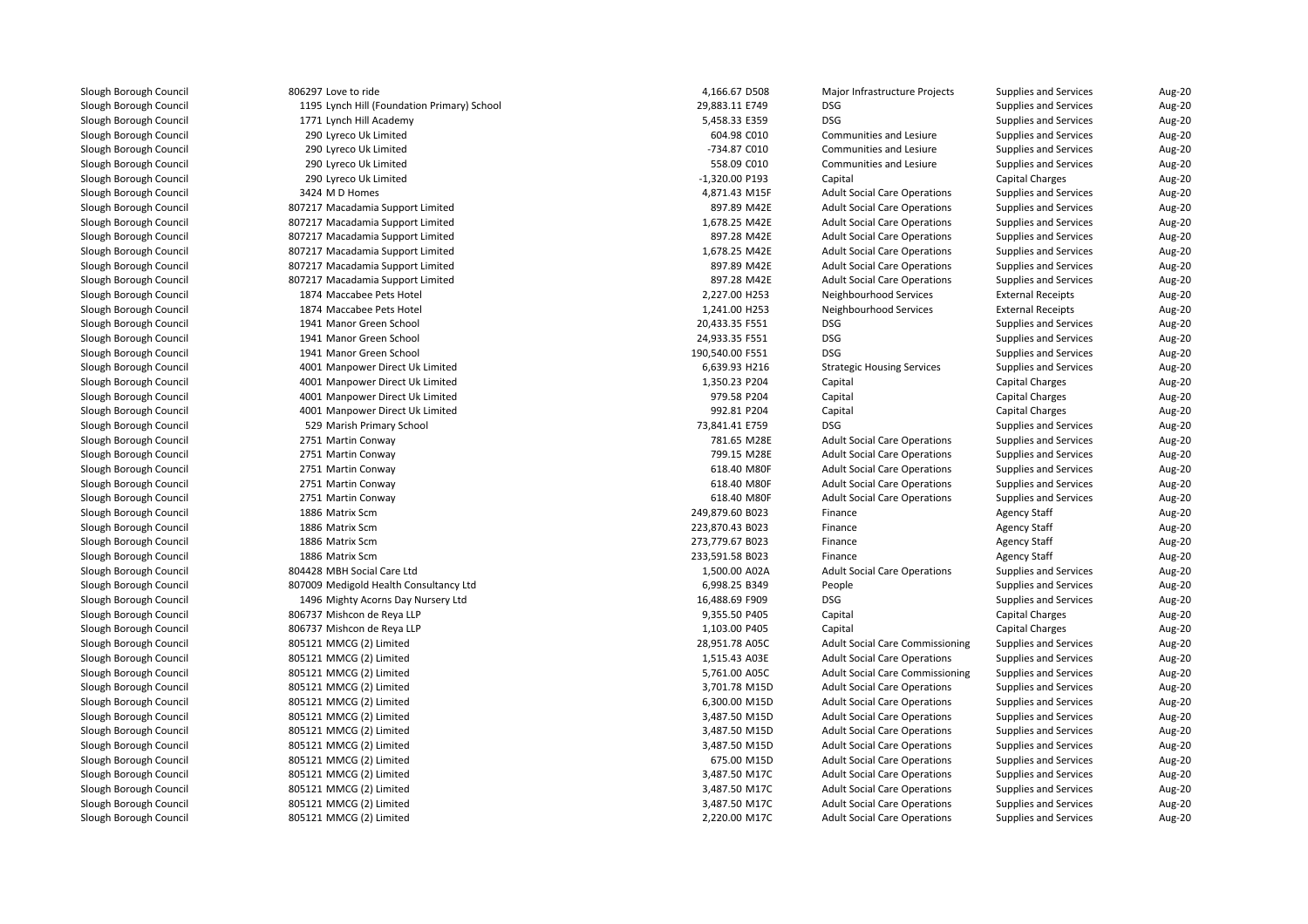806297 Love to ride 1195 Lynch Hill (Foundation Primary) School 29,883.11 E749 DSG 1771 Lynch Hill Academy 5,458.33 E359 DSG 290 Lyreco Uk Limited 290 Lyreco Uk Limited 290 Lyreco Uk Limited 290 Lyreco Uk Limited3424 MD Homes 807217 Macadamia Support Limited 807217 Macadamia Support Limited 807217 Macadamia Support Limited 807217 Macadamia Support Limited 807217 Macadamia Support Limited 807217 Macadamia Support Limited1874 Maccabee Pets Hotel 1874 Maccabee Pets Hotel 1941 Manor Green School 20,433.35 F551 DSG 1941 Manor Green School 24,933.35 F551 DSG 1941 Manor Green School 190,540.00 F551 DSG 4001 Manpower Direct Uk Limited 4001 Manpower Direct Uk Limited 4001 Manpower Direct Uk Limited 4001 Manpower Direct Uk Limited 529 Marish Primary School 73,841.41 E759 DSG2751 Martin Conway 2751 Martin Conway 2751 Martin Conway 2751 Martin Conway 2751 Martin Conway 1886 Matrix Scm 1886 Matrix Scm 1886 Matrix Scm 1886 Matrix Scm 804428 MBH Social Care Ltdd 1,500.00 A02A 807009 Medigold Health Consultancy Ltd 1496 Mighty Acorns Day Nursery Ltd 806737 Mishcon de Reya LLP 806737 Mishcon de Reya LLP 805121 MMCG (2) Limited 28,951.78 A05C 805121 MMCG (2) Limited 805121 MMCG (2) Limited 5,761.00 A05C 805121 MMCG (2) Limited 3,701.78 M15D 805121 MMCG (2) Limitedd 6,300.00 M15D 805121 MMCG (2) Limited 3,487.50 M15D 805121 MMCG (2) Limited 3,487.50 M15D 805121 MMCG (2) Limited 3,487.50 M15D 805121 MMCG (2) Limitedd 675.00 M15D 805121 MMCG (2) Limitedd 3,487.50 M17C 805121 MMCG (2) Limitedd 3,487.50 M17C 805121 MMCG (2) Limitedd 3,487.50 M17C 805121 MMCG (2) Limitedd  $2,220.00 \text{ M}17 \text{C}$ 

| 7 Love to ride                           | 4,166.67 D508   | Major Infrastructure Projects          | <b>Supplies and Services</b> | Aug-20 |
|------------------------------------------|-----------------|----------------------------------------|------------------------------|--------|
| 5 Lynch Hill (Foundation Primary) School | 29,883.11 E749  | <b>DSG</b>                             | <b>Supplies and Services</b> | Aug-20 |
| 1 Lynch Hill Academy                     | 5,458.33 E359   | <b>DSG</b>                             | <b>Supplies and Services</b> | Aug-20 |
| 0 Lyreco Uk Limited                      | 604.98 C010     | Communities and Lesiure                | Supplies and Services        | Aug-20 |
| 0 Lyreco Uk Limited                      | -734.87 C010    | Communities and Lesiure                | Supplies and Services        | Aug-20 |
| 0 Lyreco Uk Limited                      | 558.09 C010     | Communities and Lesiure                | Supplies and Services        | Aug-20 |
| 0 Lyreco Uk Limited                      | -1,320.00 P193  | Capital                                | <b>Capital Charges</b>       | Aug-20 |
| 4 M D Homes                              | 4,871.43 M15F   | <b>Adult Social Care Operations</b>    | <b>Supplies and Services</b> | Aug-20 |
| 7 Macadamia Support Limited              | 897.89 M42E     | <b>Adult Social Care Operations</b>    | Supplies and Services        | Aug-20 |
| 7 Macadamia Support Limited              | 1,678.25 M42E   | <b>Adult Social Care Operations</b>    | <b>Supplies and Services</b> | Aug-20 |
| 7 Macadamia Support Limited              | 897.28 M42E     | <b>Adult Social Care Operations</b>    | <b>Supplies and Services</b> | Aug-20 |
| 7 Macadamia Support Limited              | 1,678.25 M42E   | <b>Adult Social Care Operations</b>    | Supplies and Services        | Aug-20 |
| 7 Macadamia Support Limited              | 897.89 M42E     | <b>Adult Social Care Operations</b>    | <b>Supplies and Services</b> | Aug-20 |
| 7 Macadamia Support Limited              | 897.28 M42E     | <b>Adult Social Care Operations</b>    | Supplies and Services        | Aug-20 |
| 4 Maccabee Pets Hotel                    | 2,227.00 H253   | Neighbourhood Services                 | <b>External Receipts</b>     | Aug-20 |
| 4 Maccabee Pets Hotel                    | 1,241.00 H253   | Neighbourhood Services                 | <b>External Receipts</b>     | Aug-20 |
| 1 Manor Green School                     | 20,433.35 F551  | <b>DSG</b>                             | Supplies and Services        | Aug-20 |
| 1 Manor Green School                     | 24,933.35 F551  | <b>DSG</b>                             | <b>Supplies and Services</b> | Aug-20 |
| 1 Manor Green School                     | 190,540.00 F551 | <b>DSG</b>                             | <b>Supplies and Services</b> | Aug-20 |
| 1 Manpower Direct Uk Limited             | 6,639.93 H216   | <b>Strategic Housing Services</b>      | <b>Supplies and Services</b> | Aug-20 |
| 1 Manpower Direct Uk Limited             | 1,350.23 P204   | Capital                                | <b>Capital Charges</b>       | Aug-20 |
| 1 Manpower Direct Uk Limited             | 979.58 P204     | Capital                                | <b>Capital Charges</b>       | Aug-20 |
| 1 Manpower Direct Uk Limited             | 992.81 P204     | Capital                                | <b>Capital Charges</b>       | Aug-20 |
| 9 Marish Primary School                  | 73,841.41 E759  | <b>DSG</b>                             | <b>Supplies and Services</b> | Aug-20 |
| 1 Martin Conway                          | 781.65 M28E     | <b>Adult Social Care Operations</b>    | <b>Supplies and Services</b> | Aug-20 |
| 1 Martin Conway                          | 799.15 M28E     | <b>Adult Social Care Operations</b>    | Supplies and Services        | Aug-20 |
| 1 Martin Conway                          | 618.40 M80F     | <b>Adult Social Care Operations</b>    | <b>Supplies and Services</b> | Aug-20 |
| 1 Martin Conway                          | 618.40 M80F     | <b>Adult Social Care Operations</b>    | <b>Supplies and Services</b> | Aug-20 |
| 1 Martin Conway                          | 618.40 M80F     | <b>Adult Social Care Operations</b>    | <b>Supplies and Services</b> | Aug-20 |
| 6 Matrix Scm                             | 249,879.60 B023 | Finance                                | <b>Agency Staff</b>          | Aug-20 |
| 6 Matrix Scm                             | 223,870.43 B023 | Finance                                | <b>Agency Staff</b>          | Aug-20 |
| 6 Matrix Scm                             | 273,779.67 B023 | Finance                                | <b>Agency Staff</b>          | Aug-20 |
| 6 Matrix Scm                             | 233,591.58 B023 | Finance                                | <b>Agency Staff</b>          | Aug-20 |
| 8 MBH Social Care Ltd                    | 1,500.00 A02A   | <b>Adult Social Care Operations</b>    | <b>Supplies and Services</b> | Aug-20 |
| 9 Medigold Health Consultancy Ltd        | 6,998.25 B349   | People                                 | <b>Supplies and Services</b> | Aug-20 |
| 6 Mighty Acorns Day Nursery Ltd          | 16,488.69 F909  | <b>DSG</b>                             | <b>Supplies and Services</b> | Aug-20 |
| 7 Mishcon de Reya LLP                    | 9,355.50 P405   | Capital                                | <b>Capital Charges</b>       | Aug-20 |
| 7 Mishcon de Reya LLP                    | 1,103.00 P405   | Capital                                | <b>Capital Charges</b>       | Aug-20 |
| 1 MMCG (2) Limited                       | 28,951.78 A05C  | <b>Adult Social Care Commissioning</b> | Supplies and Services        | Aug-20 |
| 1 MMCG (2) Limited                       | 1,515.43 A03E   | <b>Adult Social Care Operations</b>    | <b>Supplies and Services</b> | Aug-20 |
| 1 MMCG (2) Limited                       | 5,761.00 A05C   | <b>Adult Social Care Commissioning</b> | Supplies and Services        | Aug-20 |
| 1 MMCG (2) Limited                       | 3,701.78 M15D   | <b>Adult Social Care Operations</b>    | <b>Supplies and Services</b> | Aug-20 |
| 1 MMCG (2) Limited                       | 6,300.00 M15D   | <b>Adult Social Care Operations</b>    | <b>Supplies and Services</b> | Aug-20 |
| 1 MMCG (2) Limited                       | 3,487.50 M15D   | <b>Adult Social Care Operations</b>    | <b>Supplies and Services</b> | Aug-20 |
| 1 MMCG (2) Limited                       | 3,487.50 M15D   | <b>Adult Social Care Operations</b>    | <b>Supplies and Services</b> | Aug-20 |
| 1 MMCG (2) Limited                       | 3,487.50 M15D   | <b>Adult Social Care Operations</b>    | <b>Supplies and Services</b> | Aug-20 |
| 1 MMCG (2) Limited                       | 675.00 M15D     | <b>Adult Social Care Operations</b>    | <b>Supplies and Services</b> | Aug-20 |
| 1 MMCG (2) Limited                       | 3,487.50 M17C   | <b>Adult Social Care Operations</b>    | <b>Supplies and Services</b> | Aug-20 |
| 1 MMCG (2) Limited                       | 3,487.50 M17C   | <b>Adult Social Care Operations</b>    | <b>Supplies and Services</b> | Aug-20 |
| 1 MMCG (2) Limited                       | 3,487.50 M17C   | <b>Adult Social Care Operations</b>    | <b>Supplies and Services</b> | Aug-20 |
| 1 MMCG (2) Limited                       | 2,220.00 M17C   | <b>Adult Social Care Operations</b>    | <b>Supplies and Services</b> | Aug-20 |
|                                          |                 |                                        |                              |        |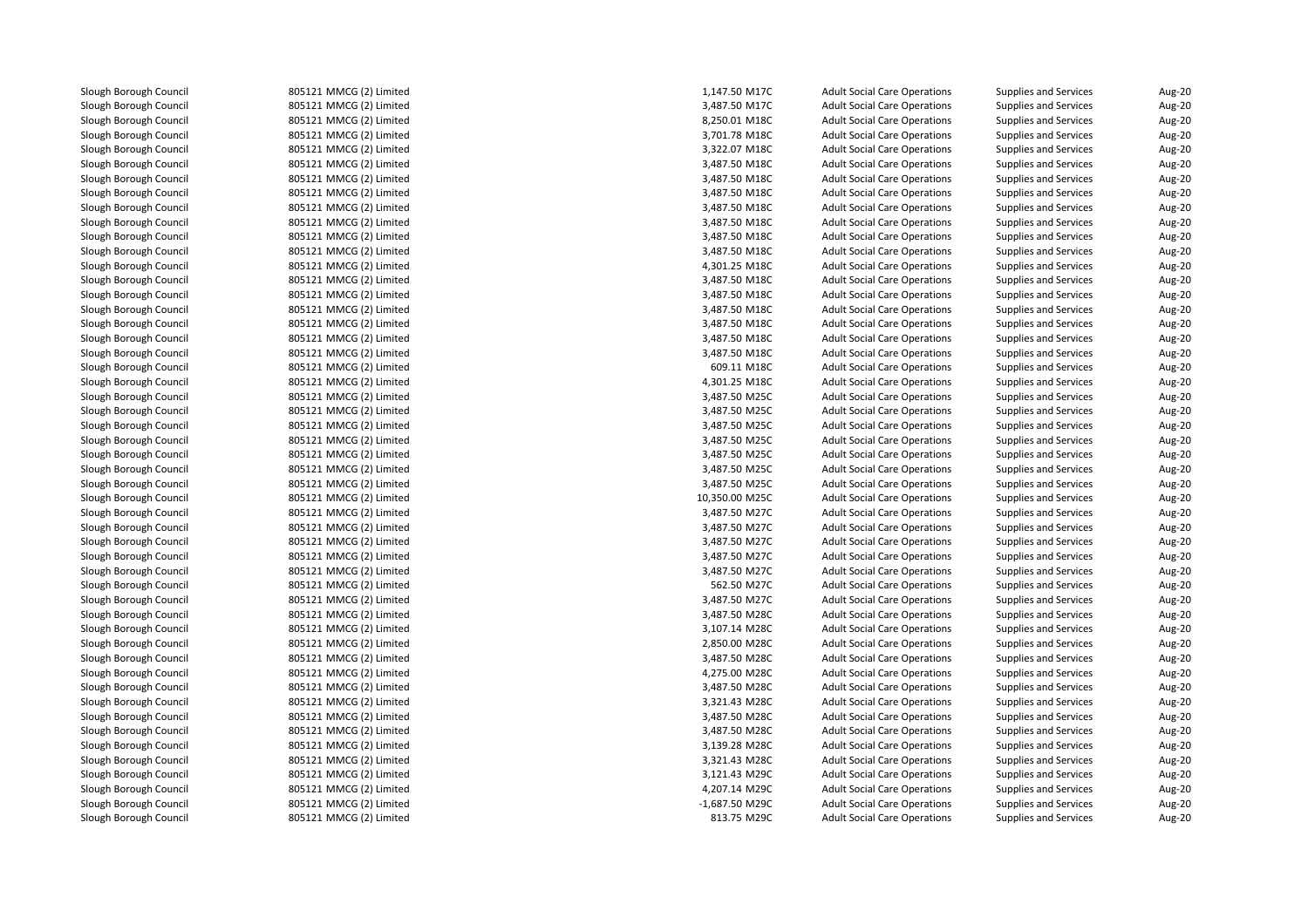805121 MMCG (2) Limited 805121 MMCG (2) Limited 805121 MMCG (2) Limited 805121 MMCG (2) Limited 805121 MMCG (2) Limited 805121 MMCG (2) Limited 805121 MMCG (2) Limited 805121 MMCG (2) Limited 805121 MMCG (2) Limited 805121 MMCG (2) Limited 805121 MMCG (2) Limited 805121 MMCG (2) Limited 805121 MMCG (2) Limited 805121 MMCG (2) Limited 805121 MMCG (2) Limited 805121 MMCG (2) Limited 805121 MMCG (2) Limited 805121 MMCG (2) Limited 805121 MMCG (2) Limited 805121 MMCG (2) Limited 805121 MMCG (2) Limited 805121 MMCG (2) Limited 805121 MMCG (2) Limited 805121 MMCG (2) Limited 805121 MMCG (2) Limited 805121 MMCG (2) Limited 805121 MMCG (2) Limited 805121 MMCG (2) Limited 805121 MMCG (2) Limited 805121 MMCG (2) Limited 805121 MMCG (2) Limited 805121 MMCG (2) Limited 805121 MMCG (2) Limited 805121 MMCG (2) Limited 805121 MMCG (2) Limited 805121 MMCG (2) Limited 805121 MMCG (2) Limited 805121 MMCG (2) Limited 805121 MMCG (2) Limited 805121 MMCG (2) Limited 805121 MMCG (2) Limited 805121 MMCG (2) Limited 805121 MMCG (2) Limited 805121 MMCG (2) Limited 805121 MMCG (2) Limited 805121 MMCG (2) Limited 805121 MMCG (2) Limited 805121 MMCG (2) Limited 805121 MMCG (2) Limited 805121 MMCG (2) Limited805121 MMCG (2) Limited

| d | 1,147.50 M17C  | <b>Adult Social Care Operations</b> | <b>Supplies and Services</b> | Aug-20        |
|---|----------------|-------------------------------------|------------------------------|---------------|
| d | 3,487.50 M17C  | <b>Adult Social Care Operations</b> | Supplies and Services        | Aug-20        |
| d | 8,250.01 M18C  | <b>Adult Social Care Operations</b> | <b>Supplies and Services</b> | Aug-20        |
| d | 3,701.78 M18C  | <b>Adult Social Care Operations</b> | Supplies and Services        | Aug-20        |
| d | 3,322.07 M18C  | <b>Adult Social Care Operations</b> | <b>Supplies and Services</b> | Aug-20        |
| d | 3,487.50 M18C  | <b>Adult Social Care Operations</b> | <b>Supplies and Services</b> | Aug-20        |
| d | 3,487.50 M18C  | <b>Adult Social Care Operations</b> | Supplies and Services        | Aug-20        |
| d | 3,487.50 M18C  | <b>Adult Social Care Operations</b> | Supplies and Services        | Aug-20        |
| d | 3,487.50 M18C  | <b>Adult Social Care Operations</b> | <b>Supplies and Services</b> | Aug-20        |
| d | 3,487.50 M18C  | <b>Adult Social Care Operations</b> | Supplies and Services        | Aug-20        |
| d | 3,487.50 M18C  | <b>Adult Social Care Operations</b> | Supplies and Services        | Aug-20        |
| d | 3,487.50 M18C  | <b>Adult Social Care Operations</b> | <b>Supplies and Services</b> | Aug-20        |
| d | 4,301.25 M18C  | <b>Adult Social Care Operations</b> | <b>Supplies and Services</b> | Aug-20        |
| d | 3,487.50 M18C  | <b>Adult Social Care Operations</b> | Supplies and Services        | Aug-20        |
| d | 3,487.50 M18C  | <b>Adult Social Care Operations</b> | <b>Supplies and Services</b> | Aug-20        |
| d | 3,487.50 M18C  | <b>Adult Social Care Operations</b> | <b>Supplies and Services</b> | Aug-20        |
| d | 3,487.50 M18C  | <b>Adult Social Care Operations</b> | Supplies and Services        | Aug-20        |
| d | 3,487.50 M18C  | <b>Adult Social Care Operations</b> | <b>Supplies and Services</b> | Aug-20        |
| d | 3,487.50 M18C  | <b>Adult Social Care Operations</b> | <b>Supplies and Services</b> | Aug-20        |
| d | 609.11 M18C    | <b>Adult Social Care Operations</b> | Supplies and Services        | Aug-20        |
| d | 4,301.25 M18C  | <b>Adult Social Care Operations</b> | <b>Supplies and Services</b> | Aug-20        |
| d | 3,487.50 M25C  | <b>Adult Social Care Operations</b> | <b>Supplies and Services</b> | Aug-20        |
| d | 3,487.50 M25C  | <b>Adult Social Care Operations</b> | <b>Supplies and Services</b> | Aug-20        |
| d | 3,487.50 M25C  | <b>Adult Social Care Operations</b> | Supplies and Services        | Aug-20        |
| d | 3,487.50 M25C  | <b>Adult Social Care Operations</b> | <b>Supplies and Services</b> | Aug-20        |
| d | 3,487.50 M25C  | <b>Adult Social Care Operations</b> | Supplies and Services        | Aug-20        |
| d | 3,487.50 M25C  | <b>Adult Social Care Operations</b> | Supplies and Services        | Aug-20        |
| d | 3,487.50 M25C  | <b>Adult Social Care Operations</b> | <b>Supplies and Services</b> | Aug-20        |
| d | 10,350.00 M25C | <b>Adult Social Care Operations</b> | Supplies and Services        | Aug-20        |
| d | 3,487.50 M27C  | <b>Adult Social Care Operations</b> | <b>Supplies and Services</b> | Aug-20        |
| d | 3,487.50 M27C  | <b>Adult Social Care Operations</b> | <b>Supplies and Services</b> | Aug-20        |
| d | 3,487.50 M27C  | <b>Adult Social Care Operations</b> | Supplies and Services        | Aug-20        |
| d | 3,487.50 M27C  | <b>Adult Social Care Operations</b> | <b>Supplies and Services</b> | Aug-20        |
| d | 3,487.50 M27C  | <b>Adult Social Care Operations</b> | <b>Supplies and Services</b> | Aug-20        |
| d | 562.50 M27C    | <b>Adult Social Care Operations</b> | Supplies and Services        | <b>Aug-20</b> |
| d | 3,487.50 M27C  | <b>Adult Social Care Operations</b> | Supplies and Services        | Aug-20        |
| d | 3,487.50 M28C  | <b>Adult Social Care Operations</b> | <b>Supplies and Services</b> | Aug-20        |
| d | 3,107.14 M28C  | <b>Adult Social Care Operations</b> | <b>Supplies and Services</b> | Aug-20        |
| d | 2,850.00 M28C  | <b>Adult Social Care Operations</b> | Supplies and Services        | Aug-20        |
| d | 3,487.50 M28C  | <b>Adult Social Care Operations</b> | <b>Supplies and Services</b> | Aug-20        |
| d | 4,275.00 M28C  | <b>Adult Social Care Operations</b> | <b>Supplies and Services</b> | Aug-20        |
| d | 3,487.50 M28C  | <b>Adult Social Care Operations</b> | Supplies and Services        | Aug-20        |
| d | 3,321.43 M28C  | <b>Adult Social Care Operations</b> | <b>Supplies and Services</b> | Aug-20        |
| d | 3,487.50 M28C  | <b>Adult Social Care Operations</b> | <b>Supplies and Services</b> | Aug-20        |
| d | 3,487.50 M28C  | <b>Adult Social Care Operations</b> | Supplies and Services        | Aug-20        |
| d | 3,139.28 M28C  | <b>Adult Social Care Operations</b> | <b>Supplies and Services</b> | Aug-20        |
| d | 3,321.43 M28C  | <b>Adult Social Care Operations</b> | <b>Supplies and Services</b> | Aug-20        |
| d | 3,121.43 M29C  | <b>Adult Social Care Operations</b> | Supplies and Services        | Aug-20        |
| d | 4,207.14 M29C  | <b>Adult Social Care Operations</b> | Supplies and Services        | Aug-20        |
| d | -1,687.50 M29C | <b>Adult Social Care Operations</b> | <b>Supplies and Services</b> | Aug-20        |
| d | 813.75 M29C    | <b>Adult Social Care Operations</b> | <b>Supplies and Services</b> | Aug-20        |
|   |                |                                     |                              |               |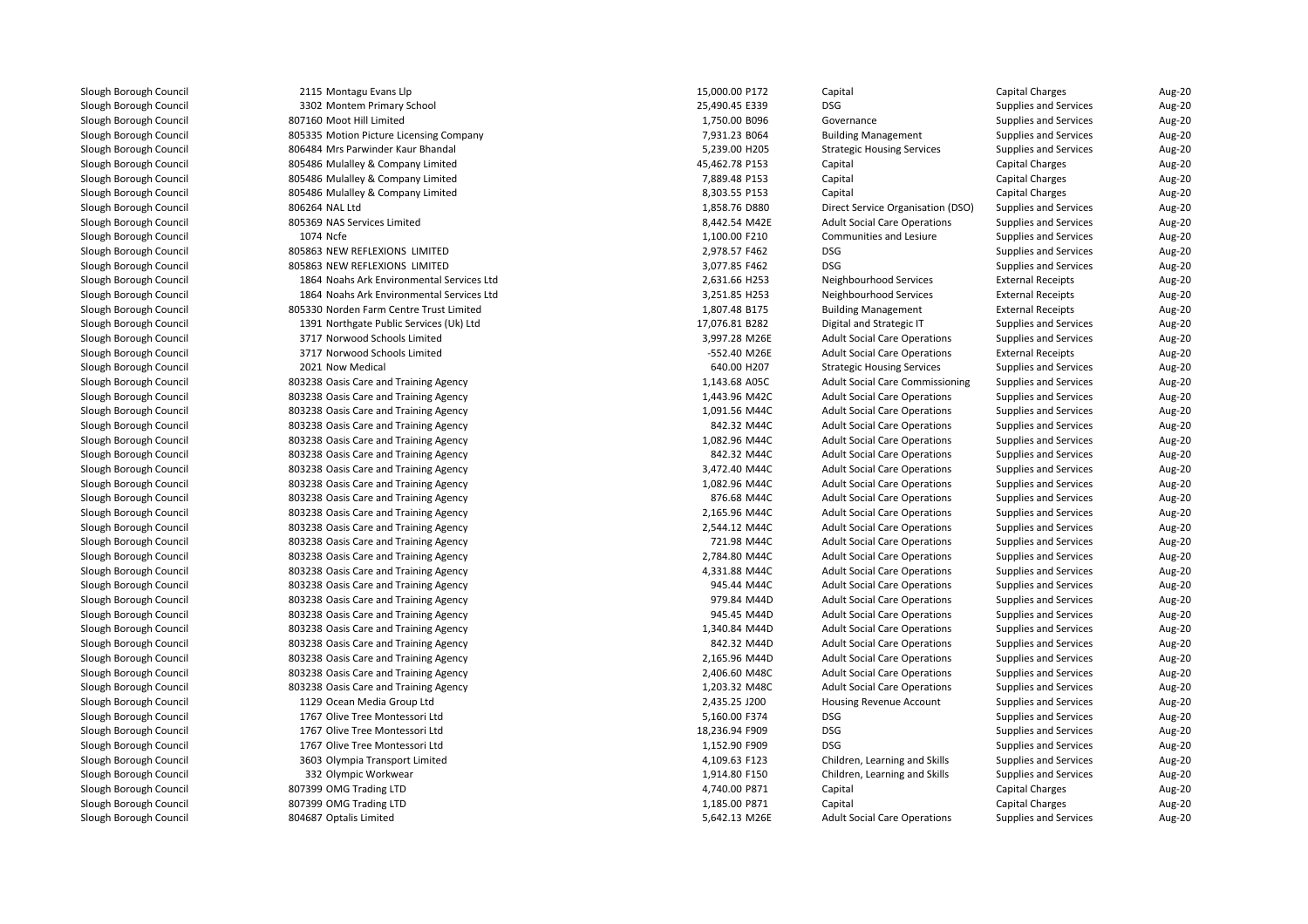| 2115 Montagu Evans Llp                    | 15,000.00 P172 | Capital                                | Capital Charges              | Aug-20 |
|-------------------------------------------|----------------|----------------------------------------|------------------------------|--------|
| 3302 Montem Primary School                | 25,490.45 E339 | <b>DSG</b>                             | Supplies and Services        | Aug-20 |
| 807160 Moot Hill Limited                  | 1,750.00 B096  | Governance                             | <b>Supplies and Services</b> | Aug-20 |
| 805335 Motion Picture Licensing Company   | 7,931.23 B064  | <b>Building Management</b>             | <b>Supplies and Services</b> | Aug-20 |
| 806484 Mrs Parwinder Kaur Bhandal         | 5,239.00 H205  | <b>Strategic Housing Services</b>      | Supplies and Services        | Aug-20 |
| 805486 Mulalley & Company Limited         | 45,462.78 P153 | Capital                                | Capital Charges              | Aug-20 |
| 805486 Mulalley & Company Limited         | 7,889.48 P153  | Capital                                | Capital Charges              | Aug-20 |
| 805486 Mulalley & Company Limited         | 8,303.55 P153  | Capital                                | Capital Charges              | Aug-20 |
| 806264 NAL Ltd                            | 1,858.76 D880  | Direct Service Organisation (DSO)      | <b>Supplies and Services</b> | Aug-20 |
| 805369 NAS Services Limited               | 8,442.54 M42E  | <b>Adult Social Care Operations</b>    | <b>Supplies and Services</b> | Aug-20 |
| 1074 Ncfe                                 | 1,100.00 F210  | Communities and Lesiure                | <b>Supplies and Services</b> | Aug-20 |
| 805863 NEW REFLEXIONS LIMITED             | 2,978.57 F462  | <b>DSG</b>                             | <b>Supplies and Services</b> | Aug-20 |
| 805863 NEW REFLEXIONS LIMITED             | 3,077.85 F462  | <b>DSG</b>                             | Supplies and Services        | Aug-20 |
| 1864 Noahs Ark Environmental Services Ltd | 2,631.66 H253  | Neighbourhood Services                 | <b>External Receipts</b>     | Aug-20 |
| 1864 Noahs Ark Environmental Services Ltd | 3,251.85 H253  | Neighbourhood Services                 | <b>External Receipts</b>     | Aug-20 |
| 805330 Norden Farm Centre Trust Limited   | 1,807.48 B175  | <b>Building Management</b>             | <b>External Receipts</b>     | Aug-20 |
| 1391 Northgate Public Services (Uk) Ltd   | 17,076.81 B282 | Digital and Strategic IT               | Supplies and Services        | Aug-20 |
| 3717 Norwood Schools Limited              | 3,997.28 M26E  | <b>Adult Social Care Operations</b>    | Supplies and Services        | Aug-20 |
| 3717 Norwood Schools Limited              | -552.40 M26E   | <b>Adult Social Care Operations</b>    | <b>External Receipts</b>     | Aug-20 |
| 2021 Now Medical                          | 640.00 H207    | <b>Strategic Housing Services</b>      | <b>Supplies and Services</b> | Aug-20 |
| 803238 Oasis Care and Training Agency     | 1,143.68 A05C  | <b>Adult Social Care Commissioning</b> | <b>Supplies and Services</b> | Aug-20 |
| 803238 Oasis Care and Training Agency     | 1,443.96 M42C  | <b>Adult Social Care Operations</b>    | <b>Supplies and Services</b> | Aug-20 |
| 803238 Oasis Care and Training Agency     | 1,091.56 M44C  | <b>Adult Social Care Operations</b>    | <b>Supplies and Services</b> | Aug-20 |
| 803238 Oasis Care and Training Agency     | 842.32 M44C    | <b>Adult Social Care Operations</b>    | <b>Supplies and Services</b> | Aug-20 |
| 803238 Oasis Care and Training Agency     | 1,082.96 M44C  | <b>Adult Social Care Operations</b>    | <b>Supplies and Services</b> | Aug-20 |
| 803238 Oasis Care and Training Agency     | 842.32 M44C    | <b>Adult Social Care Operations</b>    | <b>Supplies and Services</b> | Aug-20 |
| 803238 Oasis Care and Training Agency     | 3,472.40 M44C  | <b>Adult Social Care Operations</b>    | <b>Supplies and Services</b> | Aug-20 |
| 803238 Oasis Care and Training Agency     | 1,082.96 M44C  | <b>Adult Social Care Operations</b>    | <b>Supplies and Services</b> | Aug-20 |
| 803238 Oasis Care and Training Agency     | 876.68 M44C    | <b>Adult Social Care Operations</b>    | <b>Supplies and Services</b> | Aug-20 |
| 803238 Oasis Care and Training Agency     | 2,165.96 M44C  | <b>Adult Social Care Operations</b>    | <b>Supplies and Services</b> | Aug-20 |
| 803238 Oasis Care and Training Agency     | 2,544.12 M44C  | <b>Adult Social Care Operations</b>    | <b>Supplies and Services</b> | Aug-20 |
| 803238 Oasis Care and Training Agency     | 721.98 M44C    | <b>Adult Social Care Operations</b>    | <b>Supplies and Services</b> | Aug-20 |
| 803238 Oasis Care and Training Agency     | 2,784.80 M44C  | <b>Adult Social Care Operations</b>    | Supplies and Services        | Aug-20 |
| 803238 Oasis Care and Training Agency     | 4,331.88 M44C  | <b>Adult Social Care Operations</b>    | <b>Supplies and Services</b> | Aug-20 |
| 803238 Oasis Care and Training Agency     | 945.44 M44C    | <b>Adult Social Care Operations</b>    | Supplies and Services        | Aug-20 |
| 803238 Oasis Care and Training Agency     | 979.84 M44D    | <b>Adult Social Care Operations</b>    | <b>Supplies and Services</b> | Aug-20 |
| 803238 Oasis Care and Training Agency     | 945.45 M44D    | <b>Adult Social Care Operations</b>    | Supplies and Services        | Aug-20 |
| 803238 Oasis Care and Training Agency     | 1,340.84 M44D  | <b>Adult Social Care Operations</b>    | <b>Supplies and Services</b> | Aug-20 |
| 803238 Oasis Care and Training Agency     | 842.32 M44D    | <b>Adult Social Care Operations</b>    | <b>Supplies and Services</b> | Aug-20 |
| 803238 Oasis Care and Training Agency     | 2,165.96 M44D  | <b>Adult Social Care Operations</b>    | <b>Supplies and Services</b> | Aug-20 |
| 803238 Oasis Care and Training Agency     | 2,406.60 M48C  | <b>Adult Social Care Operations</b>    | <b>Supplies and Services</b> | Aug-20 |
| 803238 Oasis Care and Training Agency     | 1,203.32 M48C  | <b>Adult Social Care Operations</b>    | <b>Supplies and Services</b> | Aug-20 |
| 1129 Ocean Media Group Ltd                | 2,435.25 J200  | Housing Revenue Account                | <b>Supplies and Services</b> | Aug-20 |
| 1767 Olive Tree Montessori Ltd            | 5,160.00 F374  | <b>DSG</b>                             | Supplies and Services        | Aug-20 |
| 1767 Olive Tree Montessori Ltd            | 18,236.94 F909 | <b>DSG</b>                             | <b>Supplies and Services</b> | Aug-20 |
| 1767 Olive Tree Montessori Ltd            | 1,152.90 F909  | <b>DSG</b>                             | <b>Supplies and Services</b> | Aug-20 |
| 3603 Olympia Transport Limited            | 4,109.63 F123  | Children, Learning and Skills          | <b>Supplies and Services</b> | Aug-20 |
| 332 Olympic Workwear                      | 1,914.80 F150  | Children, Learning and Skills          | Supplies and Services        | Aug-20 |
| 807399 OMG Trading LTD                    | 4,740.00 P871  | Capital                                | <b>Capital Charges</b>       | Aug-20 |
| 807399 OMG Trading LTD                    | 1,185.00 P871  | Capital                                | Capital Charges              | Aug-20 |
| 804687 Optalis Limited                    | 5,642.13 M26E  | <b>Adult Social Care Operations</b>    | <b>Supplies and Services</b> | Aug-20 |
|                                           |                |                                        |                              |        |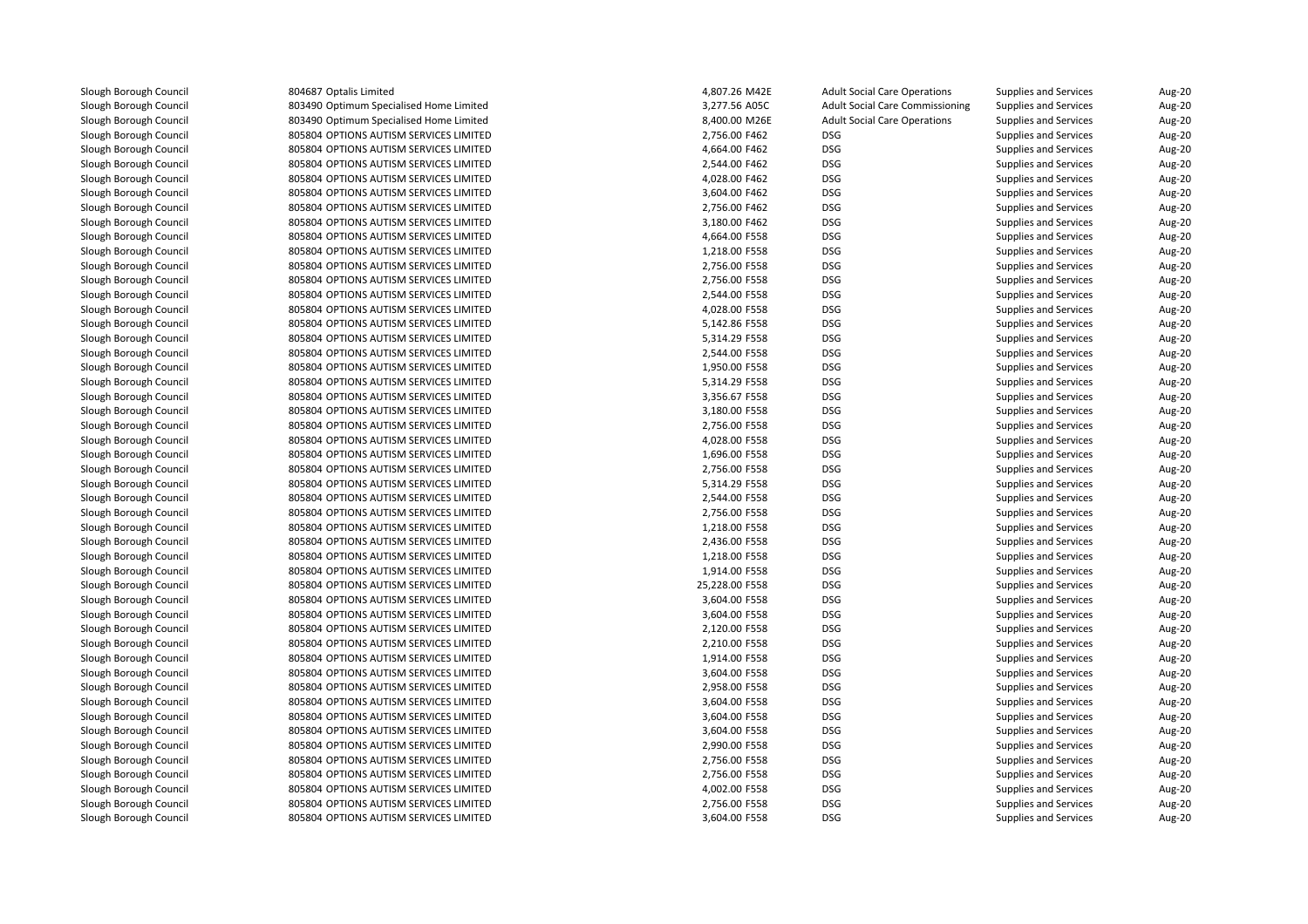Slough Borough Council

 804687 Optalis Limited 803490 Optimum Specialised Home Limited 803490 Optimum Specialised Home Limited 805804 OPTIONS AUTISM SERVICES LIMITED 805804 OPTIONS AUTISM SERVICES LIMITED 805804 OPTIONS AUTISM SERVICES LIMITED 805804 OPTIONS AUTISM SERVICES LIMITED 805804 OPTIONS AUTISM SERVICES LIMITED 805804 OPTIONS AUTISM SERVICES LIMITED 805804 OPTIONS AUTISM SERVICES LIMITED 805804 OPTIONS AUTISM SERVICES LIMITED 805804 OPTIONS AUTISM SERVICES LIMITED 805804 OPTIONS AUTISM SERVICES LIMITED 805804 OPTIONS AUTISM SERVICES LIMITED 805804 OPTIONS AUTISM SERVICES LIMITED 805804 OPTIONS AUTISM SERVICES LIMITED 805804 OPTIONS AUTISM SERVICES LIMITED 805804 OPTIONS AUTISM SERVICES LIMITED 805804 OPTIONS AUTISM SERVICES LIMITED 805804 OPTIONS AUTISM SERVICES LIMITED 805804 OPTIONS AUTISM SERVICES LIMITED 805804 OPTIONS AUTISM SERVICES LIMITED 805804 OPTIONS AUTISM SERVICES LIMITED 805804 OPTIONS AUTISM SERVICES LIMITED 805804 OPTIONS AUTISM SERVICES LIMITED 805804 OPTIONS AUTISM SERVICES LIMITED 805804 OPTIONS AUTISM SERVICES LIMITED 805804 OPTIONS AUTISM SERVICES LIMITED 805804 OPTIONS AUTISM SERVICES LIMITED 805804 OPTIONS AUTISM SERVICES LIMITED 805804 OPTIONS AUTISM SERVICES LIMITED 805804 OPTIONS AUTISM SERVICES LIMITED 805804 OPTIONS AUTISM SERVICES LIMITED 805804 OPTIONS AUTISM SERVICES LIMITED 805804 OPTIONS AUTISM SERVICES LIMITED 805804 OPTIONS AUTISM SERVICES LIMITED 805804 OPTIONS AUTISM SERVICES LIMITED 805804 OPTIONS AUTISM SERVICES LIMITED 805804 OPTIONS AUTISM SERVICES LIMITED 805804 OPTIONS AUTISM SERVICES LIMITED 805804 OPTIONS AUTISM SERVICES LIMITED 805804 OPTIONS AUTISM SERVICES LIMITED 805804 OPTIONS AUTISM SERVICES LIMITED 805804 OPTIONS AUTISM SERVICES LIMITED 805804 OPTIONS AUTISM SERVICES LIMITED 805804 OPTIONS AUTISM SERVICES LIMITED 805804 OPTIONS AUTISM SERVICES LIMITED 805804 OPTIONS AUTISM SERVICES LIMITED 805804 OPTIONS AUTISM SERVICES LIMITED 805804 OPTIONS AUTISM SERVICES LIMITED805804 OPTIONS AUTISM SERVICES LIMITED

| d                           | 4,807.26 M42E  | <b>Adult Social Care Operations</b>    | <b>Supplies and Services</b> | Aug-20        |
|-----------------------------|----------------|----------------------------------------|------------------------------|---------------|
| cialised Home Limited       | 3,277.56 A05C  | <b>Adult Social Care Commissioning</b> | <b>Supplies and Services</b> | Aug-20        |
| cialised Home Limited       | 8,400.00 M26E  | <b>Adult Social Care Operations</b>    | Supplies and Services        | Aug-20        |
| ISM SERVICES LIMITED        | 2,756.00 F462  | <b>DSG</b>                             | <b>Supplies and Services</b> | Aug-20        |
| ISM SERVICES LIMITED        | 4,664.00 F462  | <b>DSG</b>                             | <b>Supplies and Services</b> | Aug-20        |
| ISM SERVICES LIMITED        | 2,544.00 F462  | <b>DSG</b>                             | <b>Supplies and Services</b> | Aug-20        |
| ISM SERVICES LIMITED        | 4,028.00 F462  | <b>DSG</b>                             | <b>Supplies and Services</b> | Aug-20        |
| ISM SERVICES LIMITED        | 3,604.00 F462  | <b>DSG</b>                             | <b>Supplies and Services</b> | Aug-20        |
| ISM SERVICES LIMITED        | 2,756.00 F462  | DSG                                    | <b>Supplies and Services</b> | Aug-20        |
| ISM SERVICES LIMITED        | 3,180.00 F462  | <b>DSG</b>                             | <b>Supplies and Services</b> | Aug-20        |
| ISM SERVICES LIMITED        | 4,664.00 F558  | DSG                                    | <b>Supplies and Services</b> | Aug-20        |
| ISM SERVICES LIMITED        | 1,218.00 F558  | <b>DSG</b>                             | <b>Supplies and Services</b> | Aug-20        |
| ISM SERVICES LIMITED        | 2,756.00 F558  | <b>DSG</b>                             | <b>Supplies and Services</b> | Aug-20        |
| ISM SERVICES LIMITED        | 2,756.00 F558  | <b>DSG</b>                             | <b>Supplies and Services</b> | Aug-20        |
| ISM SERVICES LIMITED        | 2,544.00 F558  | <b>DSG</b>                             | <b>Supplies and Services</b> | Aug-20        |
| ISM SERVICES LIMITED        | 4,028.00 F558  | DSG                                    | <b>Supplies and Services</b> | Aug-20        |
| ISM SERVICES LIMITED        | 5,142.86 F558  | <b>DSG</b>                             | <b>Supplies and Services</b> | Aug-20        |
| ISM SERVICES LIMITED        | 5,314.29 F558  | <b>DSG</b>                             | <b>Supplies and Services</b> | <b>Aug-20</b> |
| ISM SERVICES LIMITED        | 2,544.00 F558  | DSG                                    | <b>Supplies and Services</b> | Aug-20        |
| ISM SERVICES LIMITED        | 1,950.00 F558  | <b>DSG</b>                             | <b>Supplies and Services</b> | Aug-20        |
| ISM SERVICES LIMITED        | 5,314.29 F558  | DSG                                    | <b>Supplies and Services</b> | Aug-20        |
| ISM SERVICES LIMITED        | 3,356.67 F558  | <b>DSG</b>                             | <b>Supplies and Services</b> | <b>Aug-20</b> |
| ISM SERVICES LIMITED        | 3,180.00 F558  | <b>DSG</b>                             | <b>Supplies and Services</b> | <b>Aug-20</b> |
| ISM SERVICES LIMITED        | 2,756.00 F558  | DSG                                    | Supplies and Services        | Aug-20        |
| ISM SERVICES LIMITED        | 4,028.00 F558  | DSG                                    | <b>Supplies and Services</b> | Aug-20        |
| ISM SERVICES LIMITED        | 1,696.00 F558  | DSG                                    | <b>Supplies and Services</b> | Aug-20        |
| ISM SERVICES LIMITED        | 2,756.00 F558  | DSG                                    | <b>Supplies and Services</b> | Aug-20        |
| ISM SERVICES LIMITED        | 5,314.29 F558  | <b>DSG</b>                             | <b>Supplies and Services</b> | Aug-20        |
| ISM SERVICES LIMITED        | 2,544.00 F558  | DSG                                    | <b>Supplies and Services</b> | Aug-20        |
| ISM SERVICES LIMITED        | 2,756.00 F558  | <b>DSG</b>                             | <b>Supplies and Services</b> | Aug-20        |
| <b>ISM SERVICES LIMITED</b> | 1,218.00 F558  | DSG                                    | <b>Supplies and Services</b> | Aug-20        |
| ISM SERVICES LIMITED        | 2,436.00 F558  | <b>DSG</b>                             | <b>Supplies and Services</b> | Aug-20        |
| ISM SERVICES LIMITED        | 1,218.00 F558  | <b>DSG</b>                             | <b>Supplies and Services</b> | Aug-20        |
| ISM SERVICES LIMITED        | 1,914.00 F558  | DSG                                    | <b>Supplies and Services</b> | Aug-20        |
| ISM SERVICES LIMITED        | 25,228.00 F558 | <b>DSG</b>                             | <b>Supplies and Services</b> | Aug-20        |
| ISM SERVICES LIMITED        | 3,604.00 F558  | <b>DSG</b>                             | <b>Supplies and Services</b> | Aug-20        |
| ISM SERVICES LIMITED        | 3,604.00 F558  | DSG                                    | <b>Supplies and Services</b> | Aug-20        |
| ISM SERVICES LIMITED        | 2,120.00 F558  | <b>DSG</b>                             | <b>Supplies and Services</b> | Aug-20        |
| ISM SERVICES LIMITED        | 2,210.00 F558  | DSG                                    | <b>Supplies and Services</b> | Aug-20        |
| ISM SERVICES LIMITED        | 1,914.00 F558  | <b>DSG</b>                             | <b>Supplies and Services</b> | Aug-20        |
| ISM SERVICES LIMITED        | 3,604.00 F558  | <b>DSG</b>                             | <b>Supplies and Services</b> | Aug-20        |
| ISM SERVICES LIMITED        | 2,958.00 F558  | DSG                                    | <b>Supplies and Services</b> | Aug-20        |
| ISM SERVICES LIMITED        | 3,604.00 F558  | <b>DSG</b>                             | <b>Supplies and Services</b> | Aug-20        |
| ISM SERVICES LIMITED        | 3,604.00 F558  | <b>DSG</b>                             | <b>Supplies and Services</b> | Aug-20        |
| ISM SERVICES LIMITED        | 3,604.00 F558  | <b>DSG</b>                             | <b>Supplies and Services</b> | Aug-20        |
| ISM SERVICES LIMITED        | 2,990.00 F558  | <b>DSG</b>                             | <b>Supplies and Services</b> | Aug-20        |
| ISM SERVICES LIMITED        | 2,756.00 F558  | DSG                                    | <b>Supplies and Services</b> | Aug-20        |
| ISM SERVICES LIMITED        | 2,756.00 F558  | DSG                                    | <b>Supplies and Services</b> | Aug-20        |
| ISM SERVICES LIMITED        | 4,002.00 F558  | DSG                                    | Supplies and Services        | Aug-20        |
| ISM SERVICES LIMITED        | 2,756.00 F558  | <b>DSG</b>                             | <b>Supplies and Services</b> | Aug-20        |
| ISM SERVICES LIMITED        | 3,604.00 F558  | <b>DSG</b>                             | Supplies and Services        | <b>Aug-20</b> |
|                             |                |                                        |                              |               |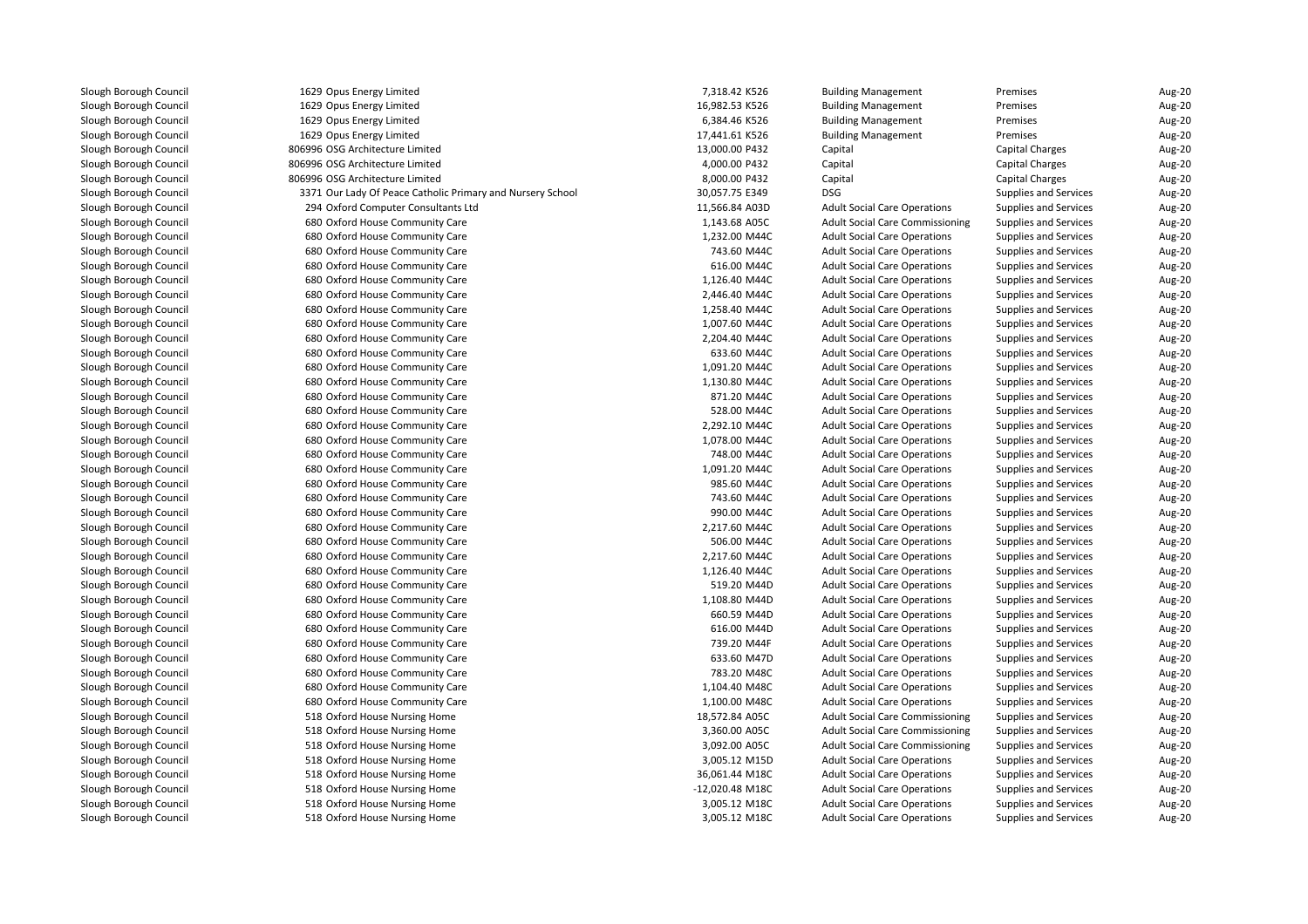| 1629 Opus Energy Limited                                   | 7,318.42 K526   | <b>Building Management</b>             | Premises                     | Aug-20 |
|------------------------------------------------------------|-----------------|----------------------------------------|------------------------------|--------|
| 1629 Opus Energy Limited                                   | 16,982.53 K526  | <b>Building Management</b>             | Premises                     | Aug-20 |
| 1629 Opus Energy Limited                                   | 6,384.46 K526   | <b>Building Management</b>             | Premises                     | Aug-20 |
| 1629 Opus Energy Limited                                   | 17,441.61 K526  | <b>Building Management</b>             | Premises                     | Aug-20 |
| 806996 OSG Architecture Limited                            | 13,000.00 P432  | Capital                                | <b>Capital Charges</b>       | Aug-20 |
| 806996 OSG Architecture Limited                            | 4,000.00 P432   | Capital                                | Capital Charges              | Aug-20 |
| 806996 OSG Architecture Limited                            | 8,000.00 P432   | Capital                                | <b>Capital Charges</b>       | Aug-20 |
| 3371 Our Lady Of Peace Catholic Primary and Nursery School | 30,057.75 E349  | <b>DSG</b>                             | Supplies and Services        | Aug-20 |
| 294 Oxford Computer Consultants Ltd                        | 11,566.84 A03D  | <b>Adult Social Care Operations</b>    | <b>Supplies and Services</b> | Aug-20 |
| 680 Oxford House Community Care                            | 1,143.68 A05C   | <b>Adult Social Care Commissioning</b> | Supplies and Services        | Aug-20 |
| 680 Oxford House Community Care                            | 1,232.00 M44C   | <b>Adult Social Care Operations</b>    | <b>Supplies and Services</b> | Aug-20 |
| 680 Oxford House Community Care                            | 743.60 M44C     | <b>Adult Social Care Operations</b>    | <b>Supplies and Services</b> | Aug-20 |
| 680 Oxford House Community Care                            | 616.00 M44C     | <b>Adult Social Care Operations</b>    | <b>Supplies and Services</b> | Aug-20 |
| 680 Oxford House Community Care                            | 1,126.40 M44C   | <b>Adult Social Care Operations</b>    | <b>Supplies and Services</b> | Aug-20 |
| 680 Oxford House Community Care                            | 2,446.40 M44C   | <b>Adult Social Care Operations</b>    | Supplies and Services        | Aug-20 |
| 680 Oxford House Community Care                            | 1,258.40 M44C   | <b>Adult Social Care Operations</b>    | <b>Supplies and Services</b> | Aug-20 |
| 680 Oxford House Community Care                            | 1,007.60 M44C   | <b>Adult Social Care Operations</b>    | <b>Supplies and Services</b> | Aug-20 |
| 680 Oxford House Community Care                            | 2,204.40 M44C   | <b>Adult Social Care Operations</b>    | Supplies and Services        | Aug-20 |
| 680 Oxford House Community Care                            | 633.60 M44C     | <b>Adult Social Care Operations</b>    | <b>Supplies and Services</b> | Aug-20 |
| 680 Oxford House Community Care                            | 1,091.20 M44C   | <b>Adult Social Care Operations</b>    | <b>Supplies and Services</b> | Aug-20 |
| 680 Oxford House Community Care                            | 1,130.80 M44C   | <b>Adult Social Care Operations</b>    | <b>Supplies and Services</b> | Aug-20 |
| 680 Oxford House Community Care                            | 871.20 M44C     | <b>Adult Social Care Operations</b>    | <b>Supplies and Services</b> | Aug-20 |
| 680 Oxford House Community Care                            | 528.00 M44C     | <b>Adult Social Care Operations</b>    | <b>Supplies and Services</b> | Aug-20 |
| 680 Oxford House Community Care                            | 2,292.10 M44C   | <b>Adult Social Care Operations</b>    | Supplies and Services        | Aug-20 |
| 680 Oxford House Community Care                            | 1,078.00 M44C   | <b>Adult Social Care Operations</b>    | <b>Supplies and Services</b> | Aug-20 |
|                                                            | 748.00 M44C     |                                        |                              |        |
| 680 Oxford House Community Care                            |                 | <b>Adult Social Care Operations</b>    | <b>Supplies and Services</b> | Aug-20 |
| 680 Oxford House Community Care                            | 1,091.20 M44C   | <b>Adult Social Care Operations</b>    | <b>Supplies and Services</b> | Aug-20 |
| 680 Oxford House Community Care                            | 985.60 M44C     | <b>Adult Social Care Operations</b>    | <b>Supplies and Services</b> | Aug-20 |
| 680 Oxford House Community Care                            | 743.60 M44C     | <b>Adult Social Care Operations</b>    | <b>Supplies and Services</b> | Aug-20 |
| 680 Oxford House Community Care                            | 990.00 M44C     | <b>Adult Social Care Operations</b>    | <b>Supplies and Services</b> | Aug-20 |
| 680 Oxford House Community Care                            | 2,217.60 M44C   | <b>Adult Social Care Operations</b>    | <b>Supplies and Services</b> | Aug-20 |
| 680 Oxford House Community Care                            | 506.00 M44C     | <b>Adult Social Care Operations</b>    | <b>Supplies and Services</b> | Aug-20 |
| 680 Oxford House Community Care                            | 2,217.60 M44C   | <b>Adult Social Care Operations</b>    | <b>Supplies and Services</b> | Aug-20 |
| 680 Oxford House Community Care                            | 1,126.40 M44C   | <b>Adult Social Care Operations</b>    | <b>Supplies and Services</b> | Aug-20 |
| 680 Oxford House Community Care                            | 519.20 M44D     | <b>Adult Social Care Operations</b>    | <b>Supplies and Services</b> | Aug-20 |
| 680 Oxford House Community Care                            | 1,108.80 M44D   | <b>Adult Social Care Operations</b>    | <b>Supplies and Services</b> | Aug-20 |
| 680 Oxford House Community Care                            | 660.59 M44D     | <b>Adult Social Care Operations</b>    | <b>Supplies and Services</b> | Aug-20 |
| 680 Oxford House Community Care                            | 616.00 M44D     | <b>Adult Social Care Operations</b>    | <b>Supplies and Services</b> | Aug-20 |
| 680 Oxford House Community Care                            | 739.20 M44F     | <b>Adult Social Care Operations</b>    | <b>Supplies and Services</b> | Aug-20 |
| 680 Oxford House Community Care                            | 633.60 M47D     | <b>Adult Social Care Operations</b>    | <b>Supplies and Services</b> | Aug-20 |
| 680 Oxford House Community Care                            | 783.20 M48C     | <b>Adult Social Care Operations</b>    | <b>Supplies and Services</b> | Aug-20 |
| 680 Oxford House Community Care                            | 1,104.40 M48C   | <b>Adult Social Care Operations</b>    | <b>Supplies and Services</b> | Aug-20 |
| 680 Oxford House Community Care                            | 1,100.00 M48C   | <b>Adult Social Care Operations</b>    | <b>Supplies and Services</b> | Aug-20 |
| 518 Oxford House Nursing Home                              | 18,572.84 A05C  | <b>Adult Social Care Commissioning</b> | <b>Supplies and Services</b> | Aug-20 |
| 518 Oxford House Nursing Home                              | 3,360.00 A05C   | <b>Adult Social Care Commissioning</b> | Supplies and Services        | Aug-20 |
| 518 Oxford House Nursing Home                              | 3,092.00 A05C   | <b>Adult Social Care Commissioning</b> | <b>Supplies and Services</b> | Aug-20 |
| 518 Oxford House Nursing Home                              | 3,005.12 M15D   | <b>Adult Social Care Operations</b>    | Supplies and Services        | Aug-20 |
| 518 Oxford House Nursing Home                              | 36,061.44 M18C  | <b>Adult Social Care Operations</b>    | <b>Supplies and Services</b> | Aug-20 |
| 518 Oxford House Nursing Home                              | -12,020.48 M18C | <b>Adult Social Care Operations</b>    | <b>Supplies and Services</b> | Aug-20 |
| 518 Oxford House Nursing Home                              | 3,005.12 M18C   | <b>Adult Social Care Operations</b>    | <b>Supplies and Services</b> | Aug-20 |
| 518 Oxford House Nursing Home                              | 3,005.12 M18C   | <b>Adult Social Care Operations</b>    | <b>Supplies and Services</b> | Aug-20 |
|                                                            |                 |                                        |                              |        |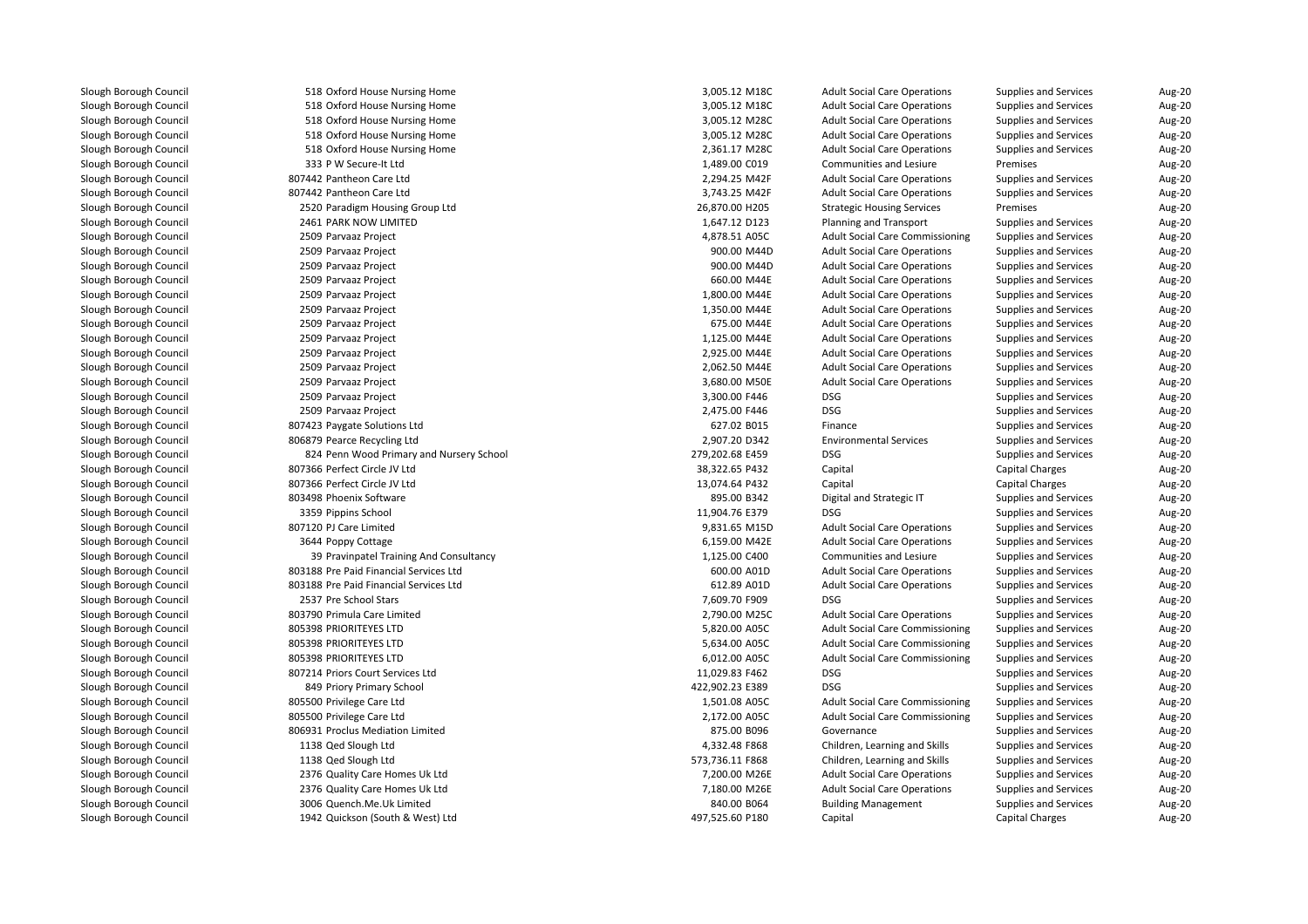518 Oxford House Nursing Home 3,005.12 M18C 518 Oxford House Nursing Home 3,005.12 M18C 518 Oxford House Nursing Home 3,005.12 M28C 518 Oxford House Nursing Home 3,005.12 M28C 518 Oxford House Nursing Home 2,361.17 M28C 333 P W Secure-It Ltd 807442 Pantheon Care Ltd 807442 Pantheon Care Ltd 2520 Paradigm Housing Group Ltd 2461 PARK NOW LIMITED 2509 Parvaaz Project 4,878.51 A05C 2509 Parvaaz Project 900.00 M44D 2509 Parvaaz Project 900.00 M44D2509 Parvaaz Project 2509 Parvaaz Project 2509 Parvaaz Project 2509 Parvaaz Project 2509 Parvaaz Project 2509 Parvaaz Project 2509 Parvaaz Project 2509 Parvaaz Project 2509 Parvaaz Project 3,300.00 F446 DSG2509 Parvaaz Project Parvaaz Project 2,475.00 F446 DSG 807423 Paygate Solutions Ltd 806879 Pearce Recycling Ltd 824 Penn Wood Primary and Nursery School 279,202.68 E459 DSG 807366 Perfect Circle JV Ltd 807366 Perfect Circle JV Ltd803498 Phoenix Software 3359 Pippins School Pippins School 11,904.76 E379 DSG 807120 PJ Care Limitedd 9,831.65 M15D 3644 Poppy Cottage 39 803188 Pre Paid Financial Services Ltd 803188 Pre Paid Financial Services Ltd 2537 Pre School Stars 7,609.70 F909 DSG 803790 Primula Care Limited 2,790.00 M25C 805398 PRIORITEYES LTD 805398 PRIORITEYES LTD 805398 PRIORITEYES LTD 807214 Priors Court Services Ltd 849 Priory Primary School 422,902.23 E389 DSG 805500 Privilege Care Ltdd 1,501.08 A05C 805500 Privilege Care Ltd 2,172.00 A05C 806931 Proclus Mediation Limited 1138 Qed Slough Ltd 1138 Qed Slough Ltd 2376 Quality Care Homes Uk Ltd 2376 Quality Care Homes Uk Ltd 3006 Quench.Me.Uk Limited1942 Quickson (South & West) Ltd

| 518 Oxford House Nursing Home            | 3,005.12 M18C   | <b>Adult Social Care Operations</b>    | Supplies and Services        | Aug-20        |
|------------------------------------------|-----------------|----------------------------------------|------------------------------|---------------|
| 518 Oxford House Nursing Home            | 3,005.12 M18C   | <b>Adult Social Care Operations</b>    | Supplies and Services        | Aug-20        |
| 518 Oxford House Nursing Home            | 3,005.12 M28C   | <b>Adult Social Care Operations</b>    | <b>Supplies and Services</b> | Aug-20        |
| 518 Oxford House Nursing Home            | 3,005.12 M28C   | <b>Adult Social Care Operations</b>    | Supplies and Services        | Aug-20        |
| 518 Oxford House Nursing Home            | 2,361.17 M28C   | <b>Adult Social Care Operations</b>    | <b>Supplies and Services</b> | Aug-20        |
| 333 P W Secure-It Ltd                    | 1,489.00 C019   | Communities and Lesiure                | Premises                     | <b>Aug-20</b> |
| 442 Pantheon Care Ltd                    | 2,294.25 M42F   | <b>Adult Social Care Operations</b>    | Supplies and Services        | Aug-20        |
| 442 Pantheon Care Ltd                    | 3,743.25 M42F   | <b>Adult Social Care Operations</b>    | <b>Supplies and Services</b> | Aug-20        |
| 520 Paradigm Housing Group Ltd           | 26,870.00 H205  | <b>Strategic Housing Services</b>      | Premises                     | Aug-20        |
| <b>161 PARK NOW LIMITED</b>              | 1,647.12 D123   | Planning and Transport                 | <b>Supplies and Services</b> | Aug-20        |
| 509 Parvaaz Project                      | 4,878.51 A05C   | <b>Adult Social Care Commissioning</b> | Supplies and Services        | Aug-20        |
| 509 Parvaaz Project                      | 900.00 M44D     | <b>Adult Social Care Operations</b>    | <b>Supplies and Services</b> | Aug-20        |
| 509 Parvaaz Project                      | 900.00 M44D     | <b>Adult Social Care Operations</b>    | <b>Supplies and Services</b> | Aug-20        |
| 509 Parvaaz Project                      | 660.00 M44E     | <b>Adult Social Care Operations</b>    | Supplies and Services        | Aug-20        |
| 509 Parvaaz Project                      | 1,800.00 M44E   | <b>Adult Social Care Operations</b>    | <b>Supplies and Services</b> | Aug-20        |
| 509 Parvaaz Project                      | 1,350.00 M44E   | <b>Adult Social Care Operations</b>    | Supplies and Services        | Aug-20        |
| 509 Parvaaz Project                      | 675.00 M44E     | <b>Adult Social Care Operations</b>    | <b>Supplies and Services</b> | Aug-20        |
| 509 Parvaaz Project                      | 1,125.00 M44E   | <b>Adult Social Care Operations</b>    | <b>Supplies and Services</b> | Aug-20        |
| 509 Parvaaz Project                      | 2,925.00 M44E   | <b>Adult Social Care Operations</b>    | <b>Supplies and Services</b> | Aug-20        |
| 509 Parvaaz Project                      | 2,062.50 M44E   | <b>Adult Social Care Operations</b>    | <b>Supplies and Services</b> | Aug-20        |
| 509 Parvaaz Project                      | 3,680.00 M50E   | <b>Adult Social Care Operations</b>    | Supplies and Services        | Aug-20        |
| 509 Parvaaz Project                      | 3,300.00 F446   | <b>DSG</b>                             | <b>Supplies and Services</b> | Aug-20        |
| 509 Parvaaz Project                      | 2,475.00 F446   | <b>DSG</b>                             | Supplies and Services        | Aug-20        |
| 423 Paygate Solutions Ltd                | 627.02 B015     | Finance                                | Supplies and Services        | Aug-20        |
| 379 Pearce Recycling Ltd                 | 2,907.20 D342   | <b>Environmental Services</b>          | Supplies and Services        | Aug-20        |
| 324 Penn Wood Primary and Nursery School | 279,202.68 E459 | <b>DSG</b>                             | <b>Supplies and Services</b> | Aug-20        |
| 366 Perfect Circle JV Ltd                | 38,322.65 P432  | Capital                                | Capital Charges              | Aug-20        |
| 366 Perfect Circle JV Ltd                | 13,074.64 P432  | Capital                                | <b>Capital Charges</b>       | Aug-20        |
| 498 Phoenix Software                     | 895.00 B342     | Digital and Strategic IT               | <b>Supplies and Services</b> | <b>Aug-20</b> |
| 359 Pippins School                       | 11,904.76 E379  | <b>DSG</b>                             | <b>Supplies and Services</b> | Aug-20        |
| 120 PJ Care Limited                      | 9,831.65 M15D   | <b>Adult Social Care Operations</b>    | <b>Supplies and Services</b> | Aug-20        |
| 544 Poppy Cottage                        | 6,159.00 M42E   | <b>Adult Social Care Operations</b>    | <b>Supplies and Services</b> | Aug-20        |
| 39 Pravinpatel Training And Consultancy  | 1,125.00 C400   | Communities and Lesiure                | Supplies and Services        | Aug-20        |
| 188 Pre Paid Financial Services Ltd      | 600.00 A01D     | <b>Adult Social Care Operations</b>    | <b>Supplies and Services</b> | Aug-20        |
| 188 Pre Paid Financial Services Ltd      | 612.89 A01D     | <b>Adult Social Care Operations</b>    | <b>Supplies and Services</b> | Aug-20        |
| 537 Pre School Stars                     | 7,609.70 F909   | <b>DSG</b>                             | <b>Supplies and Services</b> | Aug-20        |
| 790 Primula Care Limited                 | 2,790.00 M25C   | <b>Adult Social Care Operations</b>    | <b>Supplies and Services</b> | Aug-20        |
| <b>398 PRIORITEYES LTD</b>               | 5,820.00 A05C   | <b>Adult Social Care Commissioning</b> | <b>Supplies and Services</b> | Aug-20        |
| <b>398 PRIORITEYES LTD</b>               | 5,634.00 A05C   | <b>Adult Social Care Commissioning</b> | <b>Supplies and Services</b> | Aug-20        |
| <b>398 PRIORITEYES LTD</b>               | 6,012.00 A05C   | <b>Adult Social Care Commissioning</b> | Supplies and Services        | Aug-20        |
| 214 Priors Court Services Ltd            | 11,029.83 F462  | <b>DSG</b>                             | <b>Supplies and Services</b> | Aug-20        |
| 349 Priory Primary School                | 422,902.23 E389 | <b>DSG</b>                             | <b>Supplies and Services</b> | Aug-20        |
| 500 Privilege Care Ltd                   | 1,501.08 A05C   | <b>Adult Social Care Commissioning</b> | <b>Supplies and Services</b> | Aug-20        |
| 500 Privilege Care Ltd                   | 2,172.00 A05C   | <b>Adult Social Care Commissioning</b> | <b>Supplies and Services</b> | Aug-20        |
| 931 Proclus Mediation Limited            | 875.00 B096     | Governance                             | Supplies and Services        | Aug-20        |
| 138 Qed Slough Ltd                       | 4,332.48 F868   | Children, Learning and Skills          | <b>Supplies and Services</b> | Aug-20        |
| 138 Qed Slough Ltd                       | 573,736.11 F868 | Children, Learning and Skills          | <b>Supplies and Services</b> | <b>Aug-20</b> |
| 376 Quality Care Homes Uk Ltd            | 7,200.00 M26E   | <b>Adult Social Care Operations</b>    | Supplies and Services        | Aug-20        |
| 376 Quality Care Homes Uk Ltd            | 7,180.00 M26E   | <b>Adult Social Care Operations</b>    | <b>Supplies and Services</b> | Aug-20        |
| 006 Quench.Me.Uk Limited                 | 840.00 B064     | <b>Building Management</b>             | <b>Supplies and Services</b> | Aug-20        |
| 942 Quickson (South & West) Ltd          | 497,525.60 P180 | Capital                                | <b>Capital Charges</b>       | Aug-20        |
|                                          |                 |                                        |                              |               |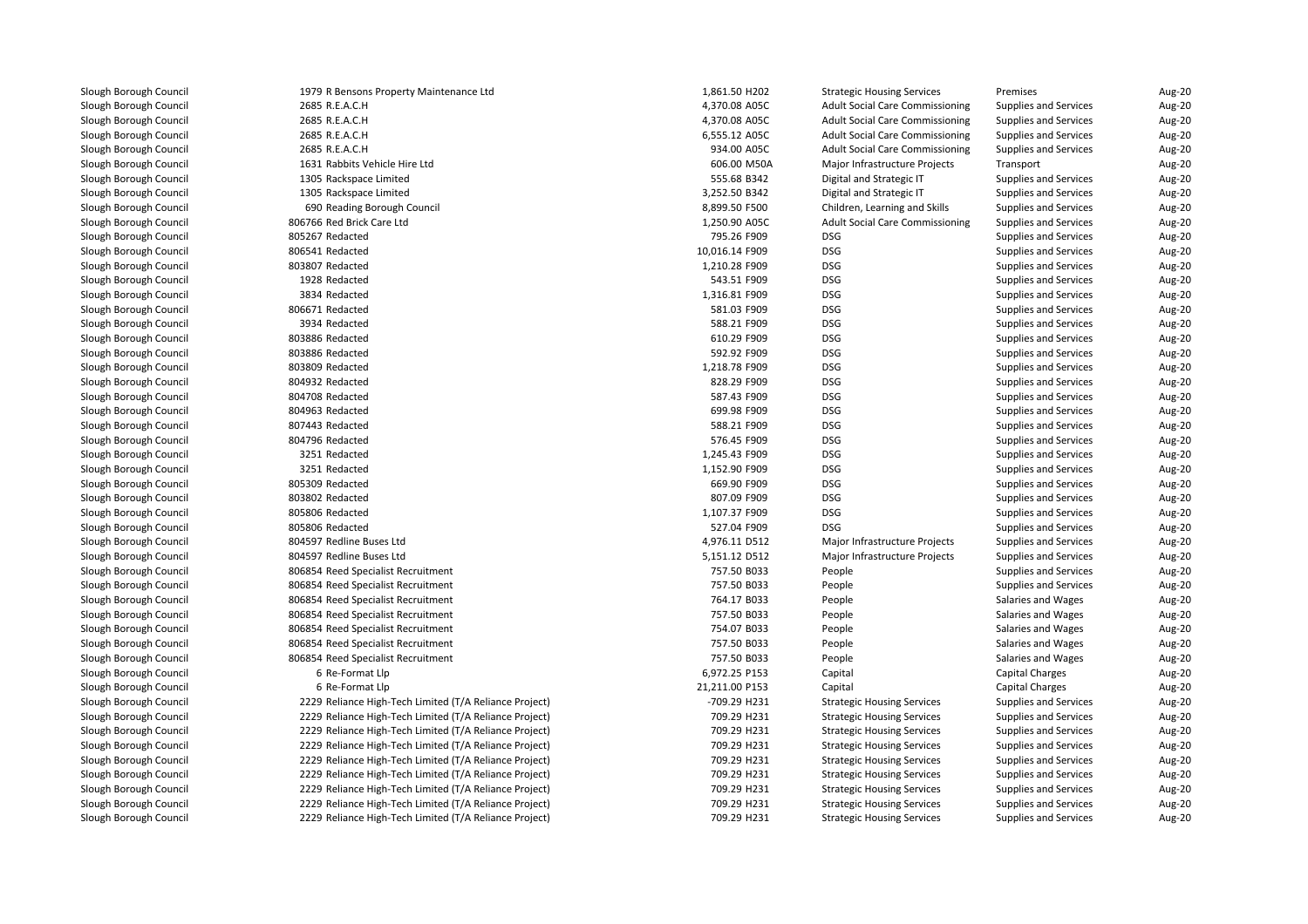| 1979 R Bensons Property Maintenance Ltd                | 1,861.50 H202  | <b>Strategic Housing Services</b>      | Premises                     | Aug-20 |
|--------------------------------------------------------|----------------|----------------------------------------|------------------------------|--------|
| 2685 R.E.A.C.H                                         | 4,370.08 A05C  | <b>Adult Social Care Commissioning</b> | Supplies and Services        | Aug-20 |
| 2685 R.E.A.C.H                                         | 4,370.08 A05C  | <b>Adult Social Care Commissioning</b> | Supplies and Services        | Aug-20 |
| 2685 R.E.A.C.H                                         | 6,555.12 A05C  | <b>Adult Social Care Commissioning</b> | Supplies and Services        | Aug-20 |
| 2685 R.E.A.C.H                                         | 934.00 A05C    | <b>Adult Social Care Commissioning</b> | Supplies and Services        | Aug-20 |
| 1631 Rabbits Vehicle Hire Ltd                          | 606.00 M50A    | Major Infrastructure Projects          | Transport                    | Aug-20 |
| 1305 Rackspace Limited                                 | 555.68 B342    | Digital and Strategic IT               | Supplies and Services        | Aug-20 |
| 1305 Rackspace Limited                                 | 3,252.50 B342  | Digital and Strategic IT               | Supplies and Services        | Aug-20 |
| 690 Reading Borough Council                            | 8,899.50 F500  | Children, Learning and Skills          | Supplies and Services        | Aug-20 |
| 806766 Red Brick Care Ltd                              | 1,250.90 A05C  | <b>Adult Social Care Commissioning</b> | Supplies and Services        | Aug-20 |
| 805267 Redacted                                        | 795.26 F909    | <b>DSG</b>                             | Supplies and Services        | Aug-20 |
| 806541 Redacted                                        | 10,016.14 F909 | <b>DSG</b>                             | Supplies and Services        | Aug-20 |
| 803807 Redacted                                        | 1,210.28 F909  | <b>DSG</b>                             | Supplies and Services        | Aug-20 |
| 1928 Redacted                                          | 543.51 F909    | <b>DSG</b>                             | Supplies and Services        | Aug-20 |
| 3834 Redacted                                          | 1,316.81 F909  | <b>DSG</b>                             | Supplies and Services        | Aug-20 |
| 806671 Redacted                                        | 581.03 F909    | <b>DSG</b>                             | Supplies and Services        | Aug-20 |
| 3934 Redacted                                          | 588.21 F909    | <b>DSG</b>                             | Supplies and Services        | Aug-20 |
| 803886 Redacted                                        | 610.29 F909    | <b>DSG</b>                             | Supplies and Services        | Aug-20 |
| 803886 Redacted                                        | 592.92 F909    | <b>DSG</b>                             | Supplies and Services        | Aug-20 |
| 803809 Redacted                                        | 1,218.78 F909  | <b>DSG</b>                             | <b>Supplies and Services</b> | Aug-20 |
| 804932 Redacted                                        | 828.29 F909    | <b>DSG</b>                             | Supplies and Services        | Aug-20 |
| 804708 Redacted                                        | 587.43 F909    | <b>DSG</b>                             | <b>Supplies and Services</b> | Aug-20 |
| 804963 Redacted                                        | 699.98 F909    | <b>DSG</b>                             | Supplies and Services        | Aug-20 |
| 807443 Redacted                                        | 588.21 F909    | <b>DSG</b>                             | Supplies and Services        | Aug-20 |
| 804796 Redacted                                        | 576.45 F909    | <b>DSG</b>                             | Supplies and Services        | Aug-20 |
| 3251 Redacted                                          | 1,245.43 F909  | <b>DSG</b>                             | Supplies and Services        | Aug-20 |
| 3251 Redacted                                          | 1,152.90 F909  | <b>DSG</b>                             | <b>Supplies and Services</b> | Aug-20 |
| 805309 Redacted                                        | 669.90 F909    | <b>DSG</b>                             | Supplies and Services        | Aug-20 |
| 803802 Redacted                                        | 807.09 F909    | <b>DSG</b>                             | <b>Supplies and Services</b> | Aug-20 |
| 805806 Redacted                                        | 1,107.37 F909  | <b>DSG</b>                             | Supplies and Services        | Aug-20 |
| 805806 Redacted                                        | 527.04 F909    | <b>DSG</b>                             | Supplies and Services        | Aug-20 |
| 804597 Redline Buses Ltd                               | 4,976.11 D512  | Major Infrastructure Projects          | Supplies and Services        | Aug-20 |
| 804597 Redline Buses Ltd                               | 5,151.12 D512  | Major Infrastructure Projects          | <b>Supplies and Services</b> | Aug-20 |
| 806854 Reed Specialist Recruitment                     | 757.50 B033    | People                                 | Supplies and Services        | Aug-20 |
| 806854 Reed Specialist Recruitment                     | 757.50 B033    | People                                 | <b>Supplies and Services</b> | Aug-20 |
| 806854 Reed Specialist Recruitment                     | 764.17 B033    | People                                 | Salaries and Wages           | Aug-20 |
| 806854 Reed Specialist Recruitment                     | 757.50 B033    | People                                 | Salaries and Wages           | Aug-20 |
| 806854 Reed Specialist Recruitment                     | 754.07 B033    | People                                 | Salaries and Wages           | Aug-20 |
| 806854 Reed Specialist Recruitment                     | 757.50 B033    | People                                 | Salaries and Wages           | Aug-20 |
| 806854 Reed Specialist Recruitment                     | 757.50 B033    | People                                 | Salaries and Wages           | Aug-20 |
| 6 Re-Format Llp                                        | 6,972.25 P153  | Capital                                | <b>Capital Charges</b>       | Aug-20 |
| 6 Re-Format Llp                                        | 21,211.00 P153 | Capital                                | Capital Charges              | Aug-20 |
| 2229 Reliance High-Tech Limited (T/A Reliance Project) | -709.29 H231   | <b>Strategic Housing Services</b>      | Supplies and Services        | Aug-20 |
| 2229 Reliance High-Tech Limited (T/A Reliance Project) | 709.29 H231    | <b>Strategic Housing Services</b>      | Supplies and Services        | Aug-20 |
| 2229 Reliance High-Tech Limited (T/A Reliance Project) | 709.29 H231    | <b>Strategic Housing Services</b>      | Supplies and Services        | Aug-20 |
| 2229 Reliance High-Tech Limited (T/A Reliance Project) | 709.29 H231    | <b>Strategic Housing Services</b>      | Supplies and Services        | Aug-20 |
| 2229 Reliance High-Tech Limited (T/A Reliance Project) | 709.29 H231    | <b>Strategic Housing Services</b>      | Supplies and Services        | Aug-20 |
| 2229 Reliance High-Tech Limited (T/A Reliance Project) | 709.29 H231    | <b>Strategic Housing Services</b>      | Supplies and Services        | Aug-20 |
| 2229 Reliance High-Tech Limited (T/A Reliance Project) | 709.29 H231    | <b>Strategic Housing Services</b>      | <b>Supplies and Services</b> | Aug-20 |
| 2229 Reliance High-Tech Limited (T/A Reliance Project) | 709.29 H231    | <b>Strategic Housing Services</b>      | Supplies and Services        | Aug-20 |
| 2229 Reliance High-Tech Limited (T/A Reliance Project) | 709.29 H231    | <b>Strategic Housing Services</b>      | Supplies and Services        | Aug-20 |
|                                                        |                |                                        |                              |        |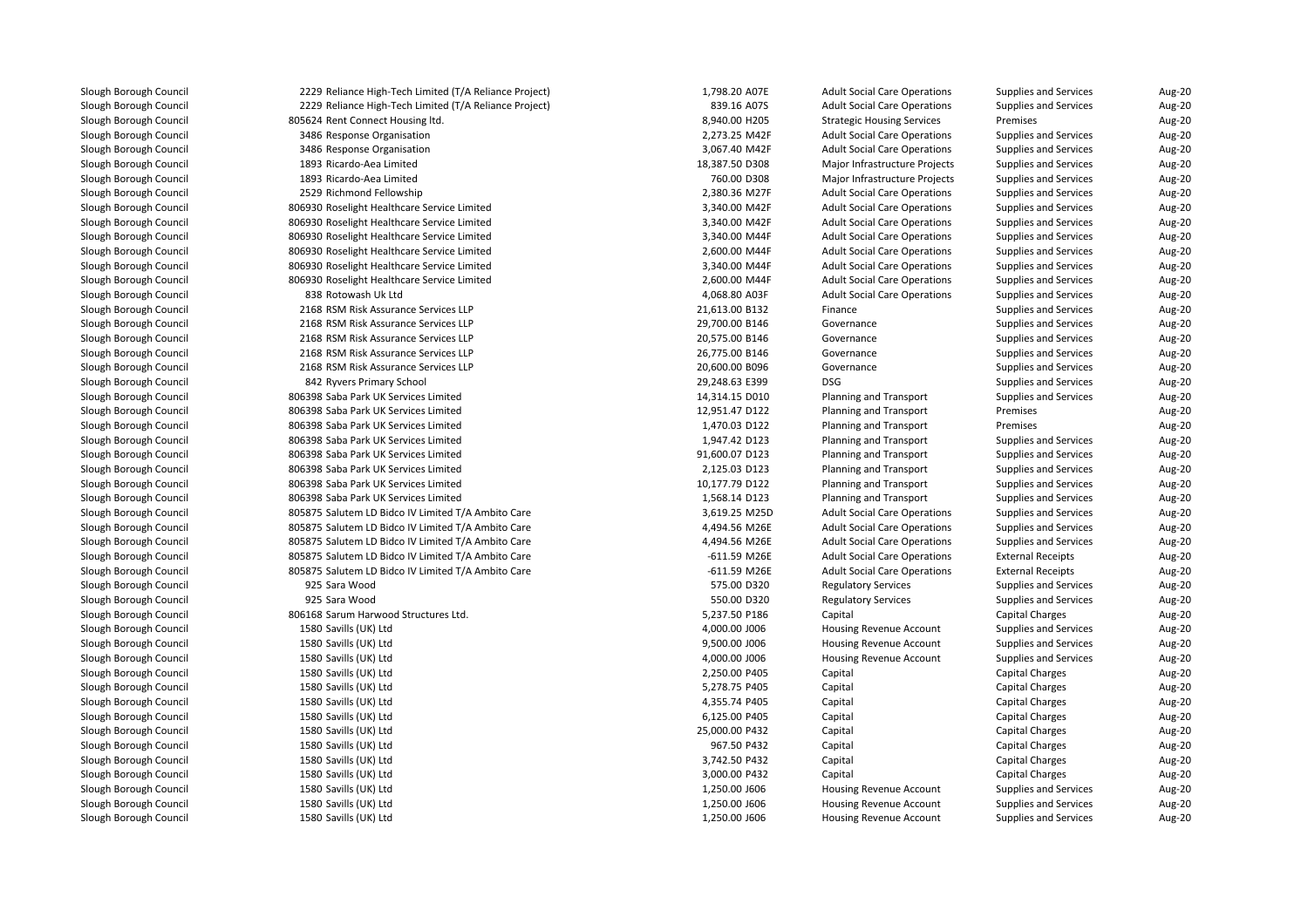| 2229 Reliance High-Tech Limited (T/A Reliance Project) | 1,798.20 A07E  | <b>Adult Social Care Operations</b> | Supplies and Services        | Aug-20 |
|--------------------------------------------------------|----------------|-------------------------------------|------------------------------|--------|
| 2229 Reliance High-Tech Limited (T/A Reliance Project) | 839.16 A07S    | <b>Adult Social Care Operations</b> | <b>Supplies and Services</b> | Aug-20 |
| 805624 Rent Connect Housing ltd.                       | 8,940.00 H205  | <b>Strategic Housing Services</b>   | Premises                     | Aug-20 |
| 3486 Response Organisation                             | 2,273.25 M42F  | <b>Adult Social Care Operations</b> | <b>Supplies and Services</b> | Aug-20 |
| 3486 Response Organisation                             | 3,067.40 M42F  | <b>Adult Social Care Operations</b> | <b>Supplies and Services</b> | Aug-20 |
| 1893 Ricardo-Aea Limited                               | 18,387.50 D308 | Major Infrastructure Projects       | <b>Supplies and Services</b> | Aug-20 |
| 1893 Ricardo-Aea Limited                               | 760.00 D308    | Major Infrastructure Projects       | <b>Supplies and Services</b> | Aug-20 |
| 2529 Richmond Fellowship                               | 2,380.36 M27F  | <b>Adult Social Care Operations</b> | <b>Supplies and Services</b> | Aug-20 |
| 806930 Roselight Healthcare Service Limited            | 3,340.00 M42F  | <b>Adult Social Care Operations</b> | <b>Supplies and Services</b> | Aug-20 |
| 806930 Roselight Healthcare Service Limited            | 3,340.00 M42F  | <b>Adult Social Care Operations</b> | <b>Supplies and Services</b> | Aug-20 |
| 806930 Roselight Healthcare Service Limited            | 3,340.00 M44F  | <b>Adult Social Care Operations</b> | <b>Supplies and Services</b> | Aug-20 |
| 806930 Roselight Healthcare Service Limited            | 2,600.00 M44F  | <b>Adult Social Care Operations</b> | <b>Supplies and Services</b> | Aug-20 |
| 806930 Roselight Healthcare Service Limited            | 3,340.00 M44F  | <b>Adult Social Care Operations</b> | <b>Supplies and Services</b> | Aug-20 |
| 806930 Roselight Healthcare Service Limited            | 2,600.00 M44F  | <b>Adult Social Care Operations</b> | <b>Supplies and Services</b> | Aug-20 |
| 838 Rotowash Uk Ltd                                    | 4,068.80 A03F  | <b>Adult Social Care Operations</b> | <b>Supplies and Services</b> | Aug-20 |
| 2168 RSM Risk Assurance Services LLP                   | 21,613.00 B132 | Finance                             | <b>Supplies and Services</b> | Aug-20 |
| 2168 RSM Risk Assurance Services LLP                   | 29,700.00 B146 | Governance                          | <b>Supplies and Services</b> | Aug-20 |
| 2168 RSM Risk Assurance Services LLP                   | 20,575.00 B146 | Governance                          | Supplies and Services        | Aug-20 |
| 2168 RSM Risk Assurance Services LLP                   | 26,775.00 B146 | Governance                          | <b>Supplies and Services</b> | Aug-20 |
| 2168 RSM Risk Assurance Services LLP                   | 20,600.00 B096 | Governance                          | <b>Supplies and Services</b> | Aug-20 |
| 842 Ryvers Primary School                              | 29,248.63 E399 | <b>DSG</b>                          | <b>Supplies and Services</b> | Aug-20 |
| 806398 Saba Park UK Services Limited                   | 14,314.15 D010 | Planning and Transport              | <b>Supplies and Services</b> | Aug-20 |
| 806398 Saba Park UK Services Limited                   | 12,951.47 D122 | Planning and Transport              | Premises                     | Aug-20 |
| 806398 Saba Park UK Services Limited                   | 1,470.03 D122  | Planning and Transport              | Premises                     | Aug-20 |
| 806398 Saba Park UK Services Limited                   | 1,947.42 D123  | Planning and Transport              | <b>Supplies and Services</b> | Aug-20 |
| 806398 Saba Park UK Services Limited                   | 91,600.07 D123 | Planning and Transport              | <b>Supplies and Services</b> | Aug-20 |
| 806398 Saba Park UK Services Limited                   | 2,125.03 D123  | Planning and Transport              | <b>Supplies and Services</b> | Aug-20 |
| 806398 Saba Park UK Services Limited                   | 10,177.79 D122 | Planning and Transport              | <b>Supplies and Services</b> | Aug-20 |
| 806398 Saba Park UK Services Limited                   | 1,568.14 D123  | Planning and Transport              | <b>Supplies and Services</b> | Aug-20 |
| 805875 Salutem LD Bidco IV Limited T/A Ambito Care     | 3,619.25 M25D  | <b>Adult Social Care Operations</b> | <b>Supplies and Services</b> | Aug-20 |
| 805875 Salutem LD Bidco IV Limited T/A Ambito Care     | 4,494.56 M26E  | <b>Adult Social Care Operations</b> | Supplies and Services        | Aug-20 |
| 805875 Salutem LD Bidco IV Limited T/A Ambito Care     | 4,494.56 M26E  | <b>Adult Social Care Operations</b> | Supplies and Services        | Aug-20 |
| 805875 Salutem LD Bidco IV Limited T/A Ambito Care     | -611.59 M26E   | <b>Adult Social Care Operations</b> | <b>External Receipts</b>     | Aug-20 |
| 805875 Salutem LD Bidco IV Limited T/A Ambito Care     | -611.59 M26E   | <b>Adult Social Care Operations</b> | <b>External Receipts</b>     | Aug-20 |
| 925 Sara Wood                                          | 575.00 D320    | <b>Regulatory Services</b>          | <b>Supplies and Services</b> | Aug-20 |
| 925 Sara Wood                                          | 550.00 D320    | <b>Regulatory Services</b>          | <b>Supplies and Services</b> | Aug-20 |
| 806168 Sarum Harwood Structures Ltd.                   | 5,237.50 P186  | Capital                             | Capital Charges              | Aug-20 |
| 1580 Savills (UK) Ltd                                  | 4,000.00 J006  | Housing Revenue Account             | <b>Supplies and Services</b> | Aug-20 |
| 1580 Savills (UK) Ltd                                  | 9,500.00 J006  | Housing Revenue Account             | <b>Supplies and Services</b> | Aug-20 |
| 1580 Savills (UK) Ltd                                  | 4,000.00 J006  | Housing Revenue Account             | <b>Supplies and Services</b> | Aug-20 |
| 1580 Savills (UK) Ltd                                  | 2,250.00 P405  | Capital                             | Capital Charges              | Aug-20 |
| 1580 Savills (UK) Ltd                                  | 5,278.75 P405  | Capital                             | <b>Capital Charges</b>       | Aug-20 |
| 1580 Savills (UK) Ltd                                  | 4,355.74 P405  | Capital                             | Capital Charges              | Aug-20 |
| 1580 Savills (UK) Ltd                                  | 6,125.00 P405  | Capital                             | Capital Charges              | Aug-20 |
| 1580 Savills (UK) Ltd                                  | 25,000.00 P432 | Capital                             | <b>Capital Charges</b>       | Aug-20 |
| 1580 Savills (UK) Ltd                                  | 967.50 P432    | Capital                             | Capital Charges              | Aug-20 |
| 1580 Savills (UK) Ltd                                  | 3,742.50 P432  | Capital                             | <b>Capital Charges</b>       | Aug-20 |
| 1580 Savills (UK) Ltd                                  | 3,000.00 P432  | Capital                             | Capital Charges              | Aug-20 |
| 1580 Savills (UK) Ltd                                  | 1,250.00 J606  | Housing Revenue Account             | <b>Supplies and Services</b> | Aug-20 |
| 1580 Savills (UK) Ltd                                  | 1,250.00 J606  | Housing Revenue Account             | Supplies and Services        | Aug-20 |
| 1580 Savills (UK) Ltd                                  | 1,250.00 J606  | Housing Revenue Account             | <b>Supplies and Services</b> | Aug-20 |
|                                                        |                |                                     |                              |        |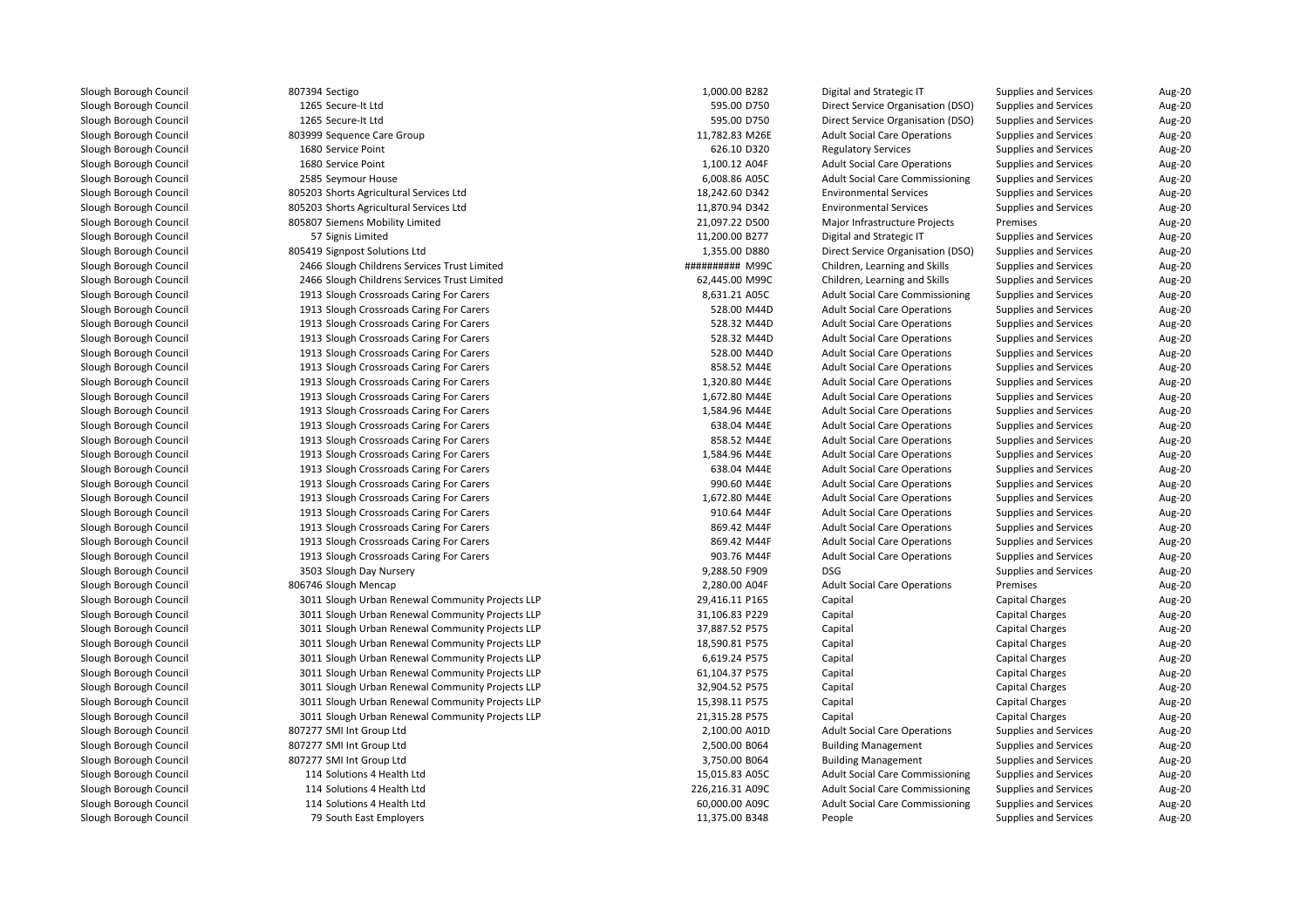| 807394 Sectigo                                                                       | 1,000.00 B282   | Digital and Strategic IT               | Supplies and Services                    | Aug-20           |
|--------------------------------------------------------------------------------------|-----------------|----------------------------------------|------------------------------------------|------------------|
| 1265 Secure-It Ltd                                                                   | 595.00 D750     | Direct Service Organisation (DSO)      | Supplies and Services                    | Aug-20           |
| 1265 Secure-It Ltd                                                                   | 595.00 D750     | Direct Service Organisation (DSO)      | <b>Supplies and Services</b>             | Aug-20           |
| 803999 Sequence Care Group                                                           | 11,782.83 M26E  | <b>Adult Social Care Operations</b>    | <b>Supplies and Services</b>             | Aug-20           |
| 1680 Service Point                                                                   | 626.10 D320     | <b>Regulatory Services</b>             | <b>Supplies and Services</b>             | Aug-20           |
| 1680 Service Point                                                                   | 1,100.12 A04F   | <b>Adult Social Care Operations</b>    | <b>Supplies and Services</b>             | Aug-20           |
| 2585 Seymour House                                                                   | 6,008.86 A05C   | <b>Adult Social Care Commissioning</b> | <b>Supplies and Services</b>             | Aug-20           |
| 805203 Shorts Agricultural Services Ltd                                              | 18,242.60 D342  | <b>Environmental Services</b>          | <b>Supplies and Services</b>             | Aug-20           |
| 805203 Shorts Agricultural Services Ltd                                              | 11,870.94 D342  | <b>Environmental Services</b>          | <b>Supplies and Services</b>             | Aug-20           |
| 805807 Siemens Mobility Limited                                                      | 21,097.22 D500  | Major Infrastructure Projects          | Premises                                 | Aug-20           |
| 57 Signis Limited                                                                    | 11,200.00 B277  | Digital and Strategic IT               | <b>Supplies and Services</b>             | Aug-20           |
| 805419 Signpost Solutions Ltd                                                        | 1,355.00 D880   | Direct Service Organisation (DSO)      | Supplies and Services                    | Aug-20           |
| 2466 Slough Childrens Services Trust Limited                                         | ########## M99C | Children, Learning and Skills          | <b>Supplies and Services</b>             | Aug-20           |
| 2466 Slough Childrens Services Trust Limited                                         | 62,445.00 M99C  | Children, Learning and Skills          | <b>Supplies and Services</b>             | Aug-20           |
| 1913 Slough Crossroads Caring For Carers                                             | 8,631.21 A05C   | <b>Adult Social Care Commissioning</b> | <b>Supplies and Services</b>             | Aug-20           |
| 1913 Slough Crossroads Caring For Carers                                             | 528.00 M44D     | <b>Adult Social Care Operations</b>    | <b>Supplies and Services</b>             | Aug-20           |
| 1913 Slough Crossroads Caring For Carers                                             | 528.32 M44D     | <b>Adult Social Care Operations</b>    | <b>Supplies and Services</b>             | Aug-20           |
| 1913 Slough Crossroads Caring For Carers                                             | 528.32 M44D     | <b>Adult Social Care Operations</b>    | Supplies and Services                    | Aug-20           |
| 1913 Slough Crossroads Caring For Carers                                             | 528.00 M44D     | <b>Adult Social Care Operations</b>    | <b>Supplies and Services</b>             | Aug-20           |
| 1913 Slough Crossroads Caring For Carers                                             | 858.52 M44E     | <b>Adult Social Care Operations</b>    | <b>Supplies and Services</b>             | Aug-20           |
| 1913 Slough Crossroads Caring For Carers                                             | 1,320.80 M44E   | <b>Adult Social Care Operations</b>    | <b>Supplies and Services</b>             | Aug-20           |
| 1913 Slough Crossroads Caring For Carers                                             | 1,672.80 M44E   | <b>Adult Social Care Operations</b>    | <b>Supplies and Services</b>             | Aug-20           |
| 1913 Slough Crossroads Caring For Carers                                             | 1,584.96 M44E   | <b>Adult Social Care Operations</b>    | <b>Supplies and Services</b>             | Aug-20           |
| 1913 Slough Crossroads Caring For Carers                                             | 638.04 M44E     | <b>Adult Social Care Operations</b>    | <b>Supplies and Services</b>             | Aug-20           |
| 1913 Slough Crossroads Caring For Carers                                             | 858.52 M44E     | <b>Adult Social Care Operations</b>    | <b>Supplies and Services</b>             | Aug-20           |
| 1913 Slough Crossroads Caring For Carers                                             | 1,584.96 M44E   | <b>Adult Social Care Operations</b>    | <b>Supplies and Services</b>             | Aug-20           |
| 1913 Slough Crossroads Caring For Carers                                             | 638.04 M44E     | <b>Adult Social Care Operations</b>    | <b>Supplies and Services</b>             | Aug-20           |
| 1913 Slough Crossroads Caring For Carers                                             | 990.60 M44E     | <b>Adult Social Care Operations</b>    | <b>Supplies and Services</b>             | Aug-20           |
| 1913 Slough Crossroads Caring For Carers                                             | 1,672.80 M44E   | <b>Adult Social Care Operations</b>    | <b>Supplies and Services</b>             | Aug-20           |
| 1913 Slough Crossroads Caring For Carers                                             | 910.64 M44F     | <b>Adult Social Care Operations</b>    | <b>Supplies and Services</b>             | Aug-20           |
| 1913 Slough Crossroads Caring For Carers                                             | 869.42 M44F     | <b>Adult Social Care Operations</b>    | <b>Supplies and Services</b>             | Aug-20           |
|                                                                                      | 869.42 M44F     | <b>Adult Social Care Operations</b>    | <b>Supplies and Services</b>             |                  |
| 1913 Slough Crossroads Caring For Carers<br>1913 Slough Crossroads Caring For Carers | 903.76 M44F     | <b>Adult Social Care Operations</b>    | Supplies and Services                    | Aug-20<br>Aug-20 |
|                                                                                      |                 | <b>DSG</b>                             |                                          | Aug-20           |
| 3503 Slough Day Nursery                                                              | 9,288.50 F909   |                                        | <b>Supplies and Services</b><br>Premises |                  |
| 806746 Slough Mencap                                                                 | 2,280.00 A04F   | <b>Adult Social Care Operations</b>    |                                          | Aug-20<br>Aug-20 |
| 3011 Slough Urban Renewal Community Projects LLP                                     | 29,416.11 P165  | Capital                                | <b>Capital Charges</b>                   |                  |
| 3011 Slough Urban Renewal Community Projects LLP                                     | 31,106.83 P229  | Capital                                | Capital Charges                          | Aug-20           |
| 3011 Slough Urban Renewal Community Projects LLP                                     | 37,887.52 P575  | Capital                                | Capital Charges                          | Aug-20<br>Aug-20 |
| 3011 Slough Urban Renewal Community Projects LLP                                     | 18,590.81 P575  | Capital                                | Capital Charges                          |                  |
| 3011 Slough Urban Renewal Community Projects LLP                                     | 6,619.24 P575   | Capital                                | <b>Capital Charges</b>                   | Aug-20           |
| 3011 Slough Urban Renewal Community Projects LLP                                     | 61,104.37 P575  | Capital                                | <b>Capital Charges</b>                   | Aug-20           |
| 3011 Slough Urban Renewal Community Projects LLP                                     | 32,904.52 P575  | Capital                                | Capital Charges                          | Aug-20           |
| 3011 Slough Urban Renewal Community Projects LLP                                     | 15,398.11 P575  | Capital                                | <b>Capital Charges</b>                   | Aug-20           |
| 3011 Slough Urban Renewal Community Projects LLP                                     | 21,315.28 P575  | Capital                                | <b>Capital Charges</b>                   | Aug-20           |
| 807277 SMI Int Group Ltd                                                             | 2,100.00 A01D   | <b>Adult Social Care Operations</b>    | <b>Supplies and Services</b>             | Aug-20           |
| 807277 SMI Int Group Ltd                                                             | 2,500.00 B064   | <b>Building Management</b>             | <b>Supplies and Services</b>             | Aug-20           |
| 807277 SMI Int Group Ltd                                                             | 3,750.00 B064   | <b>Building Management</b>             | <b>Supplies and Services</b>             | Aug-20           |
| 114 Solutions 4 Health Ltd                                                           | 15,015.83 A05C  | <b>Adult Social Care Commissioning</b> | <b>Supplies and Services</b>             | Aug-20           |
| 114 Solutions 4 Health Ltd                                                           | 226,216.31 A09C | <b>Adult Social Care Commissioning</b> | <b>Supplies and Services</b>             | Aug-20           |
| 114 Solutions 4 Health Ltd                                                           | 60,000.00 A09C  | <b>Adult Social Care Commissioning</b> | <b>Supplies and Services</b>             | Aug-20           |
| 79 South East Employers                                                              | 11,375.00 B348  | People                                 | <b>Supplies and Services</b>             | Aug-20           |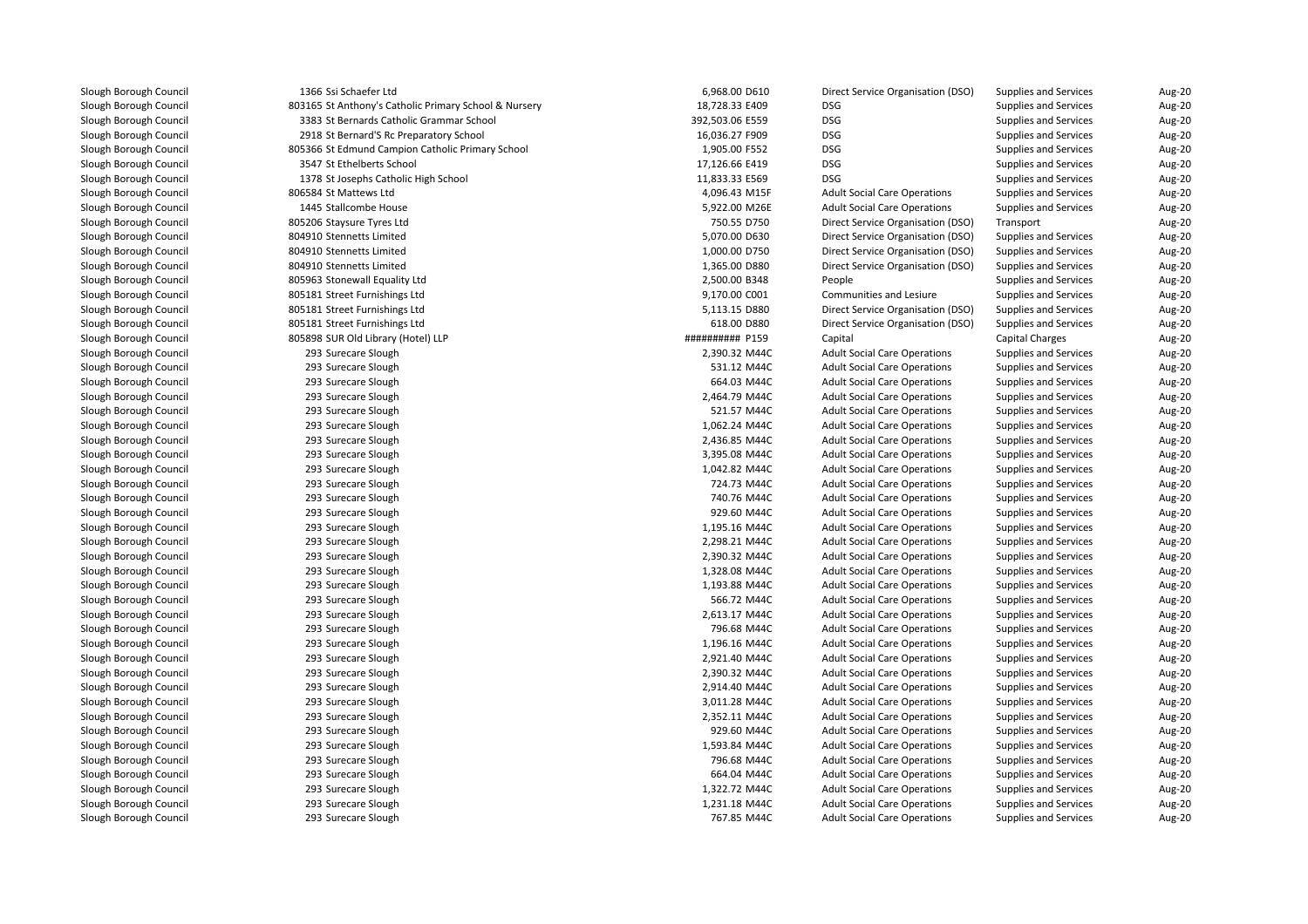1366 Ssi Schaefer Ltd18,728.33 E409 BSG 31 Anthony's Catholic Primary School & Nursery 18,728.33 E409 BSG 3383 St Bernards Catholic Grammar School 392,503.06 E559 DSG 2918 St Bernard'S Rc Preparatory School 16,036.27 F909 DSG 805366 St Edmund Campion Catholic Primary School 1,905.00 F552 DSG 3547 St Ethelberts School 17,126.66 E419 DSG 1378 St Josephs Catholic High School 11,833.33 E569 DSG 806584 St Mattews Ltd1445 Stallcombe House 805206 Staysure Tyres Ltd 804910 Stennetts Limited 804910 Stennetts Limited 804910 Stennetts Limited 805963 Stonewall Equality Ltd 805181 Street Furnishings Ltd 805181 Street Furnishings Ltd 805181 Street Furnishings Ltd 805898 SUR Old Library (Hotel) LLP 293 Surecare Slough 293 Surecare Slough 293 Surecare Slough 293 Surecare Slough 293 Surecare Slough 293 Surecare Slough 293 Surecare Slough 293 Surecare Slough 293 Surecare Slough 293 Surecare Slough 293 Surecare Slough 293 Surecare Slough 293 Surecare Slough 293 Surecare Slough 293 Surecare Slough 293 Surecare Slough 293 Surecare Slough 293 Surecare Slough 293 Surecare Slough 293 Surecare Slough 293 Surecare Slough 293 Surecare Slough 293 Surecare Slough 293 Surecare Slough 293 Surecare Slough 293 Surecare Slough 293 Surecare Slough 293 Surecare Slough 293 Surecare Slough 293 Surecare Slough 293 Surecare Slough 293 Surecare Slough293 Surecare Slough

| 6 Ssi Schaefer Ltd                               | 6,968.00 D610   | Direct Service Organisation (DSO)   | Supplies and Services        | Aug-20 |
|--------------------------------------------------|-----------------|-------------------------------------|------------------------------|--------|
| 5 St Anthony's Catholic Primary School & Nursery | 18,728.33 E409  | <b>DSG</b>                          | <b>Supplies and Services</b> | Aug-20 |
| 3 St Bernards Catholic Grammar School            | 392,503.06 E559 | <b>DSG</b>                          | <b>Supplies and Services</b> | Aug-20 |
| 8 St Bernard'S Rc Preparatory School             | 16,036.27 F909  | <b>DSG</b>                          | <b>Supplies and Services</b> | Aug-20 |
| 6 St Edmund Campion Catholic Primary School      | 1,905.00 F552   | <b>DSG</b>                          | <b>Supplies and Services</b> | Aug-20 |
| 7 St Ethelberts School                           | 17,126.66 E419  | <b>DSG</b>                          | <b>Supplies and Services</b> | Aug-20 |
| 8 St Josephs Catholic High School                | 11,833.33 E569  | <b>DSG</b>                          | <b>Supplies and Services</b> | Aug-20 |
| 4 St Mattews Ltd                                 | 4,096.43 M15F   | <b>Adult Social Care Operations</b> | <b>Supplies and Services</b> | Aug-20 |
| 5 Stallcombe House                               | 5,922.00 M26E   | <b>Adult Social Care Operations</b> | <b>Supplies and Services</b> | Aug-20 |
| 6 Staysure Tyres Ltd                             | 750.55 D750     | Direct Service Organisation (DSO)   | Transport                    | Aug-20 |
| 0 Stennetts Limited                              | 5,070.00 D630   | Direct Service Organisation (DSO)   | Supplies and Services        | Aug-20 |
| 0 Stennetts Limited                              | 1,000.00 D750   | Direct Service Organisation (DSO)   | <b>Supplies and Services</b> | Aug-20 |
| 0 Stennetts Limited                              | 1,365.00 D880   | Direct Service Organisation (DSO)   | <b>Supplies and Services</b> | Aug-20 |
| 3 Stonewall Equality Ltd                         | 2,500.00 B348   | People                              | <b>Supplies and Services</b> | Aug-20 |
| 1 Street Furnishings Ltd                         | 9,170.00 C001   | <b>Communities and Lesiure</b>      | <b>Supplies and Services</b> | Aug-20 |
| 1 Street Furnishings Ltd                         | 5,113.15 D880   | Direct Service Organisation (DSO)   | <b>Supplies and Services</b> | Aug-20 |
| 1 Street Furnishings Ltd                         | 618.00 D880     | Direct Service Organisation (DSO)   | <b>Supplies and Services</b> | Aug-20 |
| 8 SUR Old Library (Hotel) LLP                    | ########## P159 | Capital                             | <b>Capital Charges</b>       | Aug-20 |
| 3 Surecare Slough                                | 2,390.32 M44C   | <b>Adult Social Care Operations</b> | <b>Supplies and Services</b> | Aug-20 |
| 3 Surecare Slough                                | 531.12 M44C     | <b>Adult Social Care Operations</b> | <b>Supplies and Services</b> | Aug-20 |
| 3 Surecare Slough                                | 664.03 M44C     | <b>Adult Social Care Operations</b> | <b>Supplies and Services</b> | Aug-20 |
| 3 Surecare Slough                                | 2,464.79 M44C   | <b>Adult Social Care Operations</b> | <b>Supplies and Services</b> | Aug-20 |
| 3 Surecare Slough                                | 521.57 M44C     | <b>Adult Social Care Operations</b> | <b>Supplies and Services</b> | Aug-20 |
| 3 Surecare Slough                                | 1,062.24 M44C   | <b>Adult Social Care Operations</b> | <b>Supplies and Services</b> | Aug-20 |
| 3 Surecare Slough                                | 2,436.85 M44C   | <b>Adult Social Care Operations</b> | <b>Supplies and Services</b> | Aug-20 |
| 3 Surecare Slough                                | 3,395.08 M44C   | <b>Adult Social Care Operations</b> | <b>Supplies and Services</b> | Aug-20 |
| 3 Surecare Slough                                | 1,042.82 M44C   | <b>Adult Social Care Operations</b> | <b>Supplies and Services</b> | Aug-20 |
| 3 Surecare Slough                                | 724.73 M44C     | <b>Adult Social Care Operations</b> | <b>Supplies and Services</b> | Aug-20 |
| 3 Surecare Slough                                | 740.76 M44C     | <b>Adult Social Care Operations</b> | <b>Supplies and Services</b> | Aug-20 |
| 3 Surecare Slough                                | 929.60 M44C     | <b>Adult Social Care Operations</b> | <b>Supplies and Services</b> | Aug-20 |
| 3 Surecare Slough                                | 1,195.16 M44C   | <b>Adult Social Care Operations</b> | <b>Supplies and Services</b> | Aug-20 |
| 3 Surecare Slough                                | 2,298.21 M44C   | <b>Adult Social Care Operations</b> | <b>Supplies and Services</b> | Aug-20 |
| 3 Surecare Slough                                | 2,390.32 M44C   | <b>Adult Social Care Operations</b> | <b>Supplies and Services</b> | Aug-20 |
| 3 Surecare Slough                                | 1,328.08 M44C   | <b>Adult Social Care Operations</b> | <b>Supplies and Services</b> | Aug-20 |
| 3 Surecare Slough                                | 1,193.88 M44C   | <b>Adult Social Care Operations</b> | <b>Supplies and Services</b> | Aug-20 |
| 3 Surecare Slough                                | 566.72 M44C     | <b>Adult Social Care Operations</b> | <b>Supplies and Services</b> | Aug-20 |
| 3 Surecare Slough                                | 2,613.17 M44C   | <b>Adult Social Care Operations</b> | <b>Supplies and Services</b> | Aug-20 |
| 3 Surecare Slough                                | 796.68 M44C     | <b>Adult Social Care Operations</b> | <b>Supplies and Services</b> | Aug-20 |
| 3 Surecare Slough                                | 1,196.16 M44C   | <b>Adult Social Care Operations</b> | <b>Supplies and Services</b> | Aug-20 |
| 3 Surecare Slough                                | 2,921.40 M44C   | <b>Adult Social Care Operations</b> | <b>Supplies and Services</b> | Aug-20 |
| 3 Surecare Slough                                | 2,390.32 M44C   | <b>Adult Social Care Operations</b> | <b>Supplies and Services</b> | Aug-20 |
| 3 Surecare Slough                                | 2,914.40 M44C   | <b>Adult Social Care Operations</b> | <b>Supplies and Services</b> | Aug-20 |
| 3 Surecare Slough                                | 3,011.28 M44C   | <b>Adult Social Care Operations</b> | <b>Supplies and Services</b> | Aug-20 |
| 3 Surecare Slough                                | 2,352.11 M44C   | <b>Adult Social Care Operations</b> | <b>Supplies and Services</b> | Aug-20 |
| 3 Surecare Slough                                | 929.60 M44C     | <b>Adult Social Care Operations</b> | <b>Supplies and Services</b> | Aug-20 |
| 3 Surecare Slough                                | 1,593.84 M44C   | <b>Adult Social Care Operations</b> | <b>Supplies and Services</b> | Aug-20 |
| 3 Surecare Slough                                | 796.68 M44C     | <b>Adult Social Care Operations</b> | <b>Supplies and Services</b> | Aug-20 |
| 3 Surecare Slough                                | 664.04 M44C     | <b>Adult Social Care Operations</b> | <b>Supplies and Services</b> | Aug-20 |
| 3 Surecare Slough                                | 1,322.72 M44C   | <b>Adult Social Care Operations</b> | <b>Supplies and Services</b> | Aug-20 |
| 3 Surecare Slough                                | 1,231.18 M44C   | <b>Adult Social Care Operations</b> | <b>Supplies and Services</b> | Aug-20 |
| 3 Surecare Slough                                | 767.85 M44C     | <b>Adult Social Care Operations</b> | <b>Supplies and Services</b> | Aug-20 |
|                                                  |                 |                                     |                              |        |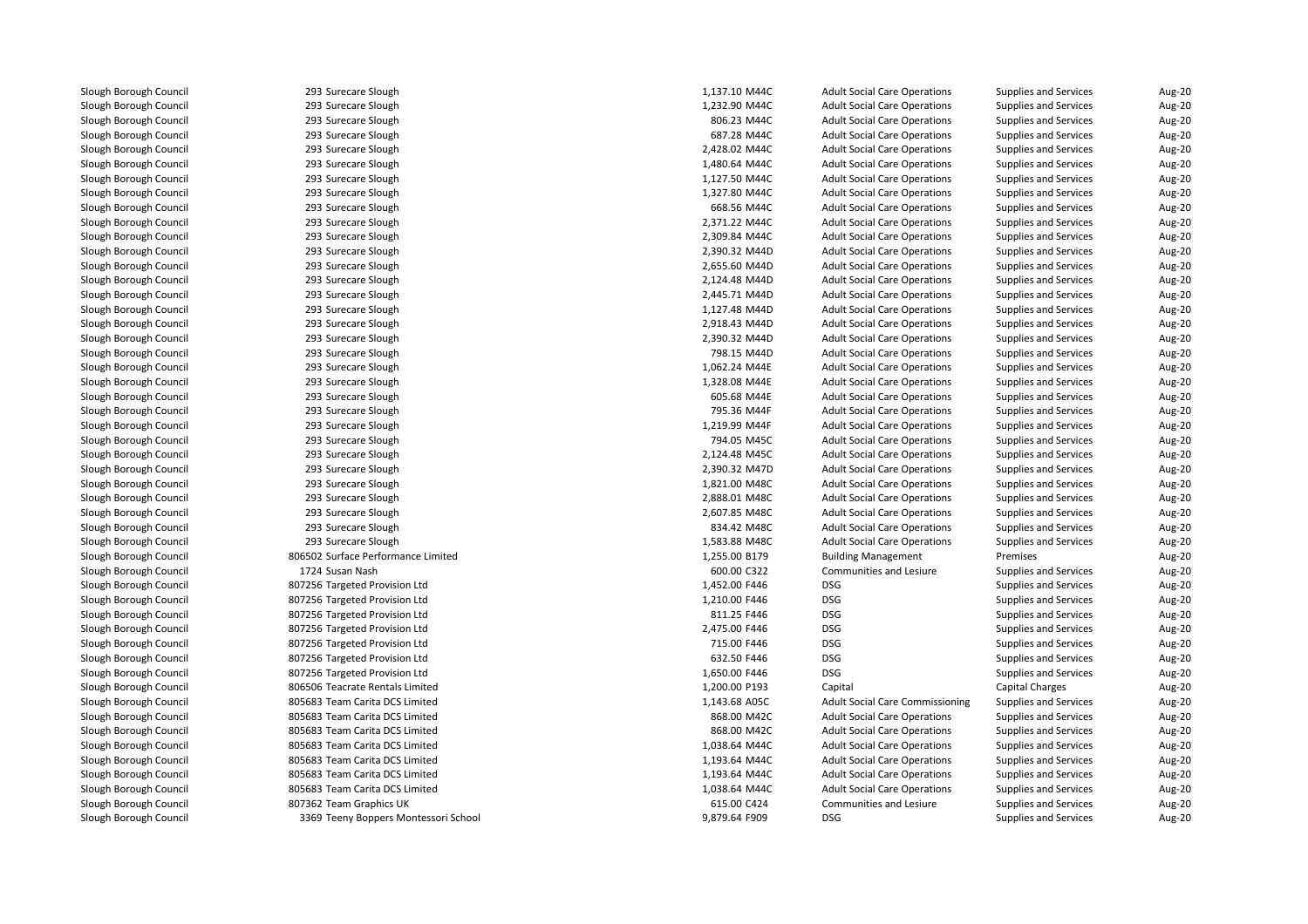293 Surecare Slough 293 Surecare Slough 293 Surecare Slough 293 Surecare Slough 293 Surecare Slough 293 Surecare Slough 293 Surecare Slough 293 Surecare Slough 293 Surecare Slough 293 Surecare Slough 293 Surecare Slough 293 Surecare Slough 293 Surecare Slough 293 Surecare Slough 293 Surecare Slough 293 Surecare Slough 293 Surecare Slough 293 Surecare Slough 293 Surecare Slough 293 Surecare Slough 293 Surecare Slough 293 Surecare Slough 293 Surecare Slough 293 Surecare Slough 293 Surecare Slough 293 Surecare Slough 293 Surecare Slough 293 Surecare Slough 293 Surecare Slough 293 Surecare Slough 293 Surecare Slough 293 Surecare Slough 806502 Surface Performance Limited 1724 Susan Nash 807256 Targeted Provision Ltd 807256 Targeted Provision Ltd 807256 Targeted Provision Ltd 807256 Targeted Provision Ltd 807256 Targeted Provision Ltd 807256 Targeted Provision Ltd 807256 Targeted Provision Ltd 806506 Teacrate Rentals Limited 805683 Team Carita DCS Limited 805683 Team Carita DCS Limited 805683 Team Carita DCS Limited 805683 Team Carita DCS Limited 805683 Team Carita DCS Limited 805683 Team Carita DCS Limited 805683 Team Carita DCS Limited 807362 Team Graphics UK3369 Teeny Boppers Montessori School 9,879.64 F909 DSG

| ilough                 | 1,137.10 M44C | <b>Adult Social Care Operations</b>    | Supplies and Services        | Aug-20 |
|------------------------|---------------|----------------------------------------|------------------------------|--------|
| ilough                 | 1,232.90 M44C | <b>Adult Social Care Operations</b>    | <b>Supplies and Services</b> | Aug-20 |
| ilough                 | 806.23 M44C   | <b>Adult Social Care Operations</b>    | <b>Supplies and Services</b> | Aug-20 |
| ilough                 | 687.28 M44C   | <b>Adult Social Care Operations</b>    | <b>Supplies and Services</b> | Aug-20 |
| ilough                 | 2,428.02 M44C | <b>Adult Social Care Operations</b>    | <b>Supplies and Services</b> | Aug-20 |
| ilough                 | 1,480.64 M44C | <b>Adult Social Care Operations</b>    | <b>Supplies and Services</b> | Aug-20 |
| ilough                 | 1,127.50 M44C | <b>Adult Social Care Operations</b>    | <b>Supplies and Services</b> | Aug-20 |
| ilough                 | 1,327.80 M44C | <b>Adult Social Care Operations</b>    | <b>Supplies and Services</b> | Aug-20 |
| ilough                 | 668.56 M44C   | <b>Adult Social Care Operations</b>    | <b>Supplies and Services</b> | Aug-20 |
| ilough                 | 2,371.22 M44C | <b>Adult Social Care Operations</b>    | <b>Supplies and Services</b> | Aug-20 |
| ilough                 | 2,309.84 M44C | <b>Adult Social Care Operations</b>    | <b>Supplies and Services</b> | Aug-20 |
| ilough                 | 2,390.32 M44D | <b>Adult Social Care Operations</b>    | <b>Supplies and Services</b> | Aug-20 |
| ilough                 | 2,655.60 M44D | <b>Adult Social Care Operations</b>    | <b>Supplies and Services</b> | Aug-20 |
| ilough                 | 2,124.48 M44D | <b>Adult Social Care Operations</b>    | <b>Supplies and Services</b> | Aug-20 |
| ilough                 | 2,445.71 M44D | <b>Adult Social Care Operations</b>    | <b>Supplies and Services</b> | Aug-20 |
| ilough                 | 1,127.48 M44D | <b>Adult Social Care Operations</b>    | <b>Supplies and Services</b> | Aug-20 |
| ilough                 | 2,918.43 M44D | <b>Adult Social Care Operations</b>    | <b>Supplies and Services</b> | Aug-20 |
| ilough                 | 2,390.32 M44D | <b>Adult Social Care Operations</b>    | <b>Supplies and Services</b> | Aug-20 |
| ilough                 | 798.15 M44D   | <b>Adult Social Care Operations</b>    | <b>Supplies and Services</b> | Aug-20 |
| ilough                 | 1,062.24 M44E | <b>Adult Social Care Operations</b>    | <b>Supplies and Services</b> | Aug-20 |
| ilough                 | 1,328.08 M44E | <b>Adult Social Care Operations</b>    | Supplies and Services        | Aug-20 |
| ilough                 | 605.68 M44E   | <b>Adult Social Care Operations</b>    | <b>Supplies and Services</b> | Aug-20 |
| ilough                 | 795.36 M44F   | <b>Adult Social Care Operations</b>    | <b>Supplies and Services</b> | Aug-20 |
| ilough                 | 1,219.99 M44F | <b>Adult Social Care Operations</b>    | <b>Supplies and Services</b> | Aug-20 |
| ilough                 | 794.05 M45C   | <b>Adult Social Care Operations</b>    | <b>Supplies and Services</b> | Aug-20 |
| ilough                 | 2,124.48 M45C | <b>Adult Social Care Operations</b>    | <b>Supplies and Services</b> | Aug-20 |
| ilough                 | 2,390.32 M47D | <b>Adult Social Care Operations</b>    | <b>Supplies and Services</b> | Aug-20 |
| ilough                 | 1,821.00 M48C | <b>Adult Social Care Operations</b>    | <b>Supplies and Services</b> | Aug-20 |
| ilough                 | 2,888.01 M48C | <b>Adult Social Care Operations</b>    | <b>Supplies and Services</b> | Aug-20 |
| ilough                 | 2,607.85 M48C | <b>Adult Social Care Operations</b>    | Supplies and Services        | Aug-20 |
| ilough                 | 834.42 M48C   | <b>Adult Social Care Operations</b>    | <b>Supplies and Services</b> | Aug-20 |
| ilough                 | 1,583.88 M48C | <b>Adult Social Care Operations</b>    | <b>Supplies and Services</b> | Aug-20 |
| rformance Limited      | 1,255.00 B179 | <b>Building Management</b>             | Premises                     | Aug-20 |
|                        | 600.00 C322   | Communities and Lesiure                | <b>Supplies and Services</b> | Aug-20 |
| rovision Ltd           | 1,452.00 F446 | <b>DSG</b>                             | <b>Supplies and Services</b> | Aug-20 |
| Provision Ltd          | 1,210.00 F446 | <b>DSG</b>                             | <b>Supplies and Services</b> | Aug-20 |
| rovision Ltd           | 811.25 F446   | <b>DSG</b>                             | <b>Supplies and Services</b> | Aug-20 |
| Provision Ltd          | 2,475.00 F446 | <b>DSG</b>                             | <b>Supplies and Services</b> | Aug-20 |
| Provision Ltd          | 715.00 F446   | <b>DSG</b>                             | Supplies and Services        | Aug-20 |
| Provision Ltd          | 632.50 F446   | <b>DSG</b>                             | <b>Supplies and Services</b> | Aug-20 |
| Provision Ltd          | 1,650.00 F446 | <b>DSG</b>                             |                              |        |
|                        |               |                                        | <b>Supplies and Services</b> | Aug-20 |
| lentals Limited        | 1,200.00 P193 | Capital                                | <b>Capital Charges</b>       | Aug-20 |
| ta DCS Limited         | 1,143.68 A05C | <b>Adult Social Care Commissioning</b> | <b>Supplies and Services</b> | Aug-20 |
| ta DCS Limited         | 868.00 M42C   | <b>Adult Social Care Operations</b>    | <b>Supplies and Services</b> | Aug-20 |
| ta DCS Limited         | 868.00 M42C   | <b>Adult Social Care Operations</b>    | <b>Supplies and Services</b> | Aug-20 |
| ta DCS Limited         | 1,038.64 M44C | <b>Adult Social Care Operations</b>    | <b>Supplies and Services</b> | Aug-20 |
| ta DCS Limited         | 1,193.64 M44C | <b>Adult Social Care Operations</b>    | <b>Supplies and Services</b> | Aug-20 |
| ta DCS Limited         | 1,193.64 M44C | <b>Adult Social Care Operations</b>    | <b>Supplies and Services</b> | Aug-20 |
| ta DCS Limited         | 1,038.64 M44C | <b>Adult Social Care Operations</b>    | <b>Supplies and Services</b> | Aug-20 |
| ohics UK               | 615.00 C424   | <b>Communities and Lesiure</b>         | Supplies and Services        | Aug-20 |
| pers Montessori School | 9,879.64 F909 | <b>DSG</b>                             | <b>Supplies and Services</b> | Aug-20 |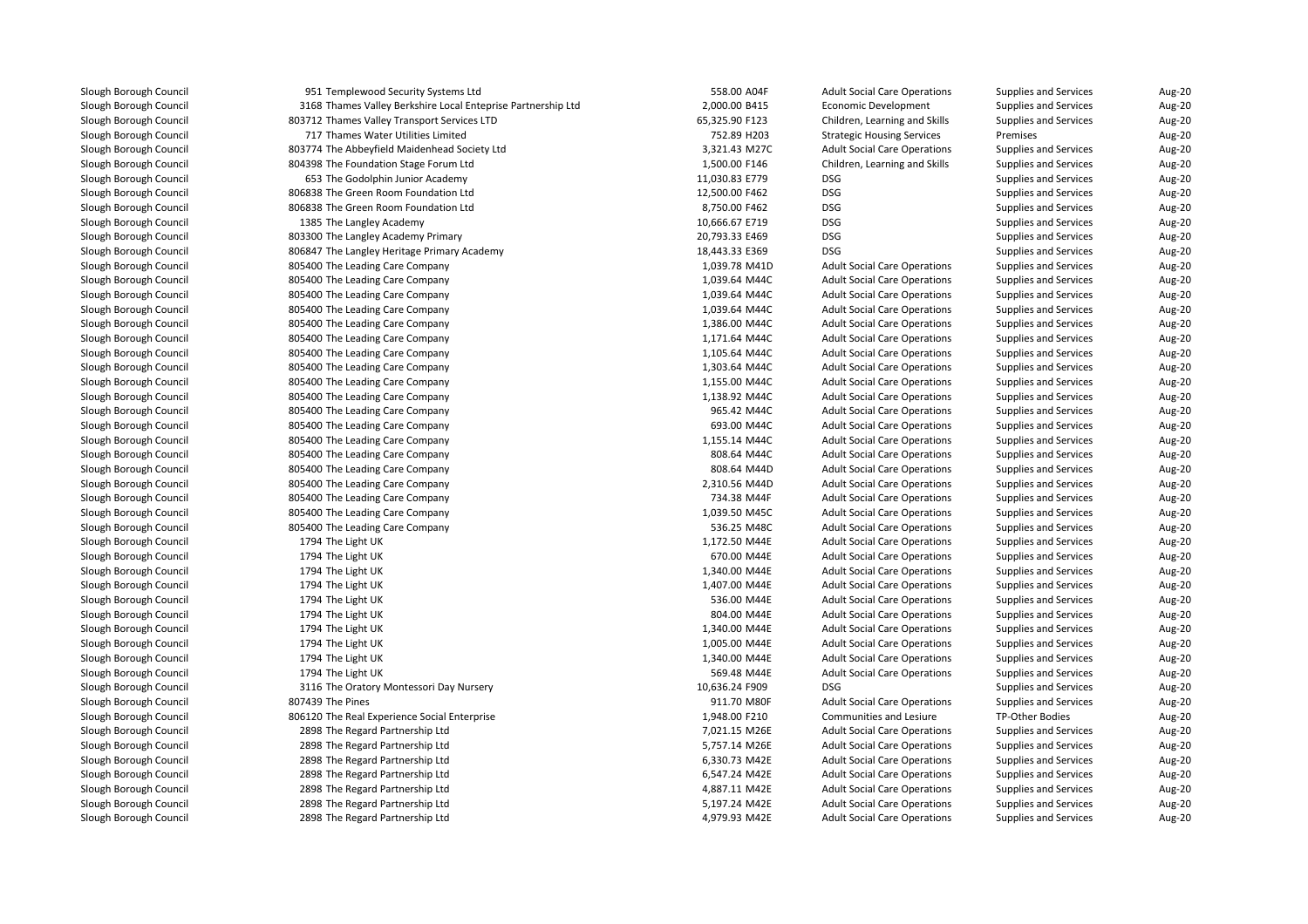| 951 Templewood Security Systems Ltd                          | 558.00 A04F    | <b>Adult Social Care Operations</b> | Supplies and Services        | Aug-20 |
|--------------------------------------------------------------|----------------|-------------------------------------|------------------------------|--------|
| 3168 Thames Valley Berkshire Local Enteprise Partnership Ltd | 2,000.00 B415  | Economic Development                | <b>Supplies and Services</b> | Aug-20 |
| 803712 Thames Valley Transport Services LTD                  | 65,325.90 F123 | Children, Learning and Skills       | <b>Supplies and Services</b> | Aug-20 |
| 717 Thames Water Utilities Limited                           | 752.89 H203    | <b>Strategic Housing Services</b>   | Premises                     | Aug-20 |
| 803774 The Abbeyfield Maidenhead Society Ltd                 | 3,321.43 M27C  | <b>Adult Social Care Operations</b> | <b>Supplies and Services</b> | Aug-20 |
| 804398 The Foundation Stage Forum Ltd                        | 1,500.00 F146  | Children, Learning and Skills       | <b>Supplies and Services</b> | Aug-20 |
| 653 The Godolphin Junior Academy                             | 11,030.83 E779 | <b>DSG</b>                          | <b>Supplies and Services</b> | Aug-20 |
| 806838 The Green Room Foundation Ltd                         | 12,500.00 F462 | DSG                                 | <b>Supplies and Services</b> | Aug-20 |
| 806838 The Green Room Foundation Ltd                         | 8,750.00 F462  | <b>DSG</b>                          | <b>Supplies and Services</b> | Aug-20 |
| 1385 The Langley Academy                                     | 10,666.67 E719 | <b>DSG</b>                          | Supplies and Services        | Aug-20 |
| 803300 The Langley Academy Primary                           | 20,793.33 E469 | <b>DSG</b>                          | <b>Supplies and Services</b> | Aug-20 |
| 806847 The Langley Heritage Primary Academy                  | 18,443.33 E369 | <b>DSG</b>                          | <b>Supplies and Services</b> | Aug-20 |
| 805400 The Leading Care Company                              | 1,039.78 M41D  | <b>Adult Social Care Operations</b> | <b>Supplies and Services</b> | Aug-20 |
| 805400 The Leading Care Company                              | 1,039.64 M44C  | <b>Adult Social Care Operations</b> | <b>Supplies and Services</b> | Aug-20 |
| 805400 The Leading Care Company                              | 1,039.64 M44C  | <b>Adult Social Care Operations</b> | <b>Supplies and Services</b> | Aug-20 |
| 805400 The Leading Care Company                              | 1,039.64 M44C  | <b>Adult Social Care Operations</b> | <b>Supplies and Services</b> | Aug-20 |
| 805400 The Leading Care Company                              | 1,386.00 M44C  | <b>Adult Social Care Operations</b> | <b>Supplies and Services</b> | Aug-20 |
| 805400 The Leading Care Company                              | 1,171.64 M44C  | <b>Adult Social Care Operations</b> | Supplies and Services        | Aug-20 |
| 805400 The Leading Care Company                              | 1,105.64 M44C  | <b>Adult Social Care Operations</b> | <b>Supplies and Services</b> | Aug-20 |
| 805400 The Leading Care Company                              | 1,303.64 M44C  | <b>Adult Social Care Operations</b> | Supplies and Services        | Aug-20 |
| 805400 The Leading Care Company                              | 1,155.00 M44C  | <b>Adult Social Care Operations</b> | <b>Supplies and Services</b> | Aug-20 |
| 805400 The Leading Care Company                              | 1,138.92 M44C  | <b>Adult Social Care Operations</b> | <b>Supplies and Services</b> | Aug-20 |
| 805400 The Leading Care Company                              | 965.42 M44C    | <b>Adult Social Care Operations</b> | <b>Supplies and Services</b> | Aug-20 |
| 805400 The Leading Care Company                              | 693.00 M44C    | <b>Adult Social Care Operations</b> | <b>Supplies and Services</b> | Aug-20 |
| 805400 The Leading Care Company                              | 1,155.14 M44C  | <b>Adult Social Care Operations</b> | <b>Supplies and Services</b> | Aug-20 |
| 805400 The Leading Care Company                              | 808.64 M44C    | <b>Adult Social Care Operations</b> | <b>Supplies and Services</b> | Aug-20 |
| 805400 The Leading Care Company                              | 808.64 M44D    | <b>Adult Social Care Operations</b> | <b>Supplies and Services</b> | Aug-20 |
| 805400 The Leading Care Company                              | 2,310.56 M44D  | <b>Adult Social Care Operations</b> | <b>Supplies and Services</b> | Aug-20 |
| 805400 The Leading Care Company                              | 734.38 M44F    | <b>Adult Social Care Operations</b> | <b>Supplies and Services</b> | Aug-20 |
| 805400 The Leading Care Company                              | 1,039.50 M45C  | <b>Adult Social Care Operations</b> | <b>Supplies and Services</b> | Aug-20 |
| 805400 The Leading Care Company                              | 536.25 M48C    | <b>Adult Social Care Operations</b> | Supplies and Services        | Aug-20 |
| 1794 The Light UK                                            | 1,172.50 M44E  | <b>Adult Social Care Operations</b> | Supplies and Services        | Aug-20 |
| 1794 The Light UK                                            | 670.00 M44E    | <b>Adult Social Care Operations</b> | Supplies and Services        | Aug-20 |
| 1794 The Light UK                                            | 1,340.00 M44E  | <b>Adult Social Care Operations</b> | <b>Supplies and Services</b> | Aug-20 |
| 1794 The Light UK                                            | 1,407.00 M44E  | <b>Adult Social Care Operations</b> | Supplies and Services        | Aug-20 |
| 1794 The Light UK                                            | 536.00 M44E    | <b>Adult Social Care Operations</b> | <b>Supplies and Services</b> | Aug-20 |
| 1794 The Light UK                                            | 804.00 M44E    | <b>Adult Social Care Operations</b> | <b>Supplies and Services</b> | Aug-20 |
| 1794 The Light UK                                            | 1,340.00 M44E  | <b>Adult Social Care Operations</b> | <b>Supplies and Services</b> | Aug-20 |
| 1794 The Light UK                                            | 1,005.00 M44E  | <b>Adult Social Care Operations</b> | <b>Supplies and Services</b> | Aug-20 |
| 1794 The Light UK                                            | 1,340.00 M44E  | <b>Adult Social Care Operations</b> | <b>Supplies and Services</b> | Aug-20 |
| 1794 The Light UK                                            | 569.48 M44E    | <b>Adult Social Care Operations</b> | <b>Supplies and Services</b> | Aug-20 |
| 3116 The Oratory Montessori Day Nursery                      | 10,636.24 F909 | <b>DSG</b>                          | <b>Supplies and Services</b> | Aug-20 |
| 807439 The Pines                                             | 911.70 M80F    | <b>Adult Social Care Operations</b> | Supplies and Services        | Aug-20 |
| 806120 The Real Experience Social Enterprise                 | 1,948.00 F210  | Communities and Lesiure             | TP-Other Bodies              | Aug-20 |
| 2898 The Regard Partnership Ltd                              | 7,021.15 M26E  | <b>Adult Social Care Operations</b> | Supplies and Services        | Aug-20 |
| 2898 The Regard Partnership Ltd                              | 5,757.14 M26E  | <b>Adult Social Care Operations</b> | <b>Supplies and Services</b> | Aug-20 |
| 2898 The Regard Partnership Ltd                              | 6,330.73 M42E  | <b>Adult Social Care Operations</b> | <b>Supplies and Services</b> | Aug-20 |
| 2898 The Regard Partnership Ltd                              | 6,547.24 M42E  | <b>Adult Social Care Operations</b> | Supplies and Services        | Aug-20 |
| 2898 The Regard Partnership Ltd                              | 4,887.11 M42E  | <b>Adult Social Care Operations</b> | <b>Supplies and Services</b> | Aug-20 |
| 2898 The Regard Partnership Ltd                              | 5,197.24 M42E  | <b>Adult Social Care Operations</b> | Supplies and Services        | Aug-20 |
| 2898 The Regard Partnership Ltd                              | 4,979.93 M42E  | <b>Adult Social Care Operations</b> | Supplies and Services        | Aug-20 |
|                                                              |                |                                     |                              |        |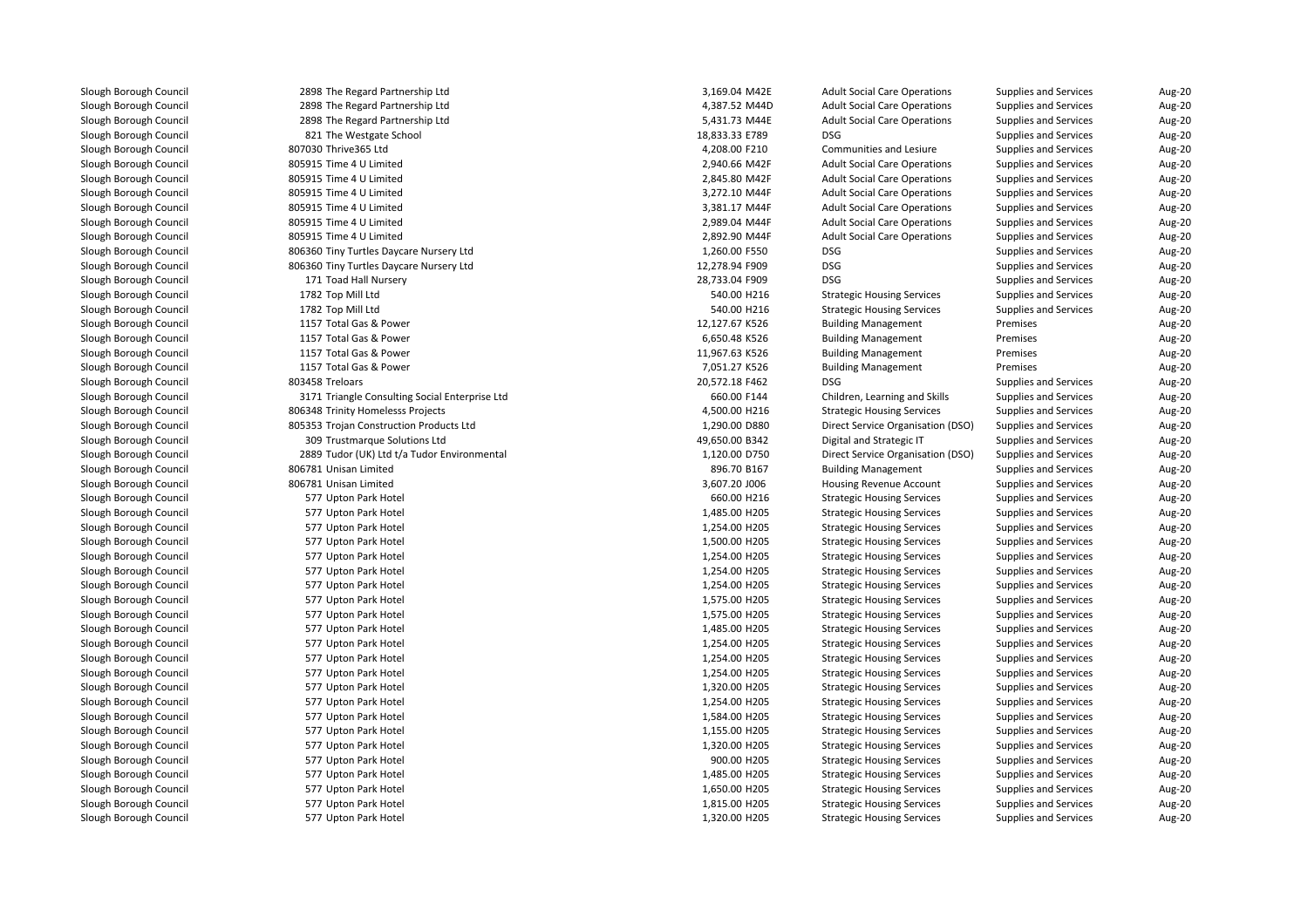| 2898 The Regard Partnership Ltd                | 3,169.04 M42E  | <b>Adult Social Care Operations</b> | Supplies and Services        | Aug-20 |
|------------------------------------------------|----------------|-------------------------------------|------------------------------|--------|
| 2898 The Regard Partnership Ltd                | 4,387.52 M44D  | <b>Adult Social Care Operations</b> | Supplies and Services        | Aug-20 |
| 2898 The Regard Partnership Ltd                | 5,431.73 M44E  | <b>Adult Social Care Operations</b> | Supplies and Services        | Aug-20 |
| 821 The Westgate School                        | 18,833.33 E789 | <b>DSG</b>                          | Supplies and Services        | Aug-20 |
| 807030 Thrive365 Ltd                           | 4,208.00 F210  | Communities and Lesiure             | Supplies and Services        | Aug-20 |
| 805915 Time 4 U Limited                        | 2,940.66 M42F  | <b>Adult Social Care Operations</b> | <b>Supplies and Services</b> | Aug-20 |
| 805915 Time 4 U Limited                        | 2,845.80 M42F  | <b>Adult Social Care Operations</b> | Supplies and Services        | Aug-20 |
| 805915 Time 4 U Limited                        | 3,272.10 M44F  | <b>Adult Social Care Operations</b> | Supplies and Services        | Aug-20 |
| 805915 Time 4 U Limited                        | 3,381.17 M44F  | <b>Adult Social Care Operations</b> | Supplies and Services        | Aug-20 |
| 805915 Time 4 U Limited                        | 2,989.04 M44F  | <b>Adult Social Care Operations</b> | Supplies and Services        | Aug-20 |
| 805915 Time 4 U Limited                        | 2,892.90 M44F  | <b>Adult Social Care Operations</b> | Supplies and Services        | Aug-20 |
| 806360 Tiny Turtles Daycare Nursery Ltd        | 1,260.00 F550  | <b>DSG</b>                          | Supplies and Services        | Aug-20 |
| 806360 Tiny Turtles Daycare Nursery Ltd        | 12,278.94 F909 | <b>DSG</b>                          | <b>Supplies and Services</b> | Aug-20 |
| 171 Toad Hall Nursery                          | 28,733.04 F909 | <b>DSG</b>                          | Supplies and Services        | Aug-20 |
| 1782 Top Mill Ltd                              | 540.00 H216    | <b>Strategic Housing Services</b>   | <b>Supplies and Services</b> | Aug-20 |
| 1782 Top Mill Ltd                              | 540.00 H216    | <b>Strategic Housing Services</b>   | <b>Supplies and Services</b> | Aug-20 |
| 1157 Total Gas & Power                         | 12,127.67 K526 | <b>Building Management</b>          | Premises                     | Aug-20 |
| 1157 Total Gas & Power                         | 6,650.48 K526  | <b>Building Management</b>          | Premises                     | Aug-20 |
| 1157 Total Gas & Power                         | 11,967.63 K526 | <b>Building Management</b>          | Premises                     | Aug-20 |
| 1157 Total Gas & Power                         | 7,051.27 K526  | <b>Building Management</b>          | Premises                     | Aug-20 |
| 803458 Treloars                                | 20,572.18 F462 | <b>DSG</b>                          | <b>Supplies and Services</b> | Aug-20 |
| 3171 Triangle Consulting Social Enterprise Ltd | 660.00 F144    | Children, Learning and Skills       | Supplies and Services        | Aug-20 |
| 806348 Trinity Homelesss Projects              | 4,500.00 H216  | <b>Strategic Housing Services</b>   | Supplies and Services        | Aug-20 |
| 805353 Trojan Construction Products Ltd        | 1,290.00 D880  | Direct Service Organisation (DSO)   | Supplies and Services        | Aug-20 |
| 309 Trustmarque Solutions Ltd                  | 49,650.00 B342 | Digital and Strategic IT            | Supplies and Services        | Aug-20 |
| 2889 Tudor (UK) Ltd t/a Tudor Environmental    | 1,120.00 D750  | Direct Service Organisation (DSO)   | Supplies and Services        | Aug-20 |
| 806781 Unisan Limited                          | 896.70 B167    | <b>Building Management</b>          | Supplies and Services        | Aug-20 |
| 806781 Unisan Limited                          | 3,607.20 J006  | Housing Revenue Account             | Supplies and Services        | Aug-20 |
| 577 Upton Park Hotel                           | 660.00 H216    | <b>Strategic Housing Services</b>   | Supplies and Services        | Aug-20 |
| 577 Upton Park Hotel                           | 1,485.00 H205  | <b>Strategic Housing Services</b>   | Supplies and Services        | Aug-20 |
| 577 Upton Park Hotel                           | 1,254.00 H205  | <b>Strategic Housing Services</b>   | <b>Supplies and Services</b> | Aug-20 |
| 577 Upton Park Hotel                           | 1,500.00 H205  | <b>Strategic Housing Services</b>   | Supplies and Services        | Aug-20 |
| 577 Upton Park Hotel                           | 1,254.00 H205  | <b>Strategic Housing Services</b>   | <b>Supplies and Services</b> | Aug-20 |
| 577 Upton Park Hotel                           | 1,254.00 H205  | <b>Strategic Housing Services</b>   | Supplies and Services        | Aug-20 |
| 577 Upton Park Hotel                           | 1,254.00 H205  | <b>Strategic Housing Services</b>   | Supplies and Services        | Aug-20 |
| 577 Upton Park Hotel                           | 1,575.00 H205  | <b>Strategic Housing Services</b>   | Supplies and Services        | Aug-20 |
| 577 Upton Park Hotel                           | 1,575.00 H205  | <b>Strategic Housing Services</b>   | Supplies and Services        | Aug-20 |
| 577 Upton Park Hotel                           | 1,485.00 H205  | <b>Strategic Housing Services</b>   | Supplies and Services        | Aug-20 |
| 577 Upton Park Hotel                           | 1,254.00 H205  | <b>Strategic Housing Services</b>   | Supplies and Services        | Aug-20 |
| 577 Upton Park Hotel                           | 1,254.00 H205  | <b>Strategic Housing Services</b>   | Supplies and Services        | Aug-20 |
| 577 Upton Park Hotel                           | 1,254.00 H205  | <b>Strategic Housing Services</b>   | Supplies and Services        | Aug-20 |
| 577 Upton Park Hotel                           | 1,320.00 H205  | <b>Strategic Housing Services</b>   | Supplies and Services        | Aug-20 |
| 577 Upton Park Hotel                           | 1,254.00 H205  | <b>Strategic Housing Services</b>   | Supplies and Services        | Aug-20 |
| 577 Upton Park Hotel                           | 1,584.00 H205  | <b>Strategic Housing Services</b>   | <b>Supplies and Services</b> | Aug-20 |
| 577 Upton Park Hotel                           | 1,155.00 H205  | <b>Strategic Housing Services</b>   | Supplies and Services        | Aug-20 |
| 577 Upton Park Hotel                           | 1,320.00 H205  | <b>Strategic Housing Services</b>   | Supplies and Services        | Aug-20 |
| 577 Upton Park Hotel                           | 900.00 H205    | <b>Strategic Housing Services</b>   | Supplies and Services        | Aug-20 |
| 577 Upton Park Hotel                           | 1,485.00 H205  | <b>Strategic Housing Services</b>   | Supplies and Services        | Aug-20 |
| 577 Upton Park Hotel                           | 1,650.00 H205  | <b>Strategic Housing Services</b>   | <b>Supplies and Services</b> | Aug-20 |
| 577 Upton Park Hotel                           | 1,815.00 H205  | <b>Strategic Housing Services</b>   | <b>Supplies and Services</b> | Aug-20 |
| 577 Upton Park Hotel                           | 1,320.00 H205  | <b>Strategic Housing Services</b>   | Supplies and Services        | Aug-20 |
|                                                |                |                                     |                              |        |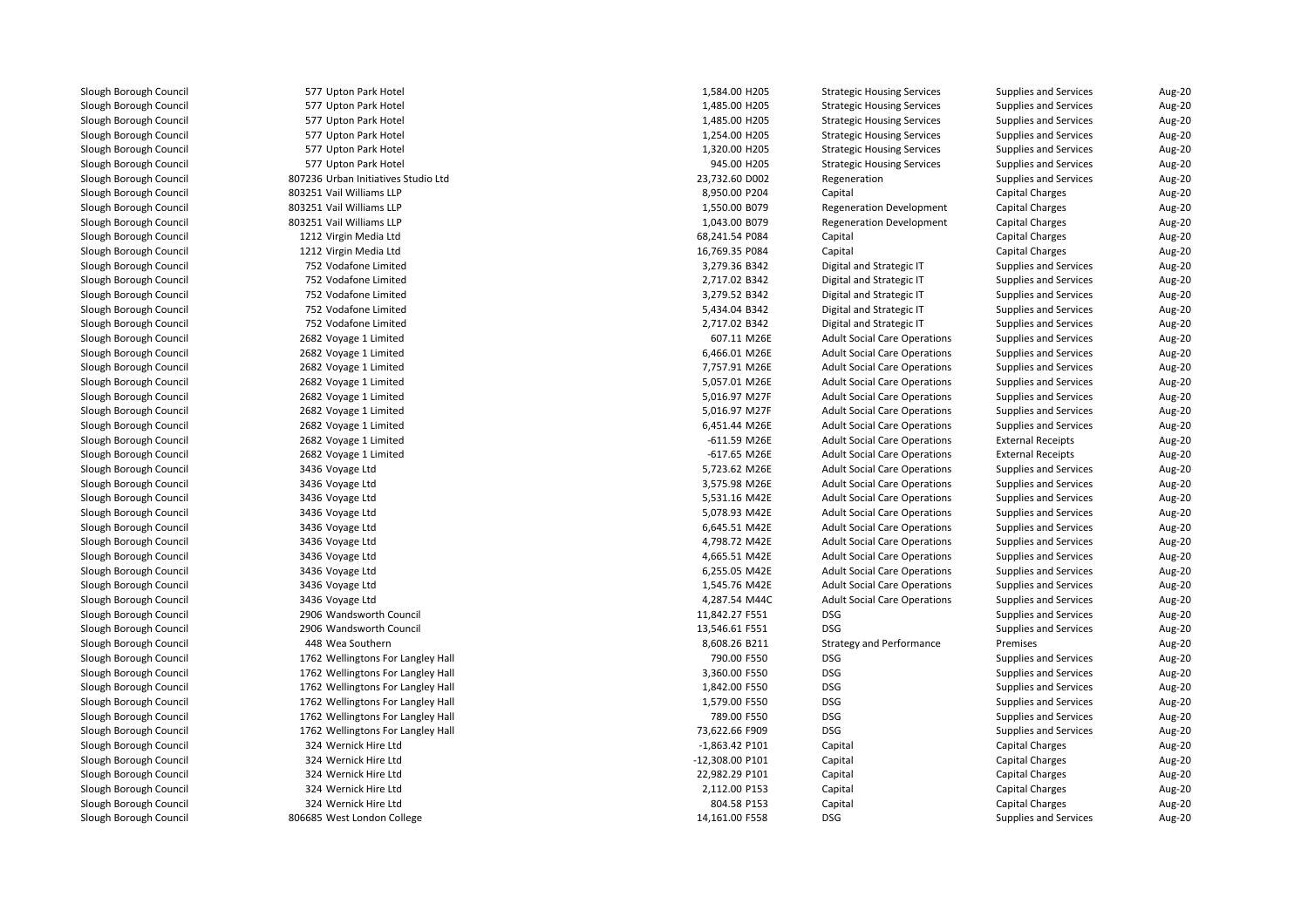| 577 Upton Park Hotel                | 1,584.00 H205    | <b>Strategic Housing Services</b>   | Supplies and Services        | Aug-20 |
|-------------------------------------|------------------|-------------------------------------|------------------------------|--------|
| 577 Upton Park Hotel                | 1,485.00 H205    | <b>Strategic Housing Services</b>   | <b>Supplies and Services</b> | Aug-20 |
| 577 Upton Park Hotel                | 1,485.00 H205    | <b>Strategic Housing Services</b>   | <b>Supplies and Services</b> | Aug-20 |
| 577 Upton Park Hotel                | 1,254.00 H205    | <b>Strategic Housing Services</b>   | <b>Supplies and Services</b> | Aug-20 |
| 577 Upton Park Hotel                | 1,320.00 H205    | <b>Strategic Housing Services</b>   | <b>Supplies and Services</b> | Aug-20 |
| 577 Upton Park Hotel                | 945.00 H205      | <b>Strategic Housing Services</b>   | <b>Supplies and Services</b> | Aug-20 |
| 807236 Urban Initiatives Studio Ltd | 23,732.60 D002   | Regeneration                        | <b>Supplies and Services</b> | Aug-20 |
| 803251 Vail Williams LLP            | 8,950.00 P204    | Capital                             | <b>Capital Charges</b>       | Aug-20 |
| 803251 Vail Williams LLP            | 1,550.00 B079    | <b>Regeneration Development</b>     | Capital Charges              | Aug-20 |
| 803251 Vail Williams LLP            | 1,043.00 B079    | Regeneration Development            | Capital Charges              | Aug-20 |
| 1212 Virgin Media Ltd               | 68,241.54 P084   | Capital                             | <b>Capital Charges</b>       | Aug-20 |
| 1212 Virgin Media Ltd               | 16,769.35 P084   | Capital                             | <b>Capital Charges</b>       | Aug-20 |
| 752 Vodafone Limited                | 3,279.36 B342    | Digital and Strategic IT            | <b>Supplies and Services</b> | Aug-20 |
| 752 Vodafone Limited                | 2,717.02 B342    | Digital and Strategic IT            | <b>Supplies and Services</b> | Aug-20 |
| 752 Vodafone Limited                | 3,279.52 B342    | Digital and Strategic IT            | <b>Supplies and Services</b> | Aug-20 |
| 752 Vodafone Limited                | 5,434.04 B342    | Digital and Strategic IT            | <b>Supplies and Services</b> | Aug-20 |
| 752 Vodafone Limited                | 2,717.02 B342    | Digital and Strategic IT            | <b>Supplies and Services</b> | Aug-20 |
| 2682 Voyage 1 Limited               | 607.11 M26E      | <b>Adult Social Care Operations</b> | <b>Supplies and Services</b> | Aug-20 |
| 2682 Voyage 1 Limited               | 6,466.01 M26E    | <b>Adult Social Care Operations</b> | Supplies and Services        | Aug-20 |
| 2682 Voyage 1 Limited               | 7,757.91 M26E    | <b>Adult Social Care Operations</b> | <b>Supplies and Services</b> | Aug-20 |
| 2682 Voyage 1 Limited               | 5,057.01 M26E    | <b>Adult Social Care Operations</b> | <b>Supplies and Services</b> | Aug-20 |
| 2682 Voyage 1 Limited               | 5,016.97 M27F    | <b>Adult Social Care Operations</b> | <b>Supplies and Services</b> | Aug-20 |
| 2682 Voyage 1 Limited               | 5,016.97 M27F    | <b>Adult Social Care Operations</b> | <b>Supplies and Services</b> | Aug-20 |
| 2682 Voyage 1 Limited               | 6,451.44 M26E    | <b>Adult Social Care Operations</b> | Supplies and Services        | Aug-20 |
| 2682 Voyage 1 Limited               | -611.59 M26E     | <b>Adult Social Care Operations</b> | <b>External Receipts</b>     | Aug-20 |
| 2682 Voyage 1 Limited               | -617.65 M26E     | <b>Adult Social Care Operations</b> | <b>External Receipts</b>     | Aug-20 |
| 3436 Voyage Ltd                     | 5,723.62 M26E    | <b>Adult Social Care Operations</b> | <b>Supplies and Services</b> | Aug-20 |
| 3436 Voyage Ltd                     | 3,575.98 M26E    | <b>Adult Social Care Operations</b> | Supplies and Services        | Aug-20 |
| 3436 Voyage Ltd                     | 5,531.16 M42E    | <b>Adult Social Care Operations</b> | <b>Supplies and Services</b> | Aug-20 |
| 3436 Voyage Ltd                     | 5,078.93 M42E    | <b>Adult Social Care Operations</b> | <b>Supplies and Services</b> | Aug-20 |
| 3436 Voyage Ltd                     | 6,645.51 M42E    | <b>Adult Social Care Operations</b> | <b>Supplies and Services</b> | Aug-20 |
| 3436 Voyage Ltd                     | 4,798.72 M42E    | <b>Adult Social Care Operations</b> | <b>Supplies and Services</b> | Aug-20 |
| 3436 Voyage Ltd                     | 4,665.51 M42E    | <b>Adult Social Care Operations</b> | <b>Supplies and Services</b> | Aug-20 |
| 3436 Voyage Ltd                     | 6,255.05 M42E    | <b>Adult Social Care Operations</b> | Supplies and Services        | Aug-20 |
| 3436 Voyage Ltd                     | 1,545.76 M42E    | <b>Adult Social Care Operations</b> | <b>Supplies and Services</b> | Aug-20 |
| 3436 Voyage Ltd                     | 4,287.54 M44C    | <b>Adult Social Care Operations</b> | <b>Supplies and Services</b> | Aug-20 |
| 2906 Wandsworth Council             | 11,842.27 F551   | DSG                                 | <b>Supplies and Services</b> | Aug-20 |
| 2906 Wandsworth Council             | 13,546.61 F551   | <b>DSG</b>                          | <b>Supplies and Services</b> | Aug-20 |
| 448 Wea Southern                    | 8,608.26 B211    | <b>Strategy and Performance</b>     | Premises                     | Aug-20 |
| 1762 Wellingtons For Langley Hall   | 790.00 F550      | <b>DSG</b>                          | Supplies and Services        | Aug-20 |
| 1762 Wellingtons For Langley Hall   | 3,360.00 F550    | <b>DSG</b>                          | Supplies and Services        | Aug-20 |
| 1762 Wellingtons For Langley Hall   | 1,842.00 F550    | <b>DSG</b>                          | <b>Supplies and Services</b> | Aug-20 |
| 1762 Wellingtons For Langley Hall   | 1,579.00 F550    | <b>DSG</b>                          | <b>Supplies and Services</b> | Aug-20 |
| 1762 Wellingtons For Langley Hall   | 789.00 F550      | DSG                                 | Supplies and Services        | Aug-20 |
| 1762 Wellingtons For Langley Hall   | 73,622.66 F909   | DSG                                 | <b>Supplies and Services</b> | Aug-20 |
| 324 Wernick Hire Ltd                | $-1,863.42$ P101 | Capital                             | <b>Capital Charges</b>       | Aug-20 |
| 324 Wernick Hire Ltd                | -12,308.00 P101  | Capital                             | Capital Charges              | Aug-20 |
| 324 Wernick Hire Ltd                | 22,982.29 P101   | Capital                             | <b>Capital Charges</b>       | Aug-20 |
| 324 Wernick Hire Ltd                | 2,112.00 P153    | Capital                             | <b>Capital Charges</b>       | Aug-20 |
| 324 Wernick Hire Ltd                | 804.58 P153      | Capital                             | <b>Capital Charges</b>       | Aug-20 |
| 806685 West London College          | 14,161.00 F558   | DSG                                 | <b>Supplies and Services</b> | Aug-20 |
|                                     |                  |                                     |                              |        |